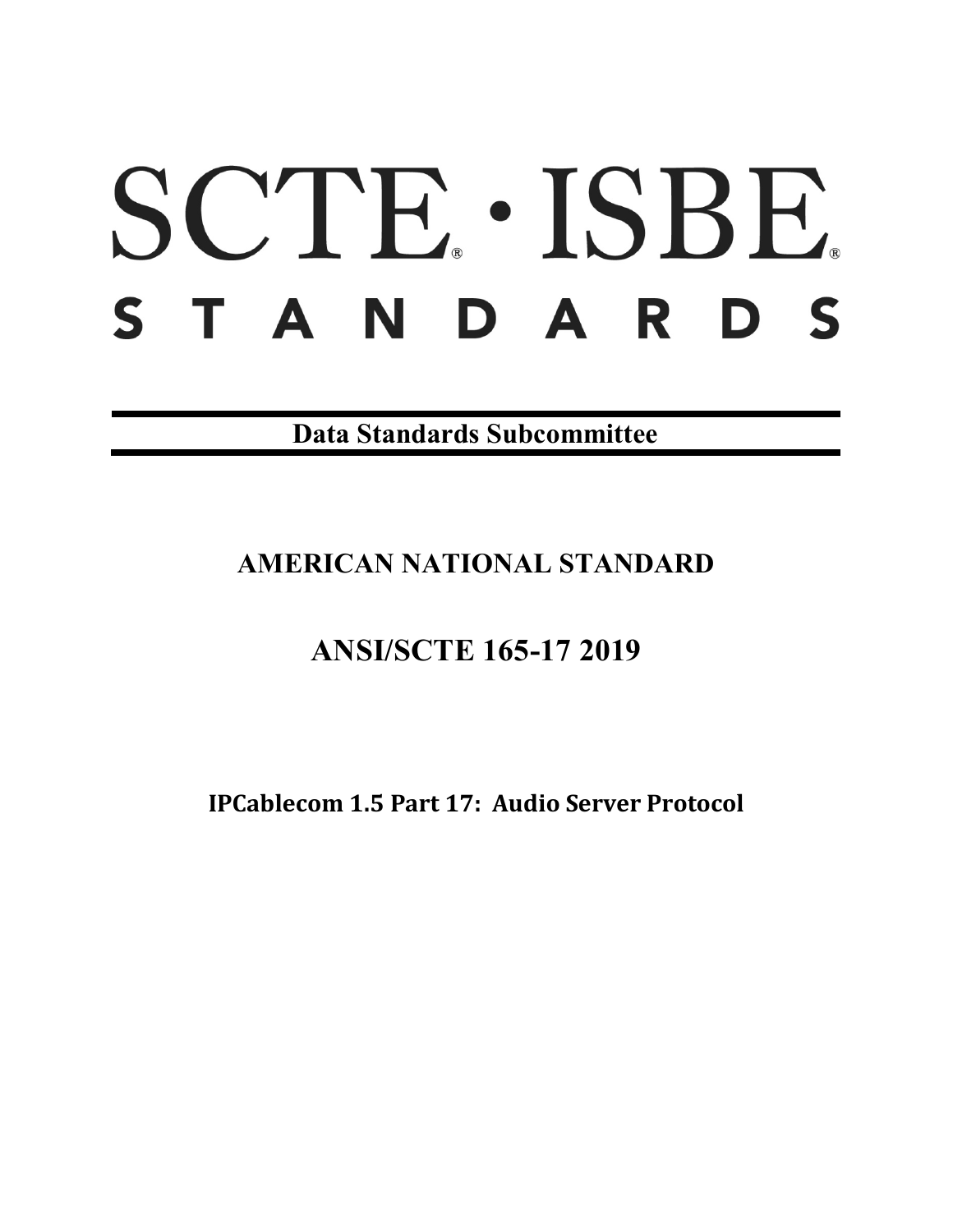# SCTE · ISBE. STANDARDS

**Data Standards Subcommittee**

## **AMERICAN NATIONAL STANDARD**

# **ANSI/SCTE 165-17 2019**

**IPCablecom 1.5 Part 17: Audio Server Protocol**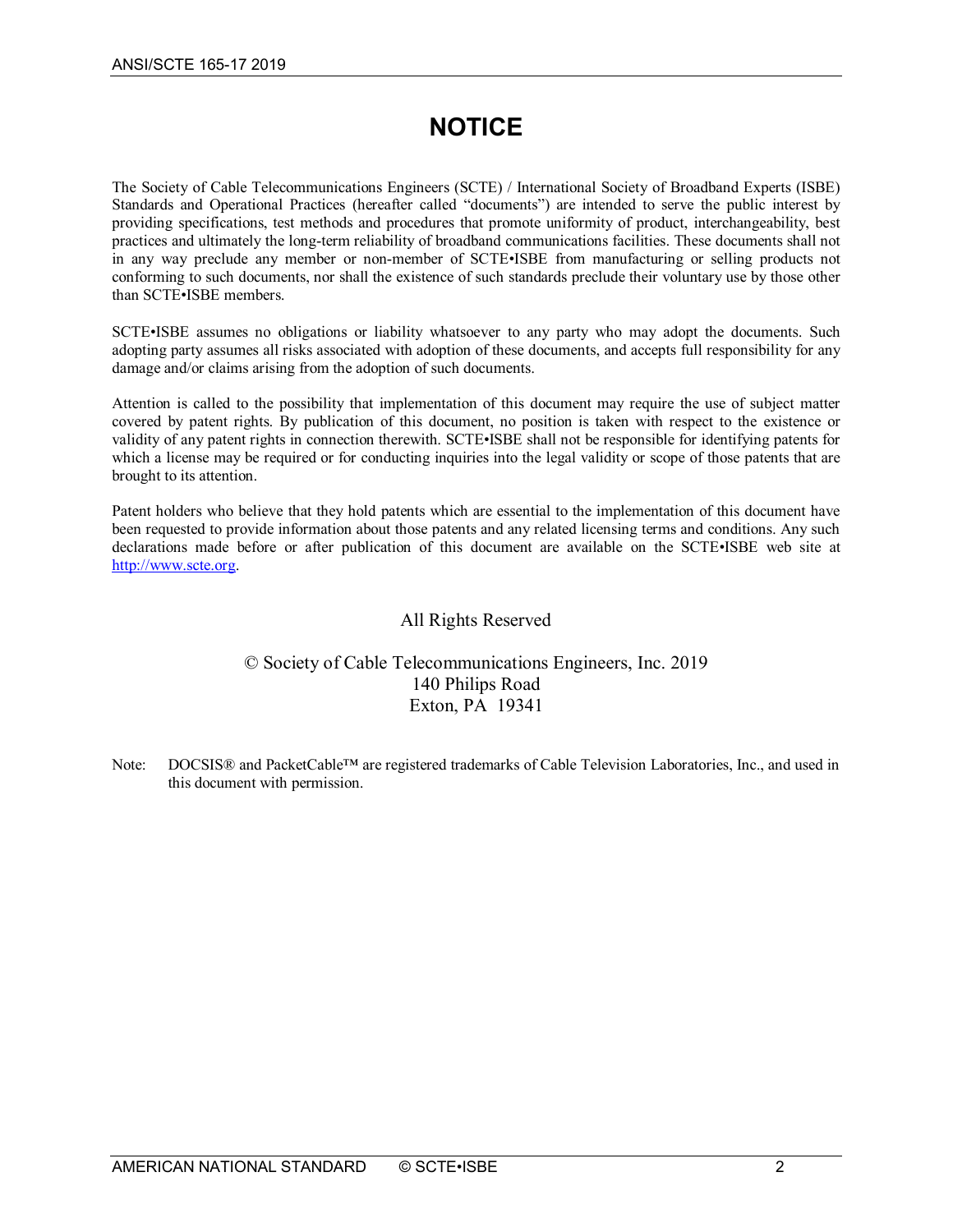## **NOTICE**

The Society of Cable Telecommunications Engineers (SCTE) / International Society of Broadband Experts (ISBE) Standards and Operational Practices (hereafter called "documents") are intended to serve the public interest by providing specifications, test methods and procedures that promote uniformity of product, interchangeability, best practices and ultimately the long-term reliability of broadband communications facilities. These documents shall not in any way preclude any member or non-member of SCTE•ISBE from manufacturing or selling products not conforming to such documents, nor shall the existence of such standards preclude their voluntary use by those other than SCTE•ISBE members.

SCTE•ISBE assumes no obligations or liability whatsoever to any party who may adopt the documents. Such adopting party assumes all risks associated with adoption of these documents, and accepts full responsibility for any damage and/or claims arising from the adoption of such documents.

Attention is called to the possibility that implementation of this document may require the use of subject matter covered by patent rights. By publication of this document, no position is taken with respect to the existence or validity of any patent rights in connection therewith. SCTE•ISBE shall not be responsible for identifying patents for which a license may be required or for conducting inquiries into the legal validity or scope of those patents that are brought to its attention.

Patent holders who believe that they hold patents which are essential to the implementation of this document have been requested to provide information about those patents and any related licensing terms and conditions. Any such declarations made before or after publication of this document are available on the SCTE•ISBE web site at [http://www.scte.org.](http://www.scte.org/)

#### All Rights Reserved

#### © Society of Cable Telecommunications Engineers, Inc. 2019 140 Philips Road Exton, PA 19341

Note: DOCSIS® and PacketCable™ are registered trademarks of Cable Television Laboratories, Inc., and used in this document with permission.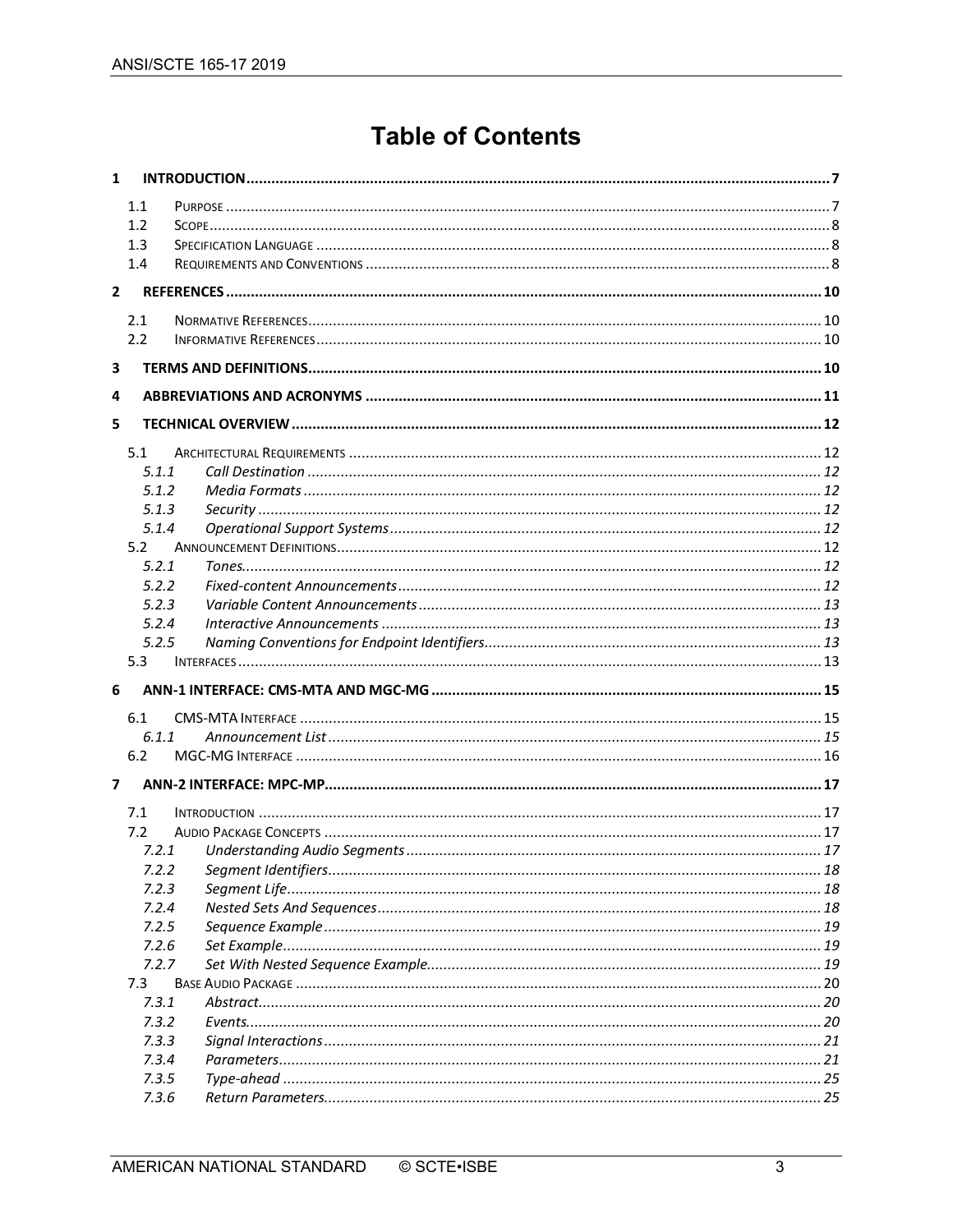# **Table of Contents**

| 1           |       |  |
|-------------|-------|--|
|             | 1.1   |  |
|             | 1.2   |  |
|             | 1.3   |  |
|             | 1.4   |  |
|             |       |  |
| $2^{\circ}$ |       |  |
|             | 2.1   |  |
|             | 2.2   |  |
| 3           |       |  |
| 4           |       |  |
| 5           |       |  |
|             |       |  |
|             | 5.1   |  |
|             | 5.1.1 |  |
|             | 5.1.2 |  |
|             | 5.1.3 |  |
|             | 5.1.4 |  |
|             | 5.2   |  |
|             | 5.2.1 |  |
|             | 5.2.2 |  |
|             | 5.2.3 |  |
|             | 5.2.4 |  |
|             | 5.2.5 |  |
|             | 5.3   |  |
| 6           |       |  |
|             | 6.1   |  |
|             | 6.1.1 |  |
|             | 6.2   |  |
|             |       |  |
| 7           |       |  |
|             | 7.1   |  |
|             | 7.2   |  |
|             | 7.2.1 |  |
|             | 7.2.2 |  |
|             | 7.2.3 |  |
|             | 7.2.4 |  |
|             | 7.2.5 |  |
|             | 7.2.6 |  |
|             | 7.2.7 |  |
|             | 7.3   |  |
|             | 7.3.1 |  |
|             | 7.3.2 |  |
|             | 7.3.3 |  |
|             | 7.3.4 |  |
|             | 7.3.5 |  |
|             | 7.3.6 |  |
|             |       |  |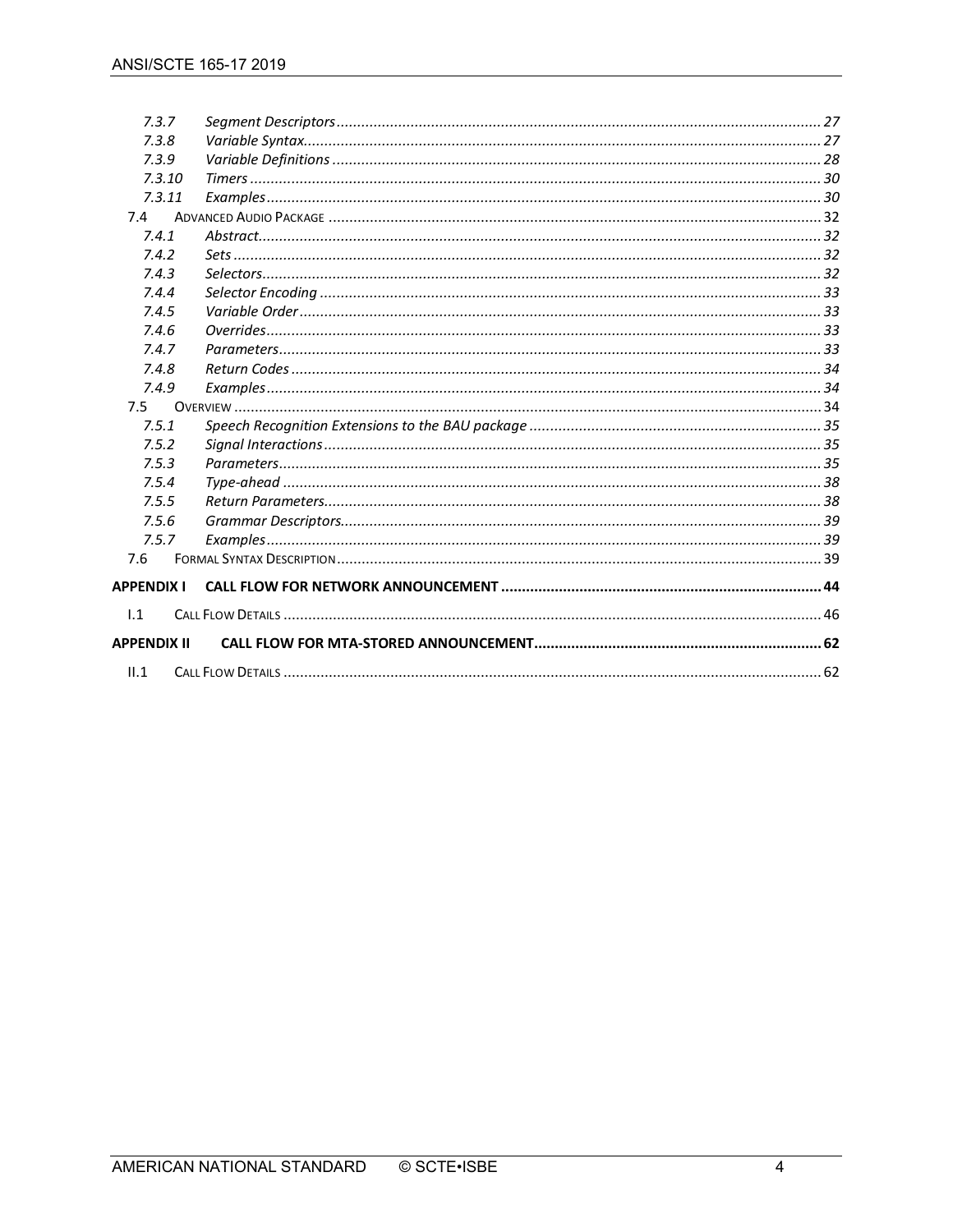| 7.3.7              |  |
|--------------------|--|
| 7.3.8              |  |
| 7.3.9              |  |
| 7.3.10             |  |
| 7.3.11             |  |
| 7.4                |  |
| 7.4.1              |  |
| 7.4.2              |  |
| 7.4.3              |  |
| 7.4.4              |  |
| 7.4.5              |  |
| 7.4.6              |  |
| 7.4.7              |  |
| 7.4.8              |  |
| 7.4.9              |  |
| 7.5                |  |
| 7.5.1              |  |
| 7.5.2              |  |
| 7.5.3              |  |
| 7.5.4              |  |
| 7.5.5              |  |
| 7.5.6              |  |
| 7.5.7              |  |
| 7.6                |  |
| <b>APPENDIX I</b>  |  |
| 1.1                |  |
| <b>APPENDIX II</b> |  |
| II.1               |  |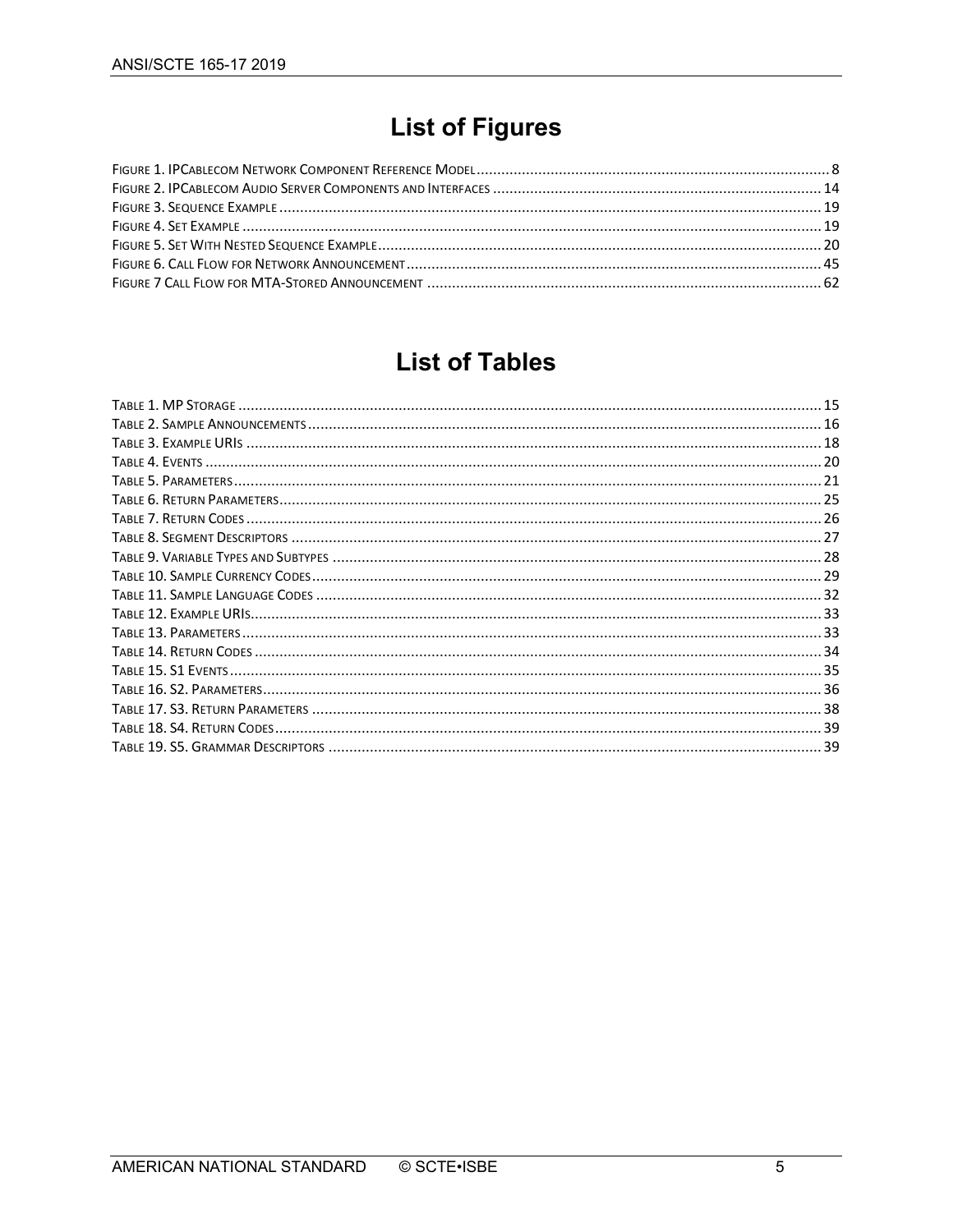# **List of Figures**

## **List of Tables**

| 15 |
|----|
|    |
|    |
|    |
|    |
|    |
|    |
|    |
|    |
|    |
|    |
|    |
|    |
|    |
|    |
|    |
|    |
|    |
|    |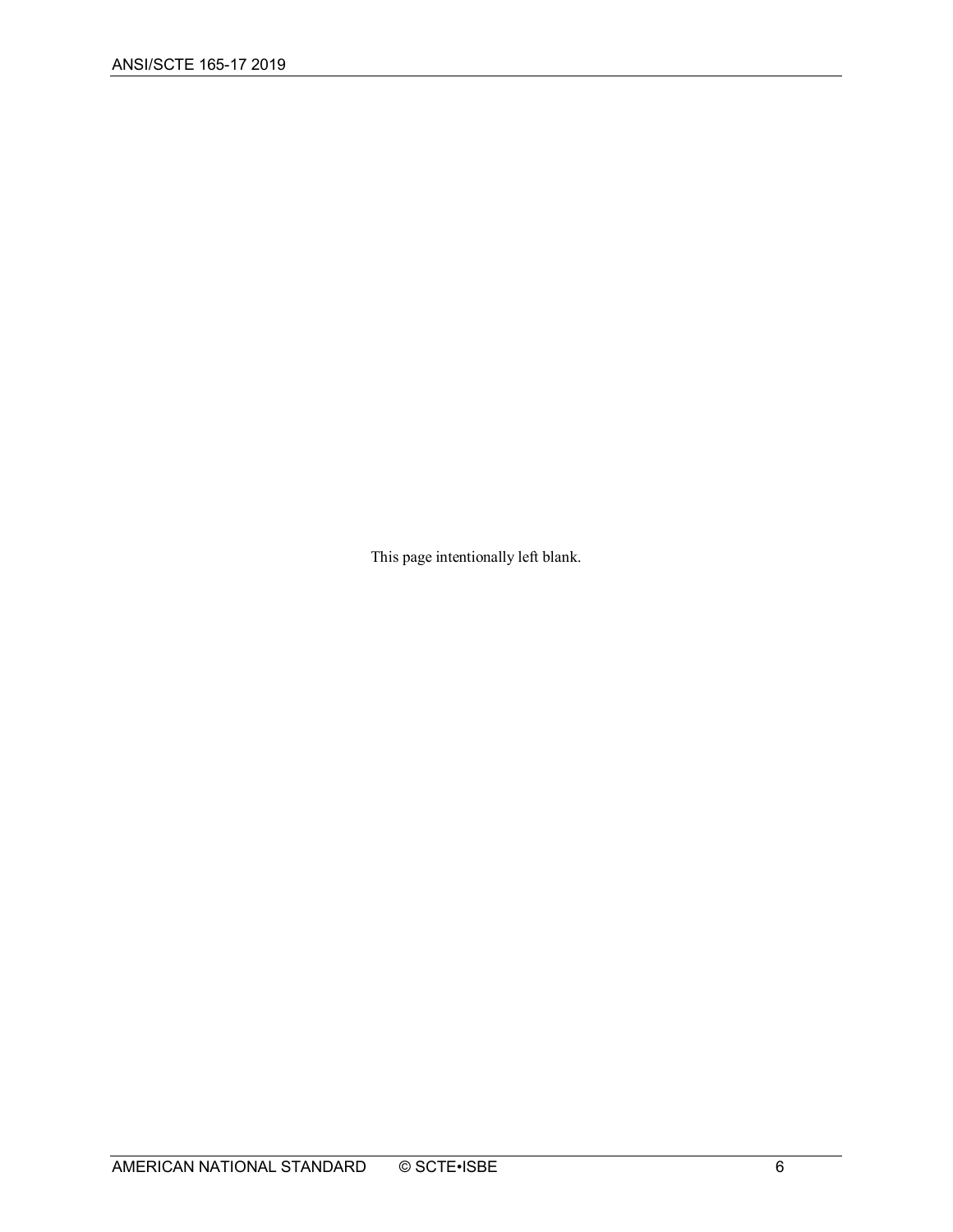This page intentionally left blank.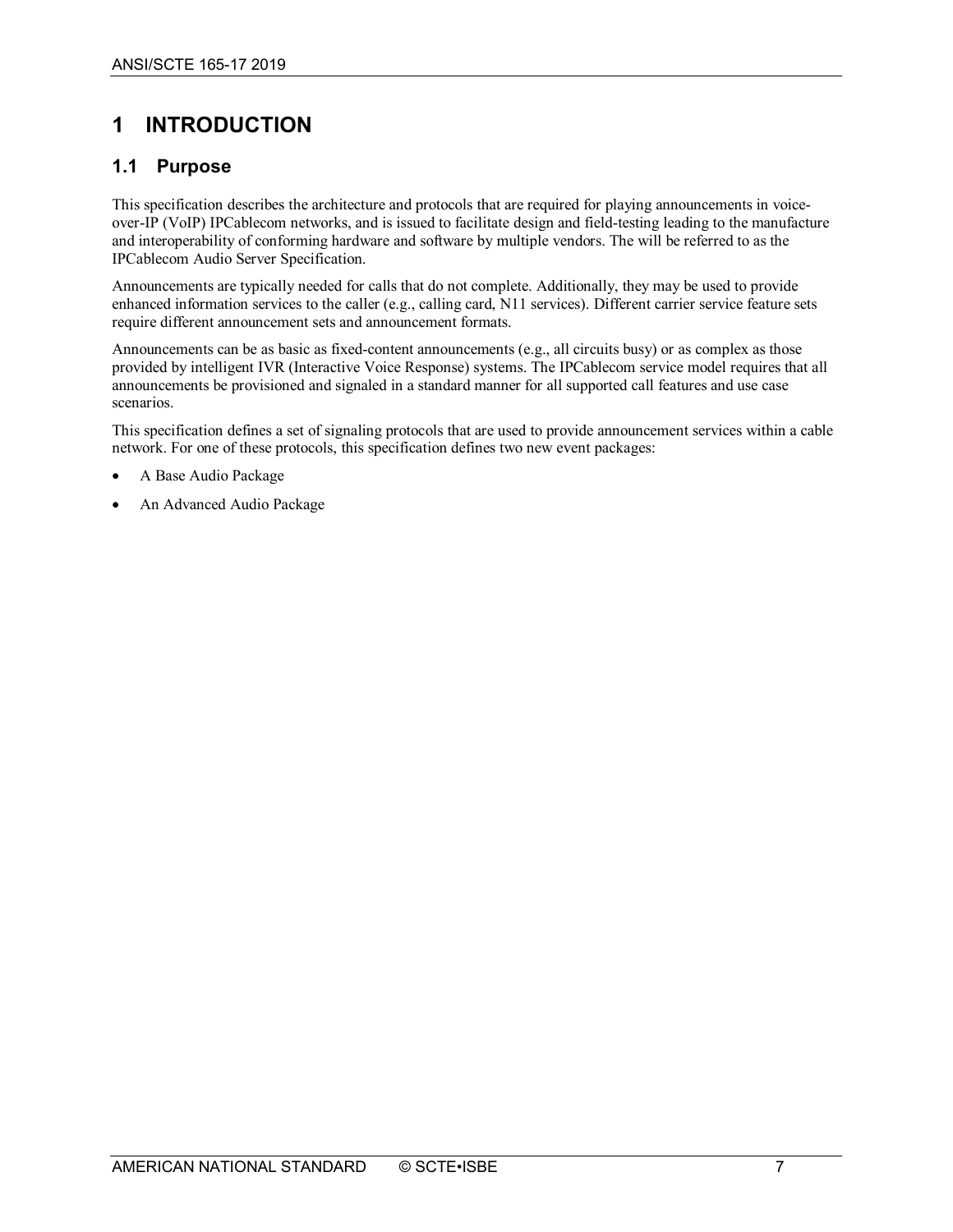## <span id="page-6-0"></span>**1 INTRODUCTION**

#### <span id="page-6-1"></span>**1.1 Purpose**

This specification describes the architecture and protocols that are required for playing announcements in voiceover-IP (VoIP) IPCablecom networks, and is issued to facilitate design and field-testing leading to the manufacture and interoperability of conforming hardware and software by multiple vendors. The will be referred to as the IPCablecom Audio Server Specification.

Announcements are typically needed for calls that do not complete. Additionally, they may be used to provide enhanced information services to the caller (e.g., calling card, N11 services). Different carrier service feature sets require different announcement sets and announcement formats.

Announcements can be as basic as fixed-content announcements (e.g., all circuits busy) or as complex as those provided by intelligent IVR (Interactive Voice Response) systems. The IPCablecom service model requires that all announcements be provisioned and signaled in a standard manner for all supported call features and use case scenarios.

This specification defines a set of signaling protocols that are used to provide announcement services within a cable network. For one of these protocols, this specification defines two new event packages:

- A Base Audio Package
- An Advanced Audio Package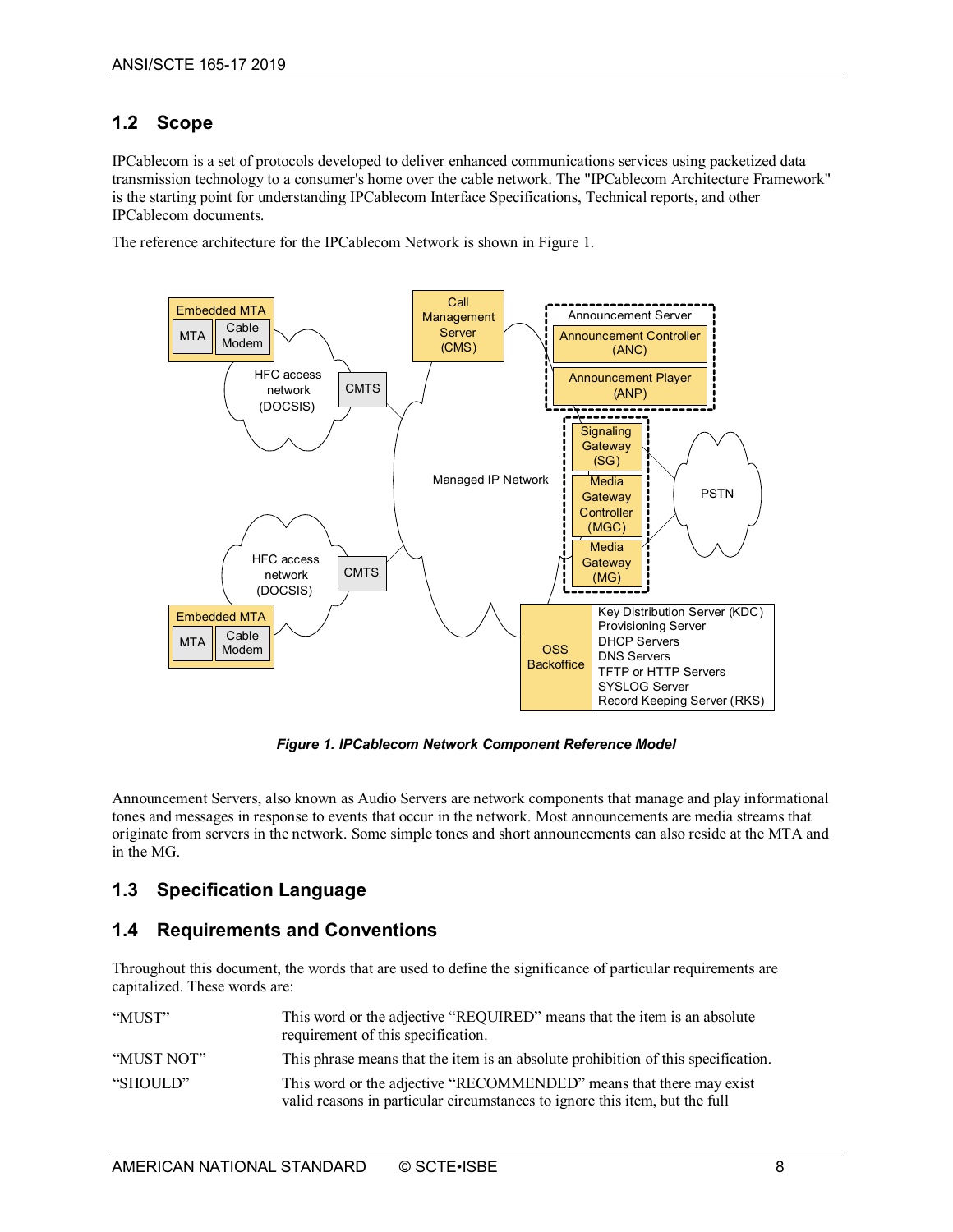#### <span id="page-7-0"></span>**1.2 Scope**

IPCablecom is a set of protocols developed to deliver enhanced communications services using packetized data transmission technology to a consumer's home over the cable network. The "IPCablecom Architecture Framework" is the starting point for understanding IPCablecom Interface Specifications, Technical reports, and other IPCablecom documents.

The reference architecture for the IPCablecom Network is shown in [Figure 1.](#page-7-3)



*Figure 1. IPCablecom Network Component Reference Model*

<span id="page-7-3"></span>Announcement Servers, also known as Audio Servers are network components that manage and play informational tones and messages in response to events that occur in the network. Most announcements are media streams that originate from servers in the network. Some simple tones and short announcements can also reside at the MTA and in the MG.

#### <span id="page-7-1"></span>**1.3 Specification Language**

#### <span id="page-7-2"></span>**1.4 Requirements and Conventions**

Throughout this document, the words that are used to define the significance of particular requirements are capitalized. These words are:

| "MUST"     | This word or the adjective "REQUIRED" means that the item is an absolute<br>requirement of this specification.                                     |
|------------|----------------------------------------------------------------------------------------------------------------------------------------------------|
| "MUST NOT" | This phrase means that the item is an absolute prohibition of this specification.                                                                  |
| "SHOULD"   | This word or the adjective "RECOMMENDED" means that there may exist<br>valid reasons in particular circumstances to ignore this item, but the full |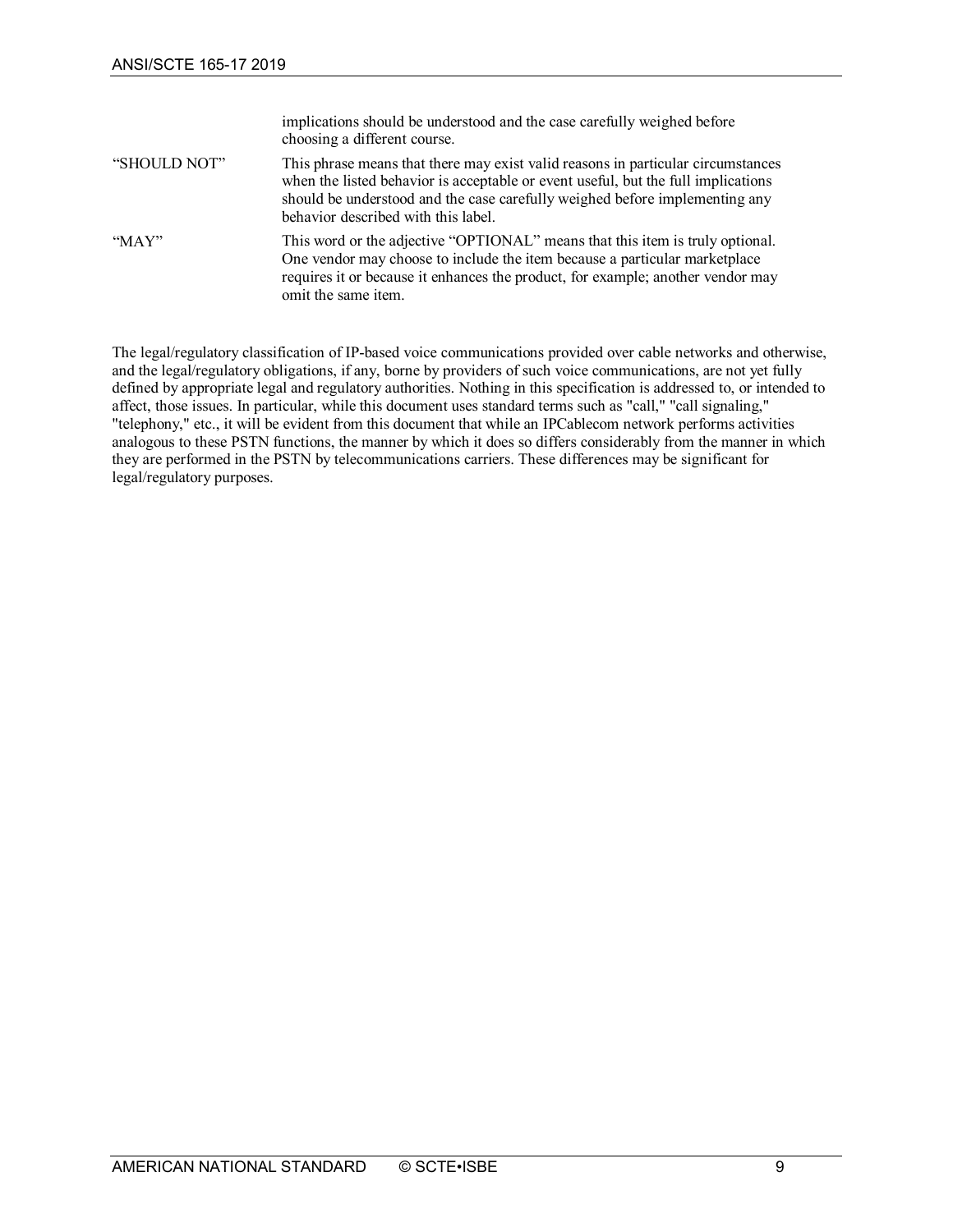|              | implications should be understood and the case carefully weighed before<br>choosing a different course.                                                                                                                                                                                     |
|--------------|---------------------------------------------------------------------------------------------------------------------------------------------------------------------------------------------------------------------------------------------------------------------------------------------|
| "SHOULD NOT" | This phrase means that there may exist valid reasons in particular circumstances<br>when the listed behavior is acceptable or event useful, but the full implications<br>should be understood and the case carefully weighed before implementing any<br>behavior described with this label. |
| " $MAX"$     | This word or the adjective "OPTIONAL" means that this item is truly optional.<br>One vendor may choose to include the item because a particular marketplace<br>requires it or because it enhances the product, for example; another vendor may<br>omit the same item.                       |

The legal/regulatory classification of IP-based voice communications provided over cable networks and otherwise, and the legal/regulatory obligations, if any, borne by providers of such voice communications, are not yet fully defined by appropriate legal and regulatory authorities. Nothing in this specification is addressed to, or intended to affect, those issues. In particular, while this document uses standard terms such as "call," "call signaling," "telephony," etc., it will be evident from this document that while an IPCablecom network performs activities analogous to these PSTN functions, the manner by which it does so differs considerably from the manner in which they are performed in the PSTN by telecommunications carriers. These differences may be significant for legal/regulatory purposes.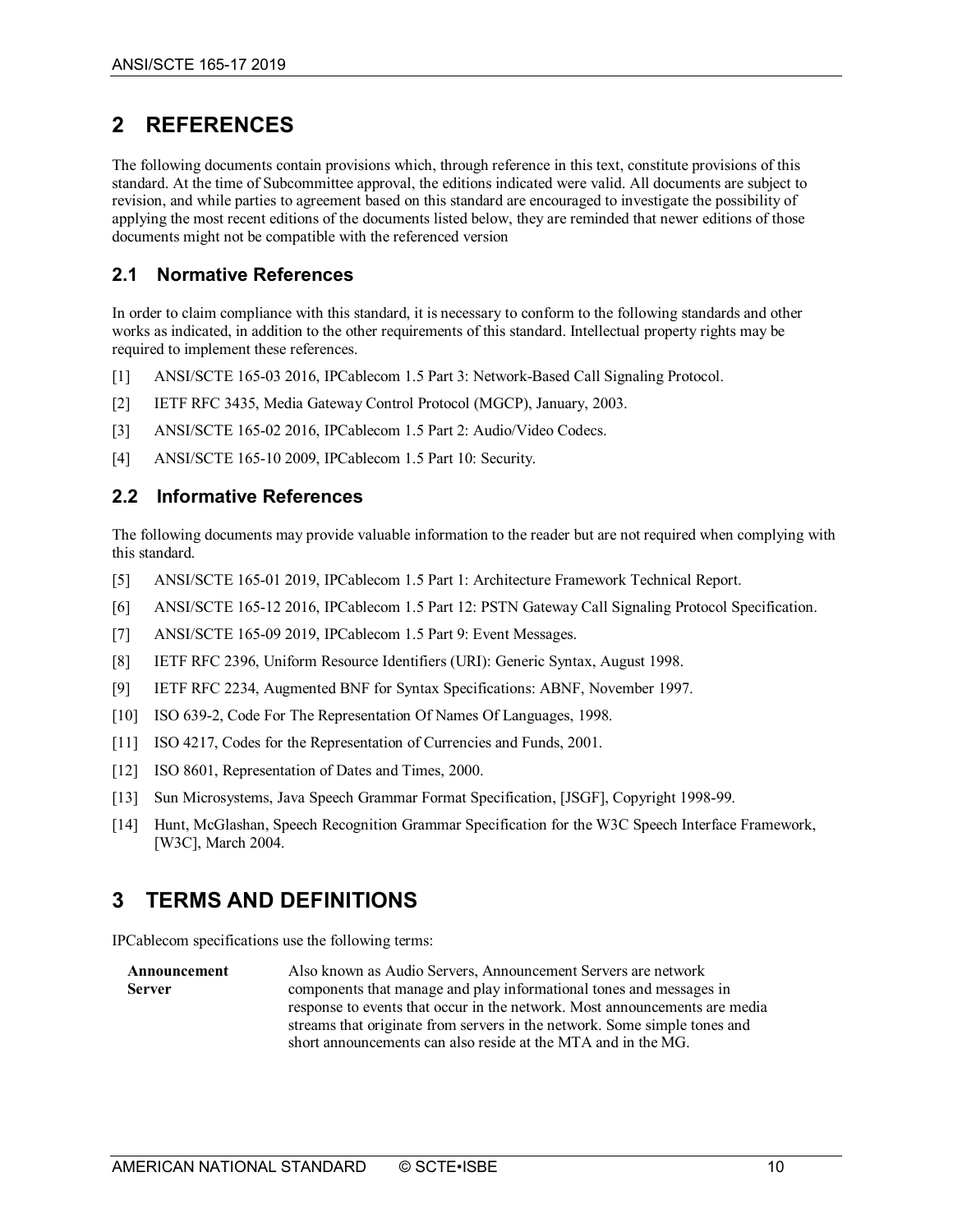## <span id="page-9-0"></span>**2 REFERENCES**

The following documents contain provisions which, through reference in this text, constitute provisions of this standard. At the time of Subcommittee approval, the editions indicated were valid. All documents are subject to revision, and while parties to agreement based on this standard are encouraged to investigate the possibility of applying the most recent editions of the documents listed below, they are reminded that newer editions of those documents might not be compatible with the referenced version

#### <span id="page-9-1"></span>**2.1 Normative References**

In order to claim compliance with this standard, it is necessary to conform to the following standards and other works as indicated, in addition to the other requirements of this standard. Intellectual property rights may be required to implement these references.

- <span id="page-9-8"></span>[1] ANSI/SCTE 165-03 2016, IPCablecom 1.5 Part 3: Network-Based Call Signaling Protocol.
- <span id="page-9-10"></span>[2] IETF RFC 3435, Media Gateway Control Protocol (MGCP), January, 2003.
- <span id="page-9-5"></span>[3] ANSI/SCTE 165-02 2016, IPCablecom 1.5 Part 2: Audio/Video Codecs.
- <span id="page-9-6"></span>[4] ANSI/SCTE 165-10 2009, IPCablecom 1.5 Part 10: Security.

#### <span id="page-9-2"></span>**2.2 Informative References**

The following documents may provide valuable information to the reader but are not required when complying with this standard.

- <span id="page-9-4"></span>[5] ANSI/SCTE 165-01 2019, IPCablecom 1.5 Part 1: Architecture Framework Technical Report.
- <span id="page-9-9"></span>[6] ANSI/SCTE 165-12 2016, IPCablecom 1.5 Part 12: PSTN Gateway Call Signaling Protocol Specification.
- <span id="page-9-7"></span>[7] ANSI/SCTE 165-09 2019, IPCablecom 1.5 Part 9: Event Messages.
- <span id="page-9-11"></span>[8] IETF RFC 2396, Uniform Resource Identifiers (URI): Generic Syntax, August 1998.
- <span id="page-9-17"></span>[9] IETF RFC 2234, Augmented BNF for Syntax Specifications: ABNF, November 1997.
- <span id="page-9-14"></span>[10] ISO 639-2, Code For The Representation Of Names Of Languages, 1998.
- <span id="page-9-13"></span>[11] ISO 4217, Codes for the Representation of Currencies and Funds, 2001.
- <span id="page-9-12"></span>[12] ISO 8601, Representation of Dates and Times, 2000.
- <span id="page-9-15"></span>[13] Sun Microsystems, Java Speech Grammar Format Specification, [JSGF], Copyright 1998-99.
- <span id="page-9-16"></span>[14] Hunt, McGlashan, Speech Recognition Grammar Specification for the W3C Speech Interface Framework, [W3C], March 2004.

## <span id="page-9-3"></span>**3 TERMS AND DEFINITIONS**

IPCablecom specifications use the following terms:

**Announcement Server** Also known as Audio Servers, Announcement Servers are network components that manage and play informational tones and messages in response to events that occur in the network. Most announcements are media streams that originate from servers in the network. Some simple tones and short announcements can also reside at the MTA and in the MG.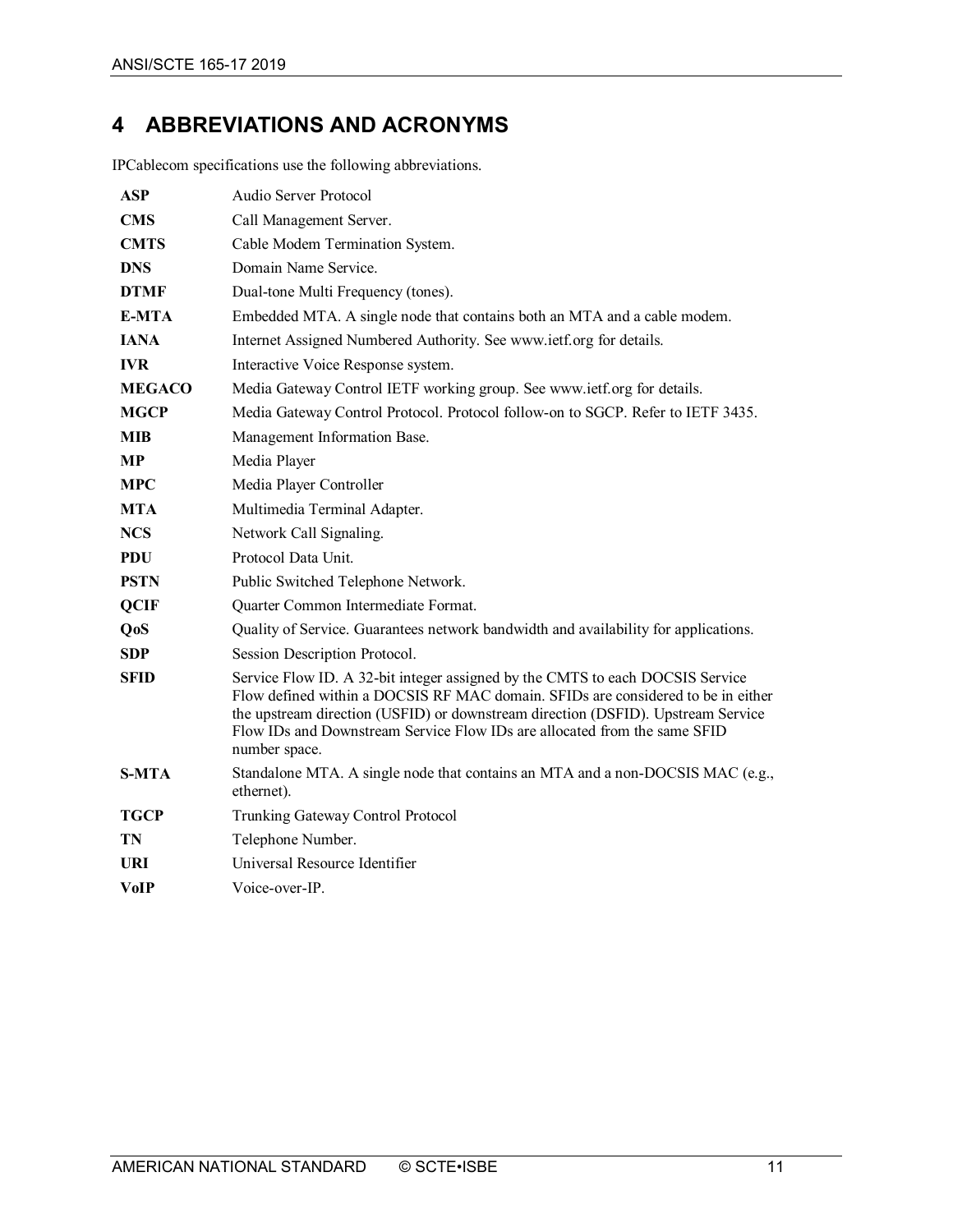## <span id="page-10-0"></span>**4 ABBREVIATIONS AND ACRONYMS**

IPCablecom specifications use the following abbreviations.

| <b>ASP</b>    | Audio Server Protocol                                                                                                                                                                                                                                                                                                                               |
|---------------|-----------------------------------------------------------------------------------------------------------------------------------------------------------------------------------------------------------------------------------------------------------------------------------------------------------------------------------------------------|
| <b>CMS</b>    | Call Management Server.                                                                                                                                                                                                                                                                                                                             |
| <b>CMTS</b>   | Cable Modem Termination System.                                                                                                                                                                                                                                                                                                                     |
| <b>DNS</b>    | Domain Name Service.                                                                                                                                                                                                                                                                                                                                |
| <b>DTMF</b>   | Dual-tone Multi Frequency (tones).                                                                                                                                                                                                                                                                                                                  |
| <b>E-MTA</b>  | Embedded MTA. A single node that contains both an MTA and a cable modem.                                                                                                                                                                                                                                                                            |
| <b>IANA</b>   | Internet Assigned Numbered Authority. See www.ietf.org for details.                                                                                                                                                                                                                                                                                 |
| <b>IVR</b>    | Interactive Voice Response system.                                                                                                                                                                                                                                                                                                                  |
| <b>MEGACO</b> | Media Gateway Control IETF working group. See www.ietf.org for details.                                                                                                                                                                                                                                                                             |
| <b>MGCP</b>   | Media Gateway Control Protocol. Protocol follow-on to SGCP. Refer to IETF 3435.                                                                                                                                                                                                                                                                     |
| MIB           | Management Information Base.                                                                                                                                                                                                                                                                                                                        |
| МP            | Media Player                                                                                                                                                                                                                                                                                                                                        |
| <b>MPC</b>    | Media Player Controller                                                                                                                                                                                                                                                                                                                             |
| <b>MTA</b>    | Multimedia Terminal Adapter.                                                                                                                                                                                                                                                                                                                        |
| <b>NCS</b>    | Network Call Signaling.                                                                                                                                                                                                                                                                                                                             |
| <b>PDU</b>    | Protocol Data Unit.                                                                                                                                                                                                                                                                                                                                 |
| <b>PSTN</b>   | Public Switched Telephone Network.                                                                                                                                                                                                                                                                                                                  |
| <b>QCIF</b>   | Quarter Common Intermediate Format.                                                                                                                                                                                                                                                                                                                 |
| QoS           | Quality of Service. Guarantees network bandwidth and availability for applications.                                                                                                                                                                                                                                                                 |
| <b>SDP</b>    | Session Description Protocol.                                                                                                                                                                                                                                                                                                                       |
| <b>SFID</b>   | Service Flow ID. A 32-bit integer assigned by the CMTS to each DOCSIS Service<br>Flow defined within a DOCSIS RF MAC domain. SFIDs are considered to be in either<br>the upstream direction (USFID) or downstream direction (DSFID). Upstream Service<br>Flow IDs and Downstream Service Flow IDs are allocated from the same SFID<br>number space. |
| <b>S-MTA</b>  | Standalone MTA. A single node that contains an MTA and a non-DOCSIS MAC (e.g.,<br>ethernet).                                                                                                                                                                                                                                                        |
| <b>TGCP</b>   | Trunking Gateway Control Protocol                                                                                                                                                                                                                                                                                                                   |
| TN            | Telephone Number.                                                                                                                                                                                                                                                                                                                                   |
| URI           | Universal Resource Identifier                                                                                                                                                                                                                                                                                                                       |
| <b>VoIP</b>   | Voice-over-IP.                                                                                                                                                                                                                                                                                                                                      |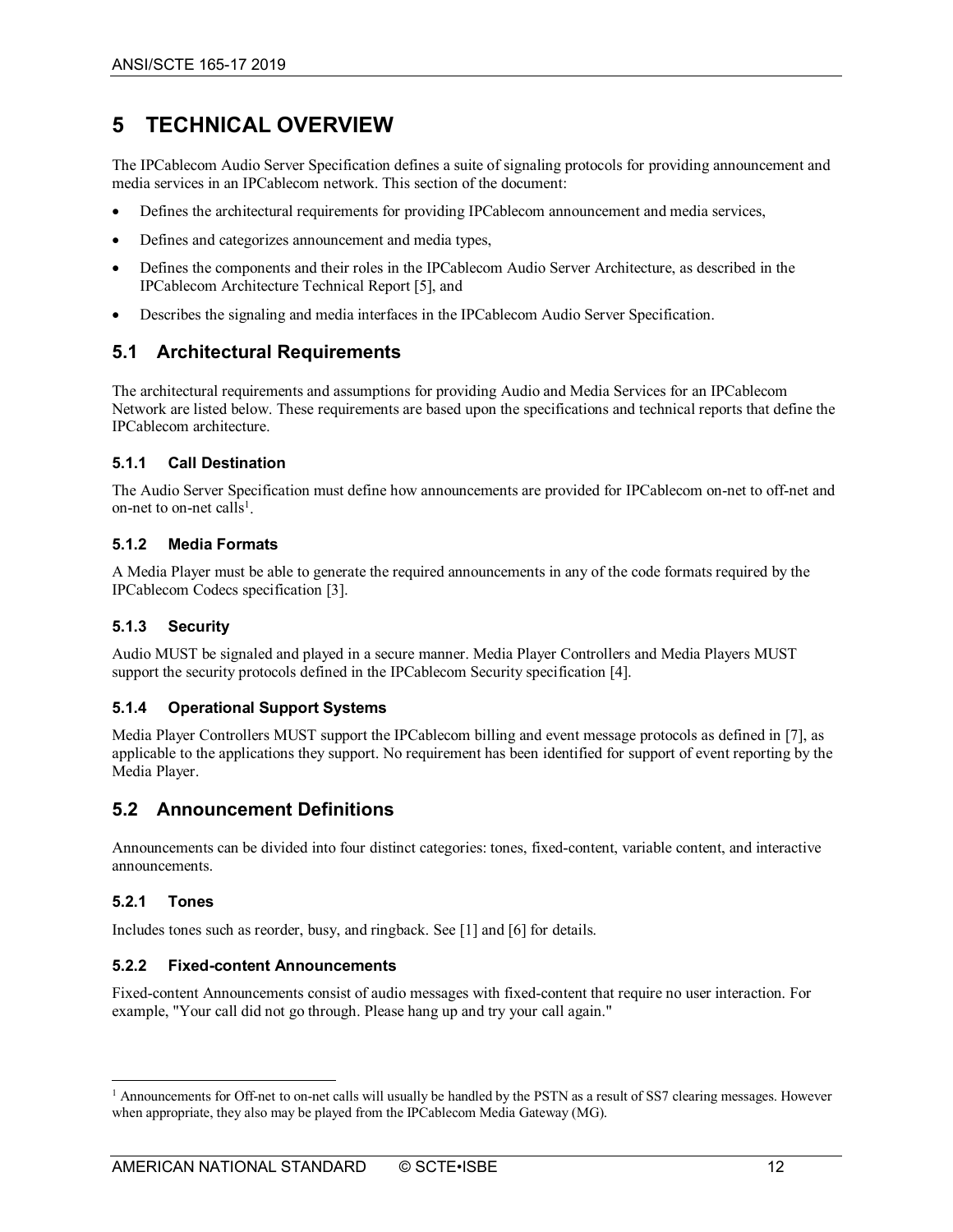## <span id="page-11-0"></span>**5 TECHNICAL OVERVIEW**

The IPCablecom Audio Server Specification defines a suite of signaling protocols for providing announcement and media services in an IPCablecom network. This section of the document:

- Defines the architectural requirements for providing IPCablecom announcement and media services,
- Defines and categorizes announcement and media types,
- Defines the components and their roles in the IPCablecom Audio Server Architecture, as described in the IPCablecom Architecture Technical Report [\[5\],](#page-9-4) and
- Describes the signaling and media interfaces in the IPCablecom Audio Server Specification.

#### <span id="page-11-1"></span>**5.1 Architectural Requirements**

The architectural requirements and assumptions for providing Audio and Media Services for an IPCablecom Network are listed below. These requirements are based upon the specifications and technical reports that define the IPCablecom architecture.

#### <span id="page-11-2"></span>**5.1.1 Call Destination**

The Audio Server Specification must define how announcements are provided for IPCablecom on-net to off-net and on-net to on-net calls<sup>1</sup>.

#### <span id="page-11-3"></span>**5.1.2 Media Formats**

A Media Player must be able to generate the required announcements in any of the code formats required by the IPCablecom Codecs specification [\[3\].](#page-9-5)

#### <span id="page-11-4"></span>**5.1.3 Security**

Audio MUST be signaled and played in a secure manner. Media Player Controllers and Media Players MUST support the security protocols defined in the IPCablecom Security specification [\[4\].](#page-9-6)

#### <span id="page-11-5"></span>**5.1.4 Operational Support Systems**

Media Player Controllers MUST support the IPCablecom billing and event message protocols as defined in [\[7\],](#page-9-7) as applicable to the applications they support. No requirement has been identified for support of event reporting by the Media Player.

#### <span id="page-11-6"></span>**5.2 Announcement Definitions**

Announcements can be divided into four distinct categories: tones, fixed-content, variable content, and interactive announcements.

#### <span id="page-11-7"></span>**5.2.1 Tones**

Includes tones such as reorder, busy, and ringback. See [\[1\]](#page-9-8) an[d \[6\]](#page-9-9) for details.

#### <span id="page-11-8"></span>**5.2.2 Fixed-content Announcements**

Fixed-content Announcements consist of audio messages with fixed-content that require no user interaction. For example, "Your call did not go through. Please hang up and try your call again."

<span id="page-11-9"></span><sup>&</sup>lt;sup>1</sup> Announcements for Off-net to on-net calls will usually be handled by the PSTN as a result of SS7 clearing messages. However when appropriate, they also may be played from the IPCablecom Media Gateway (MG).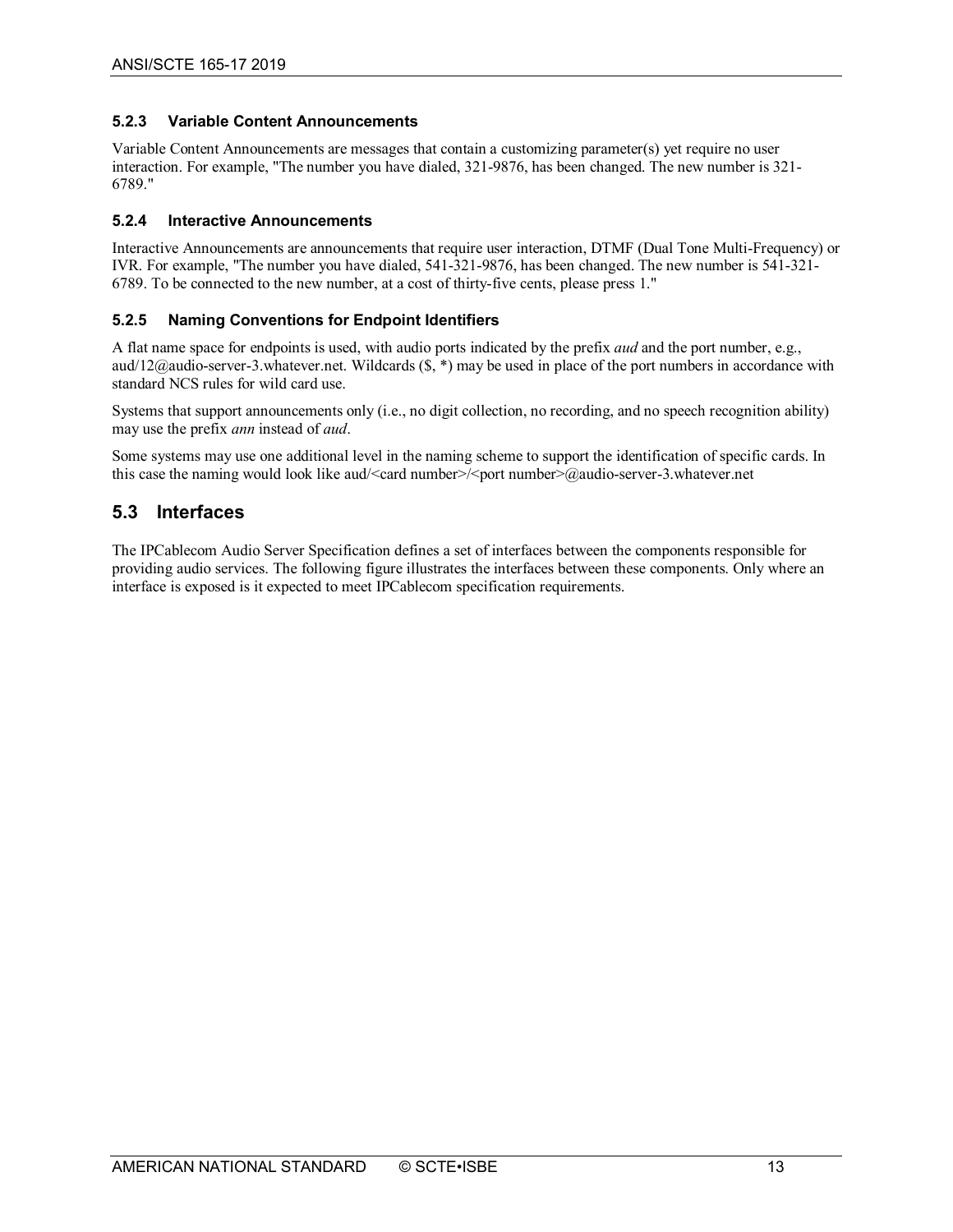#### <span id="page-12-0"></span>**5.2.3 Variable Content Announcements**

Variable Content Announcements are messages that contain a customizing parameter(s) yet require no user interaction. For example, "The number you have dialed, 321-9876, has been changed. The new number is 321- 6789."

#### <span id="page-12-1"></span>**5.2.4 Interactive Announcements**

Interactive Announcements are announcements that require user interaction, DTMF (Dual Tone Multi-Frequency) or IVR. For example, "The number you have dialed, 541-321-9876, has been changed. The new number is 541-321- 6789. To be connected to the new number, at a cost of thirty-five cents, please press 1."

#### <span id="page-12-2"></span>**5.2.5 Naming Conventions for Endpoint Identifiers**

A flat name space for endpoints is used, with audio ports indicated by the prefix *aud* and the port number, e.g., aud/12@audio-server-3.whatever.net. Wildcards  $(\$, *)$  may be used in place of the port numbers in accordance with standard NCS rules for wild card use.

Systems that support announcements only (i.e., no digit collection, no recording, and no speech recognition ability) may use the prefix *ann* instead of *aud*.

Some systems may use one additional level in the naming scheme to support the identification of specific cards. In this case the naming would look like aud/<card number>/<port number>@audio-server-3.whatever.net

#### <span id="page-12-3"></span>**5.3 Interfaces**

The IPCablecom Audio Server Specification defines a set of interfaces between the components responsible for providing audio services. The following figure illustrates the interfaces between these components. Only where an interface is exposed is it expected to meet IPCablecom specification requirements.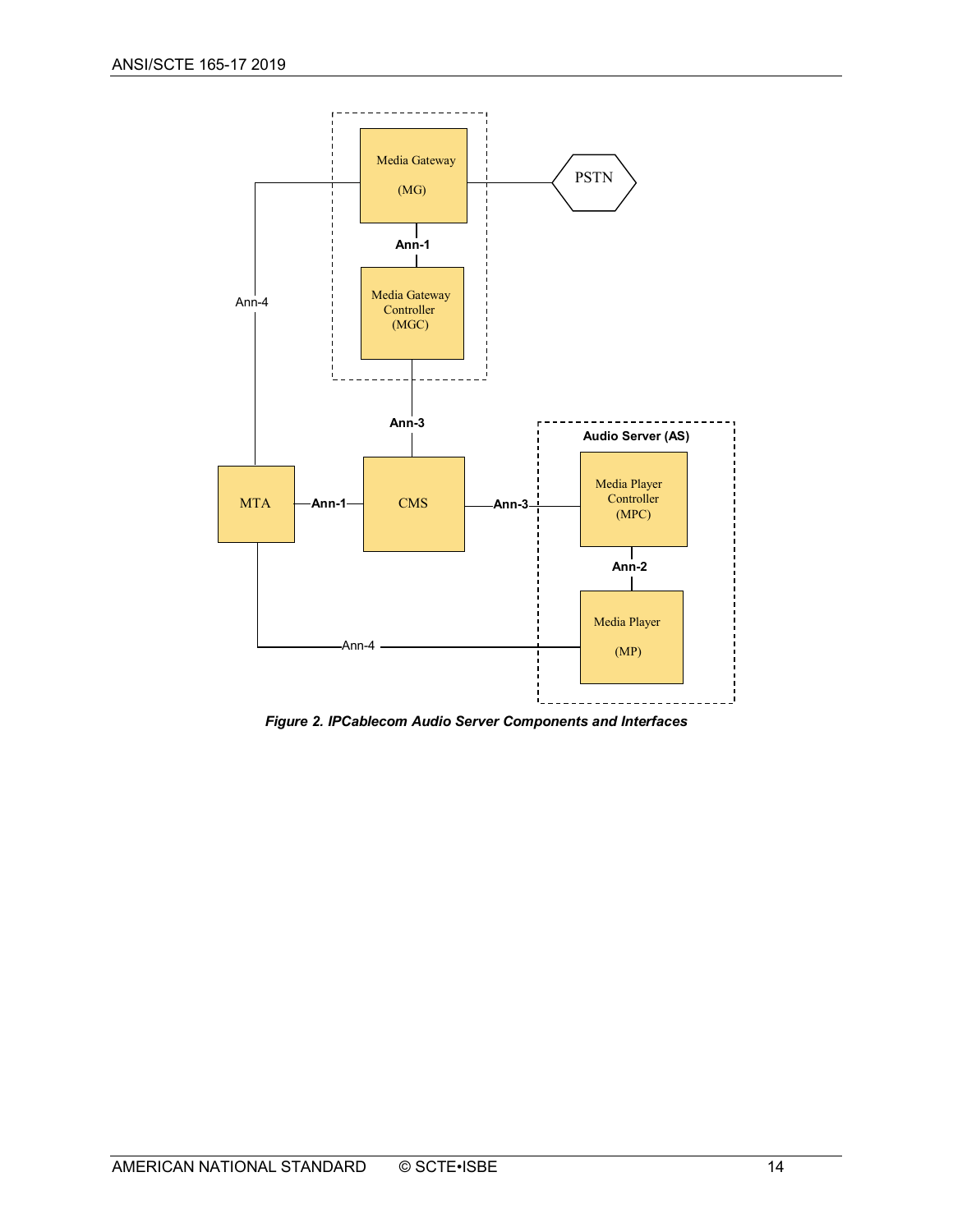

<span id="page-13-0"></span>*Figure 2. IPCablecom Audio Server Components and Interfaces*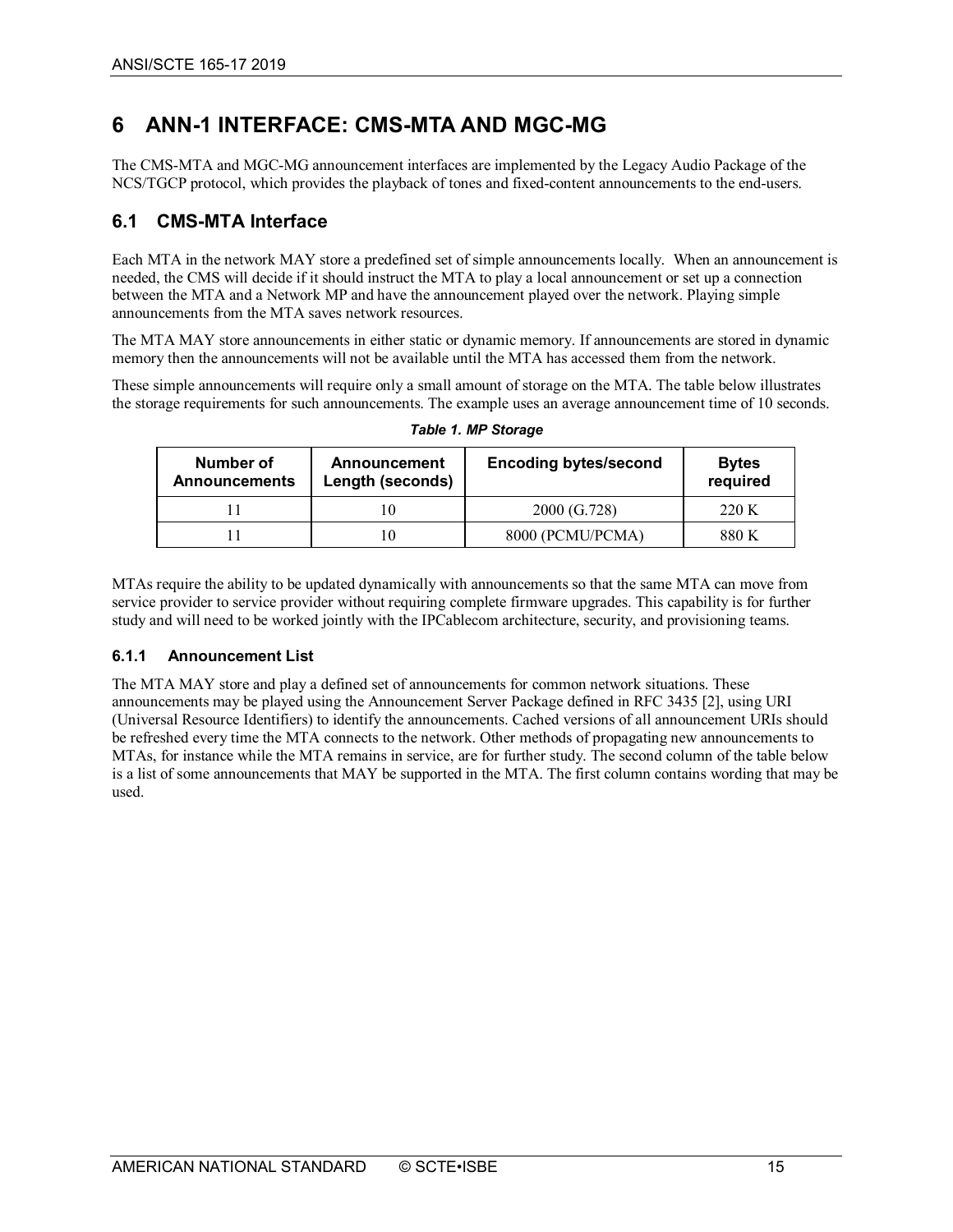## <span id="page-14-0"></span>**6 ANN-1 INTERFACE: CMS-MTA AND MGC-MG**

The CMS-MTA and MGC-MG announcement interfaces are implemented by the Legacy Audio Package of the NCS/TGCP protocol, which provides the playback of tones and fixed-content announcements to the end-users.

#### <span id="page-14-1"></span>**6.1 CMS-MTA Interface**

Each MTA in the network MAY store a predefined set of simple announcements locally. When an announcement is needed, the CMS will decide if it should instruct the MTA to play a local announcement or set up a connection between the MTA and a Network MP and have the announcement played over the network. Playing simple announcements from the MTA saves network resources.

The MTA MAY store announcements in either static or dynamic memory. If announcements are stored in dynamic memory then the announcements will not be available until the MTA has accessed them from the network.

<span id="page-14-3"></span>These simple announcements will require only a small amount of storage on the MTA. The table below illustrates the storage requirements for such announcements. The example uses an average announcement time of 10 seconds.

| Number of<br><b>Announcements</b> | Announcement<br>Length (seconds) | <b>Encoding bytes/second</b> | <b>Bytes</b><br>required |
|-----------------------------------|----------------------------------|------------------------------|--------------------------|
|                                   |                                  | 2000 (G.728)                 | 220 K                    |
|                                   |                                  | 8000 (PCMU/PCMA)             | 880 K                    |

*Table 1. MP Storage*

MTAs require the ability to be updated dynamically with announcements so that the same MTA can move from service provider to service provider without requiring complete firmware upgrades. This capability is for further study and will need to be worked jointly with the IPCablecom architecture, security, and provisioning teams.

#### <span id="page-14-2"></span>**6.1.1 Announcement List**

The MTA MAY store and play a defined set of announcements for common network situations. These announcements may be played using the Announcement Server Package defined in RFC 3435 [\[2\],](#page-9-10) using URI (Universal Resource Identifiers) to identify the announcements. Cached versions of all announcement URIs should be refreshed every time the MTA connects to the network. Other methods of propagating new announcements to MTAs, for instance while the MTA remains in service, are for further study. The second column of the table below is a list of some announcements that MAY be supported in the MTA. The first column contains wording that may be used.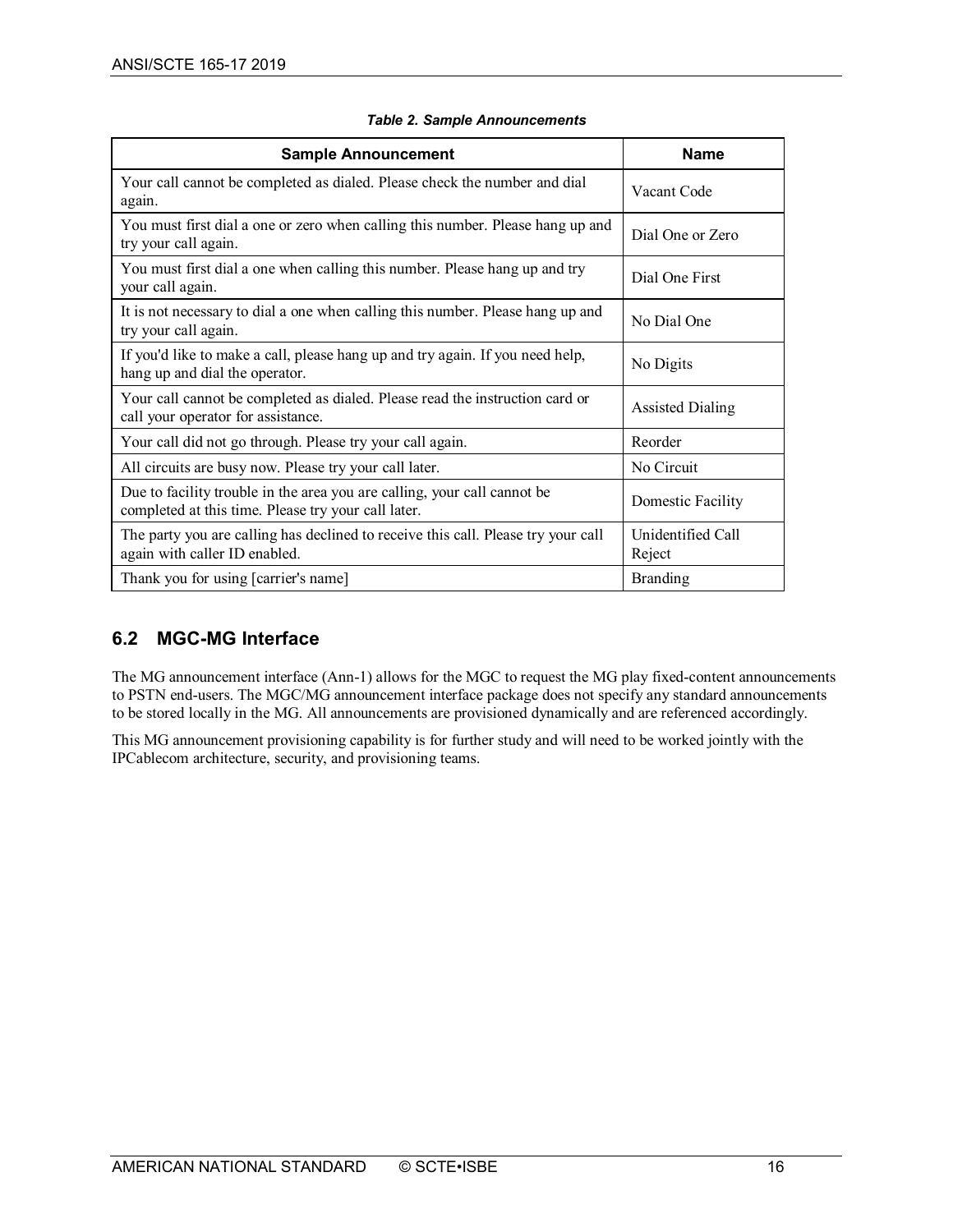<span id="page-15-1"></span>

| <b>Sample Announcement</b>                                                                                                      | <b>Name</b>                 |
|---------------------------------------------------------------------------------------------------------------------------------|-----------------------------|
| Your call cannot be completed as dialed. Please check the number and dial<br>again.                                             | Vacant Code                 |
| You must first dial a one or zero when calling this number. Please hang up and<br>try your call again.                          | Dial One or Zero            |
| You must first dial a one when calling this number. Please hang up and try<br>your call again.                                  | Dial One First              |
| It is not necessary to dial a one when calling this number. Please hang up and<br>try your call again.                          | No Dial One                 |
| If you'd like to make a call, please hang up and try again. If you need help,<br>hang up and dial the operator.                 | No Digits                   |
| Your call cannot be completed as dialed. Please read the instruction card or<br>call your operator for assistance.              | <b>Assisted Dialing</b>     |
| Your call did not go through. Please try your call again.                                                                       | Reorder                     |
| All circuits are busy now. Please try your call later.                                                                          | No Circuit                  |
| Due to facility trouble in the area you are calling, your call cannot be<br>completed at this time. Please try your call later. | Domestic Facility           |
| The party you are calling has declined to receive this call. Please try your call<br>again with caller ID enabled.              | Unidentified Call<br>Reject |
| Thank you for using [carrier's name]                                                                                            | <b>Branding</b>             |

#### *Table 2. Sample Announcements*

### <span id="page-15-0"></span>**6.2 MGC-MG Interface**

The MG announcement interface (Ann-1) allows for the MGC to request the MG play fixed-content announcements to PSTN end-users. The MGC/MG announcement interface package does not specify any standard announcements to be stored locally in the MG. All announcements are provisioned dynamically and are referenced accordingly.

This MG announcement provisioning capability is for further study and will need to be worked jointly with the IPCablecom architecture, security, and provisioning teams.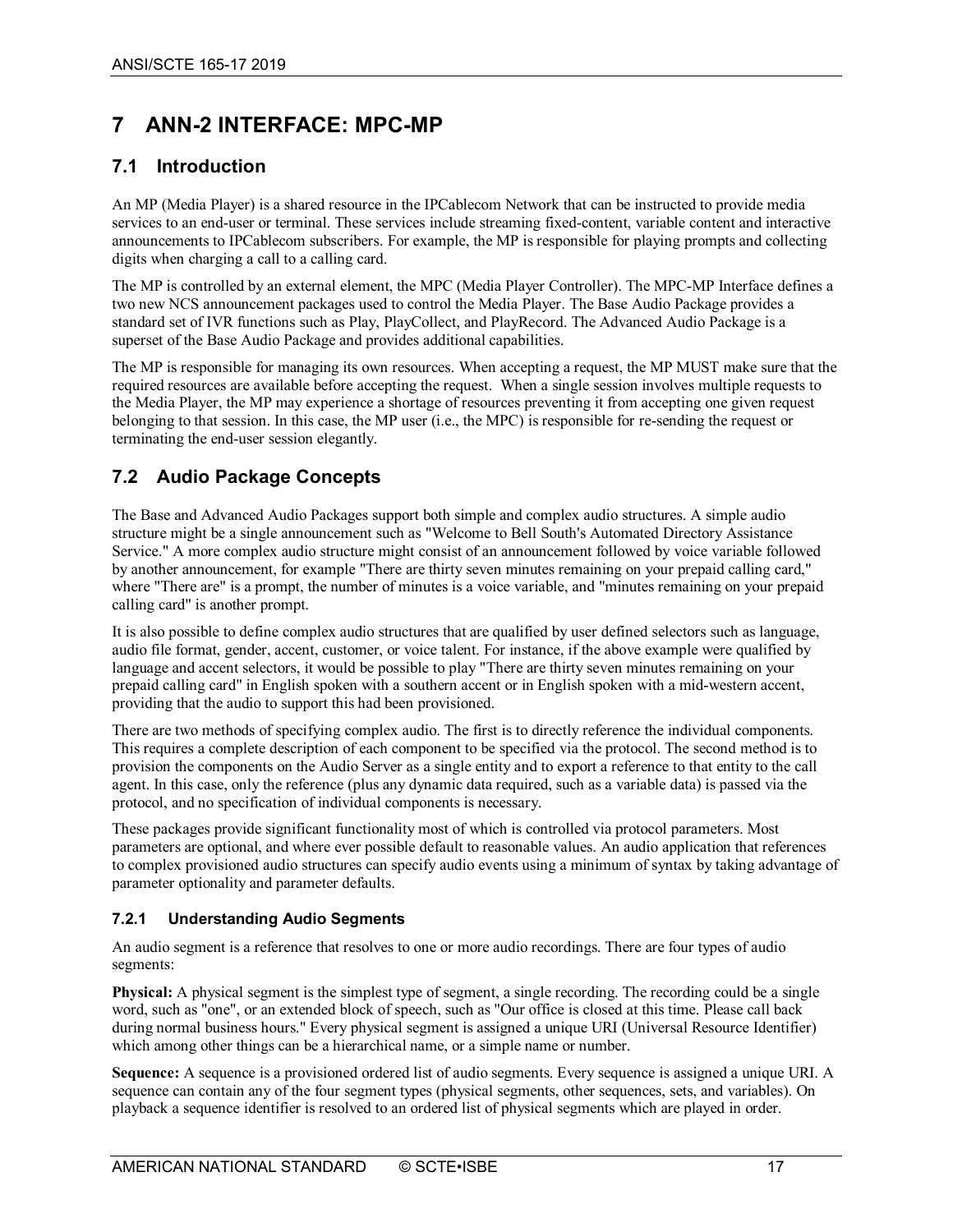## <span id="page-16-0"></span>**7 ANN-2 INTERFACE: MPC-MP**

## <span id="page-16-1"></span>**7.1 Introduction**

An MP (Media Player) is a shared resource in the IPCablecom Network that can be instructed to provide media services to an end-user or terminal. These services include streaming fixed-content, variable content and interactive announcements to IPCablecom subscribers. For example, the MP is responsible for playing prompts and collecting digits when charging a call to a calling card.

The MP is controlled by an external element, the MPC (Media Player Controller). The MPC-MP Interface defines a two new NCS announcement packages used to control the Media Player. The Base Audio Package provides a standard set of IVR functions such as Play, PlayCollect, and PlayRecord. The Advanced Audio Package is a superset of the Base Audio Package and provides additional capabilities.

The MP is responsible for managing its own resources. When accepting a request, the MP MUST make sure that the required resources are available before accepting the request. When a single session involves multiple requests to the Media Player, the MP may experience a shortage of resources preventing it from accepting one given request belonging to that session. In this case, the MP user (i.e., the MPC) is responsible for re-sending the request or terminating the end-user session elegantly.

## <span id="page-16-2"></span>**7.2 Audio Package Concepts**

The Base and Advanced Audio Packages support both simple and complex audio structures. A simple audio structure might be a single announcement such as "Welcome to Bell South's Automated Directory Assistance Service." A more complex audio structure might consist of an announcement followed by voice variable followed by another announcement, for example "There are thirty seven minutes remaining on your prepaid calling card," where "There are" is a prompt, the number of minutes is a voice variable, and "minutes remaining on your prepaid calling card" is another prompt.

It is also possible to define complex audio structures that are qualified by user defined selectors such as language, audio file format, gender, accent, customer, or voice talent. For instance, if the above example were qualified by language and accent selectors, it would be possible to play "There are thirty seven minutes remaining on your prepaid calling card" in English spoken with a southern accent or in English spoken with a mid-western accent, providing that the audio to support this had been provisioned.

There are two methods of specifying complex audio. The first is to directly reference the individual components. This requires a complete description of each component to be specified via the protocol. The second method is to provision the components on the Audio Server as a single entity and to export a reference to that entity to the call agent. In this case, only the reference (plus any dynamic data required, such as a variable data) is passed via the protocol, and no specification of individual components is necessary.

These packages provide significant functionality most of which is controlled via protocol parameters. Most parameters are optional, and where ever possible default to reasonable values. An audio application that references to complex provisioned audio structures can specify audio events using a minimum of syntax by taking advantage of parameter optionality and parameter defaults.

#### <span id="page-16-3"></span>**7.2.1 Understanding Audio Segments**

An audio segment is a reference that resolves to one or more audio recordings. There are four types of audio segments:

**Physical:** A physical segment is the simplest type of segment, a single recording. The recording could be a single word, such as "one", or an extended block of speech, such as "Our office is closed at this time. Please call back during normal business hours." Every physical segment is assigned a unique URI (Universal Resource Identifier) which among other things can be a hierarchical name, or a simple name or number.

**Sequence:** A sequence is a provisioned ordered list of audio segments. Every sequence is assigned a unique URI. A sequence can contain any of the four segment types (physical segments, other sequences, sets, and variables). On playback a sequence identifier is resolved to an ordered list of physical segments which are played in order.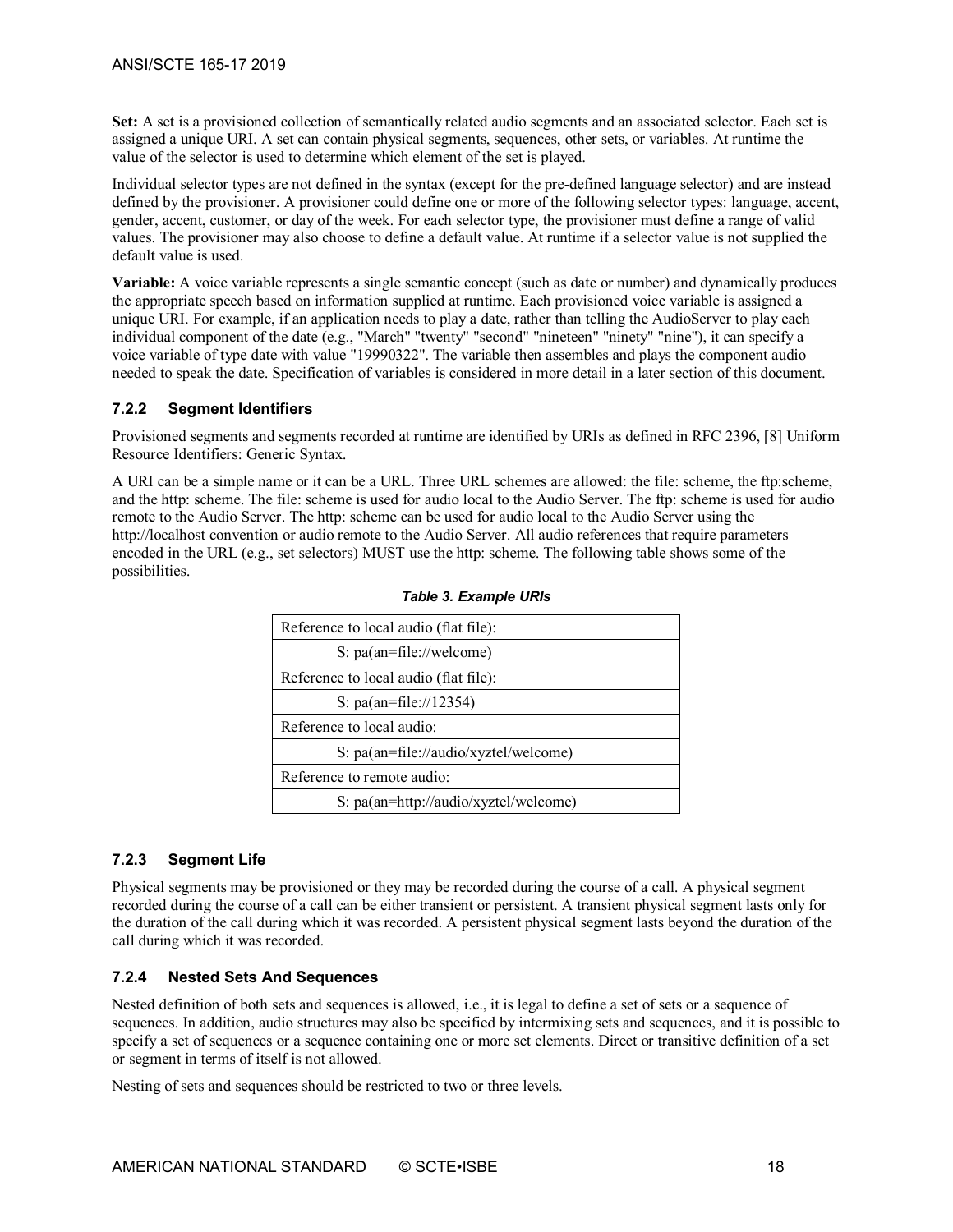**Set:** A set is a provisioned collection of semantically related audio segments and an associated selector. Each set is assigned a unique URI. A set can contain physical segments, sequences, other sets, or variables. At runtime the value of the selector is used to determine which element of the set is played.

Individual selector types are not defined in the syntax (except for the pre-defined language selector) and are instead defined by the provisioner. A provisioner could define one or more of the following selector types: language, accent, gender, accent, customer, or day of the week. For each selector type, the provisioner must define a range of valid values. The provisioner may also choose to define a default value. At runtime if a selector value is not supplied the default value is used.

**Variable:** A voice variable represents a single semantic concept (such as date or number) and dynamically produces the appropriate speech based on information supplied at runtime. Each provisioned voice variable is assigned a unique URI. For example, if an application needs to play a date, rather than telling the AudioServer to play each individual component of the date (e.g., "March" "twenty" "second" "nineteen" "ninety" "nine"), it can specify a voice variable of type date with value "19990322". The variable then assembles and plays the component audio needed to speak the date. Specification of variables is considered in more detail in a later section of this document.

#### <span id="page-17-0"></span>**7.2.2 Segment Identifiers**

Provisioned segments and segments recorded at runtime are identified by URIs as defined in RFC 2396, [\[8\]](#page-9-11) Uniform Resource Identifiers: Generic Syntax.

<span id="page-17-3"></span>A URI can be a simple name or it can be a URL. Three URL schemes are allowed: the file: scheme, the ftp:scheme, and the http: scheme. The file: scheme is used for audio local to the Audio Server. The ftp: scheme is used for audio remote to the Audio Server. The http: scheme can be used for audio local to the Audio Server using the http://localhost convention or audio remote to the Audio Server. All audio references that require parameters encoded in the URL (e.g., set selectors) MUST use the http: scheme. The following table shows some of the possibilities.

| Reference to local audio (flat file): |
|---------------------------------------|
| $S: pa(an=file://welcome)$            |
| Reference to local audio (flat file): |
| S: $pa(an=file://12354)$              |
| Reference to local audio:             |
| S: pa(an=file://audio/xyztel/welcome) |
| Reference to remote audio:            |
| S: pa(an=http://audio/xyztel/welcome) |

| Table 3. Example URIs |  |  |  |
|-----------------------|--|--|--|
|-----------------------|--|--|--|

#### <span id="page-17-1"></span>**7.2.3 Segment Life**

Physical segments may be provisioned or they may be recorded during the course of a call. A physical segment recorded during the course of a call can be either transient or persistent. A transient physical segment lasts only for the duration of the call during which it was recorded. A persistent physical segment lasts beyond the duration of the call during which it was recorded.

#### <span id="page-17-2"></span>**7.2.4 Nested Sets And Sequences**

Nested definition of both sets and sequences is allowed, i.e., it is legal to define a set of sets or a sequence of sequences. In addition, audio structures may also be specified by intermixing sets and sequences, and it is possible to specify a set of sequences or a sequence containing one or more set elements. Direct or transitive definition of a set or segment in terms of itself is not allowed.

Nesting of sets and sequences should be restricted to two or three levels.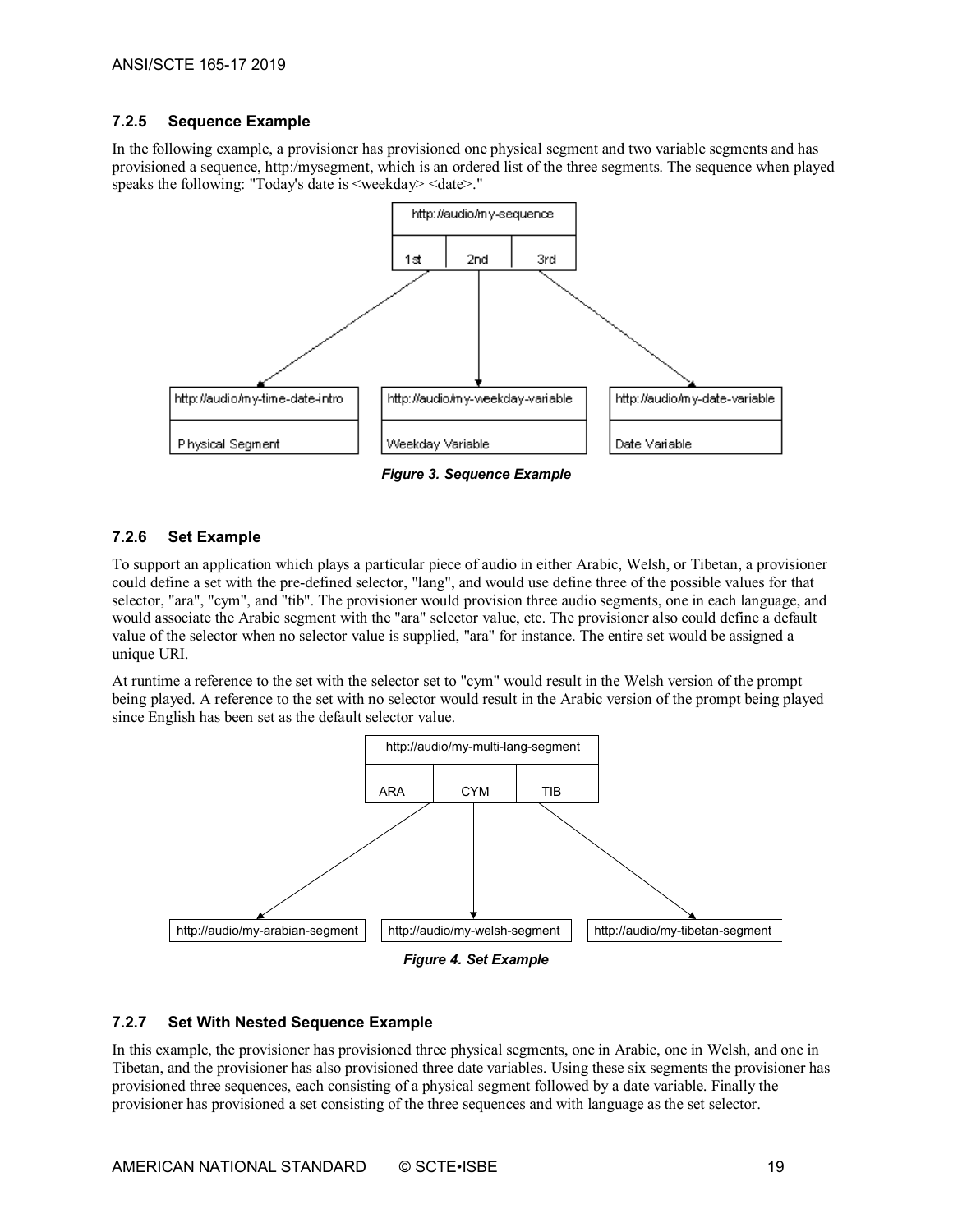#### <span id="page-18-0"></span>**7.2.5 Sequence Example**

In the following example, a provisioner has provisioned one physical segment and two variable segments and has provisioned a sequence, http:/mysegment, which is an ordered list of the three segments. The sequence when played speaks the following: "Today's date is <weekday> <date>."



*Figure 3. Sequence Example*

#### <span id="page-18-3"></span><span id="page-18-1"></span>**7.2.6 Set Example**

To support an application which plays a particular piece of audio in either Arabic, Welsh, or Tibetan, a provisioner could define a set with the pre-defined selector, "lang", and would use define three of the possible values for that selector, "ara", "cym", and "tib". The provisioner would provision three audio segments, one in each language, and would associate the Arabic segment with the "ara" selector value, etc. The provisioner also could define a default value of the selector when no selector value is supplied, "ara" for instance. The entire set would be assigned a unique URI.

At runtime a reference to the set with the selector set to "cym" would result in the Welsh version of the prompt being played. A reference to the set with no selector would result in the Arabic version of the prompt being played since English has been set as the default selector value.



*Figure 4. Set Example*

#### <span id="page-18-4"></span><span id="page-18-2"></span>**7.2.7 Set With Nested Sequence Example**

In this example, the provisioner has provisioned three physical segments, one in Arabic, one in Welsh, and one in Tibetan, and the provisioner has also provisioned three date variables. Using these six segments the provisioner has provisioned three sequences, each consisting of a physical segment followed by a date variable. Finally the provisioner has provisioned a set consisting of the three sequences and with language as the set selector.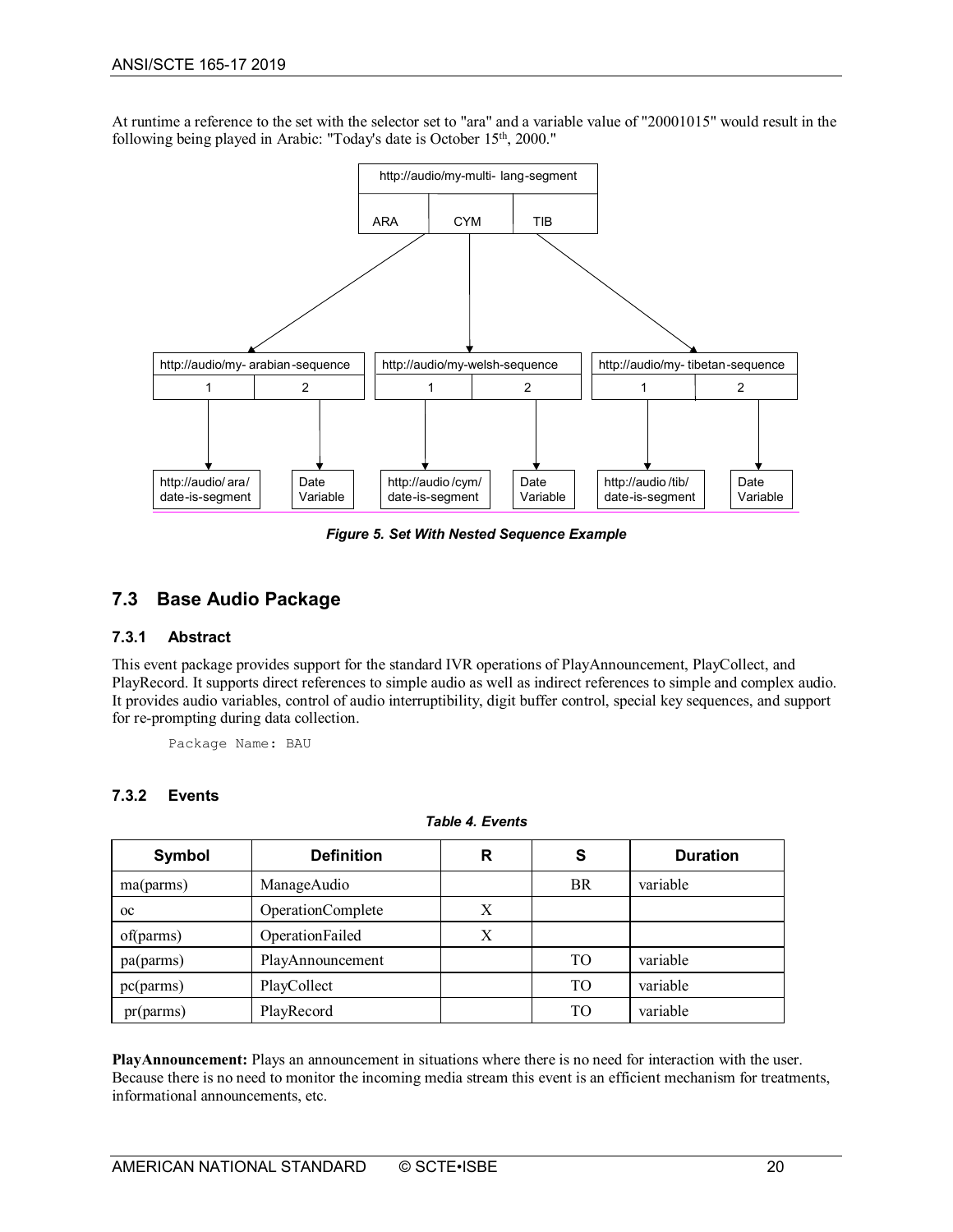At runtime a reference to the set with the selector set to "ara" and a variable value of "20001015" would result in the following being played in Arabic: "Today's date is October 15<sup>th</sup>, 2000."



*Figure 5. Set With Nested Sequence Example*

#### <span id="page-19-3"></span><span id="page-19-0"></span>**7.3 Base Audio Package**

#### <span id="page-19-1"></span>**7.3.1 Abstract**

This event package provides support for the standard IVR operations of PlayAnnouncement, PlayCollect, and PlayRecord. It supports direct references to simple audio as well as indirect references to simple and complex audio. It provides audio variables, control of audio interruptibility, digit buffer control, special key sequences, and support for re-prompting during data collection.

Package Name: BAU

#### <span id="page-19-2"></span>**7.3.2 Events**

<span id="page-19-4"></span>

| <b>Symbol</b> | <b>Definition</b> | R | S              | <b>Duration</b> |
|---------------|-------------------|---|----------------|-----------------|
| ma(parms)     | ManageAudio       |   | <b>BR</b>      | variable        |
| oc            | OperationComplete | X |                |                 |
| of(parms)     | OperationFailed   | X |                |                 |
| pa(parms)     | PlayAnnouncement  |   | T <sub>O</sub> | variable        |
| pc(parms)     | PlayCollect       |   | T <sub>O</sub> | variable        |
| pr(parms)     | PlayRecord        |   | TО             | variable        |

#### *Table 4. Events*

**PlayAnnouncement:** Plays an announcement in situations where there is no need for interaction with the user. Because there is no need to monitor the incoming media stream this event is an efficient mechanism for treatments, informational announcements, etc.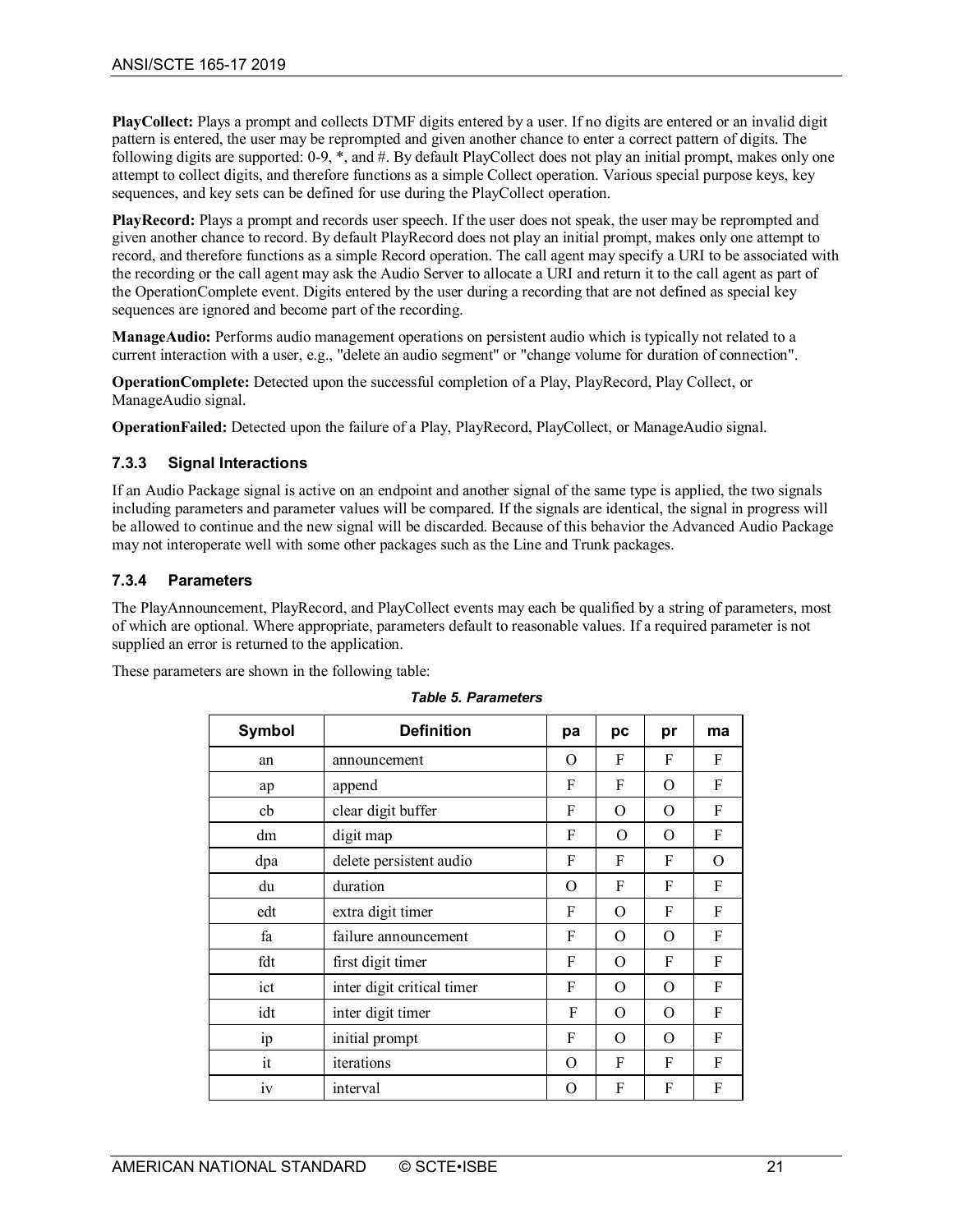**PlayCollect:** Plays a prompt and collects DTMF digits entered by a user. If no digits are entered or an invalid digit pattern is entered, the user may be reprompted and given another chance to enter a correct pattern of digits. The following digits are supported: 0-9, \*, and #. By default PlayCollect does not play an initial prompt, makes only one attempt to collect digits, and therefore functions as a simple Collect operation. Various special purpose keys, key sequences, and key sets can be defined for use during the PlayCollect operation.

**PlayRecord:** Plays a prompt and records user speech. If the user does not speak, the user may be reprompted and given another chance to record. By default PlayRecord does not play an initial prompt, makes only one attempt to record, and therefore functions as a simple Record operation. The call agent may specify a URI to be associated with the recording or the call agent may ask the Audio Server to allocate a URI and return it to the call agent as part of the OperationComplete event. Digits entered by the user during a recording that are not defined as special key sequences are ignored and become part of the recording.

**ManageAudio:** Performs audio management operations on persistent audio which is typically not related to a current interaction with a user, e.g., "delete an audio segment" or "change volume for duration of connection".

**OperationComplete:** Detected upon the successful completion of a Play, PlayRecord, Play Collect, or ManageAudio signal.

**OperationFailed:** Detected upon the failure of a Play, PlayRecord, PlayCollect, or ManageAudio signal.

#### <span id="page-20-0"></span>**7.3.3 Signal Interactions**

If an Audio Package signal is active on an endpoint and another signal of the same type is applied, the two signals including parameters and parameter values will be compared. If the signals are identical, the signal in progress will be allowed to continue and the new signal will be discarded. Because of this behavior the Advanced Audio Package may not interoperate well with some other packages such as the Line and Trunk packages.

#### <span id="page-20-1"></span>**7.3.4 Parameters**

The PlayAnnouncement, PlayRecord, and PlayCollect events may each be qualified by a string of parameters, most of which are optional. Where appropriate, parameters default to reasonable values. If a required parameter is not supplied an error is returned to the application.

<span id="page-20-2"></span>These parameters are shown in the following table:

| <b>Symbol</b> | <b>Definition</b>          | pa | рc       | pr       | ma |
|---------------|----------------------------|----|----------|----------|----|
| an            | announcement               | Ο  | F        | F        | F  |
| ap            | append                     | F  | F        | O        | F  |
| cb            | clear digit buffer         | F  | Ω        | O        | F  |
| dm            | digit map                  | F  | Ω        | O        | F  |
| dpa           | delete persistent audio    | F  | F        | F        | O  |
| du            | duration                   | O  | F        | F        | F  |
| edt           | extra digit timer          | F  | $\Omega$ | F        | F  |
| fa            | failure announcement       | F  | Ω        | O        | F  |
| fdt           | first digit timer          | F  | $\Omega$ | F        | F  |
| ict           | inter digit critical timer | F  | O        | O        | F  |
| idt           | inter digit timer          | F  | O        | $\Omega$ | F  |
| ip            | initial prompt             | F  | O        | O        | F  |
| it            | iterations                 | O  | F        | F        | F  |
| iv            | interval                   | O  | F        | F        | F  |

#### *Table 5. Parameters*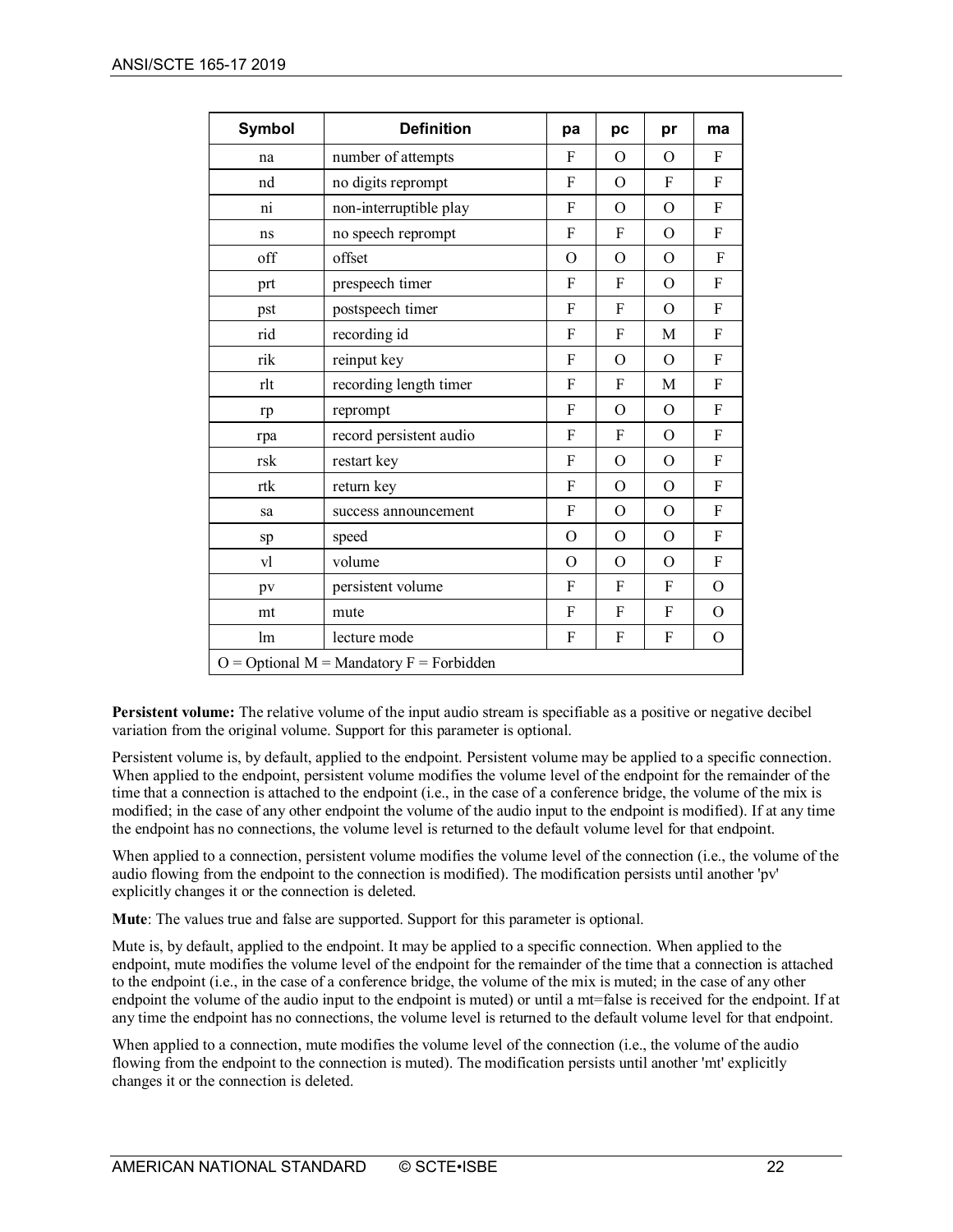| <b>Symbol</b>                              | <b>Definition</b>       | pa            | pc            | pr             | ma               |
|--------------------------------------------|-------------------------|---------------|---------------|----------------|------------------|
| na                                         | number of attempts      | F             | $\mathcal{O}$ | $\mathcal{O}$  | F                |
| nd                                         | no digits reprompt      | $\mathbf{F}$  | $\Omega$      | F              | $\mathbf{F}$     |
| $\overline{\text{ni}}$                     | non-interruptible play  | F             | $\Omega$      | $\mathcal{O}$  | F                |
| ns                                         | no speech reprompt      | $\mathbf{F}$  | F             | $\Omega$       | $\boldsymbol{F}$ |
| off                                        | offset                  | $\mathcal{O}$ | $\mathcal{O}$ | $\mathcal{O}$  | F                |
| prt                                        | prespeech timer         | F             | F             | $\Omega$       | F                |
| pst                                        | postspeech timer        | F             | F             | $\mathcal{O}$  | $\boldsymbol{F}$ |
| rid                                        | recording id            | F             | F             | M              | F                |
| rik                                        | reinput key             | F             | $\Omega$      | $\mathcal{O}$  | $\mathbf{F}$     |
| rlt                                        | recording length timer  | F             | F             | M              | F                |
| rp                                         | reprompt                | F             | $\Omega$      | $\mathcal{O}$  | F                |
| rpa                                        | record persistent audio | $\mathbf{F}$  | F             | $\Omega$       | $\mathbf{F}$     |
| rsk                                        | restart key             | F             | $\Omega$      | $\mathcal{O}$  | F                |
| rtk                                        | return key              | F             | $\mathcal{O}$ | $\Omega$       | $\mathbf F$      |
| sa                                         | success announcement    | F             | $\mathcal{O}$ | $\mathcal{O}$  | F                |
| sp                                         | speed                   | O             | $\Omega$      | $\overline{O}$ | $\mathbf{F}$     |
| vl                                         | volume                  | $\mathcal{O}$ | $\mathcal{O}$ | $\mathcal{O}$  | ${\bf F}$        |
| pv                                         | persistent volume       | $\mathbf{F}$  | F             | F              | $\Omega$         |
| mt                                         | mute                    | F             | F             | F              | $\mathcal{O}$    |
| lm                                         | lecture mode            | F             | F             | F              | $\Omega$         |
| $O =$ Optional M = Mandatory F = Forbidden |                         |               |               |                |                  |

**Persistent volume:** The relative volume of the input audio stream is specifiable as a positive or negative decibel variation from the original volume. Support for this parameter is optional.

Persistent volume is, by default, applied to the endpoint. Persistent volume may be applied to a specific connection. When applied to the endpoint, persistent volume modifies the volume level of the endpoint for the remainder of the time that a connection is attached to the endpoint (i.e., in the case of a conference bridge, the volume of the mix is modified; in the case of any other endpoint the volume of the audio input to the endpoint is modified). If at any time the endpoint has no connections, the volume level is returned to the default volume level for that endpoint.

When applied to a connection, persistent volume modifies the volume level of the connection (i.e., the volume of the audio flowing from the endpoint to the connection is modified). The modification persists until another 'pv' explicitly changes it or the connection is deleted.

**Mute**: The values true and false are supported. Support for this parameter is optional.

Mute is, by default, applied to the endpoint. It may be applied to a specific connection. When applied to the endpoint, mute modifies the volume level of the endpoint for the remainder of the time that a connection is attached to the endpoint (i.e., in the case of a conference bridge, the volume of the mix is muted; in the case of any other endpoint the volume of the audio input to the endpoint is muted) or until a mt=false is received for the endpoint. If at any time the endpoint has no connections, the volume level is returned to the default volume level for that endpoint.

When applied to a connection, mute modifies the volume level of the connection (i.e., the volume of the audio flowing from the endpoint to the connection is muted). The modification persists until another 'mt' explicitly changes it or the connection is deleted.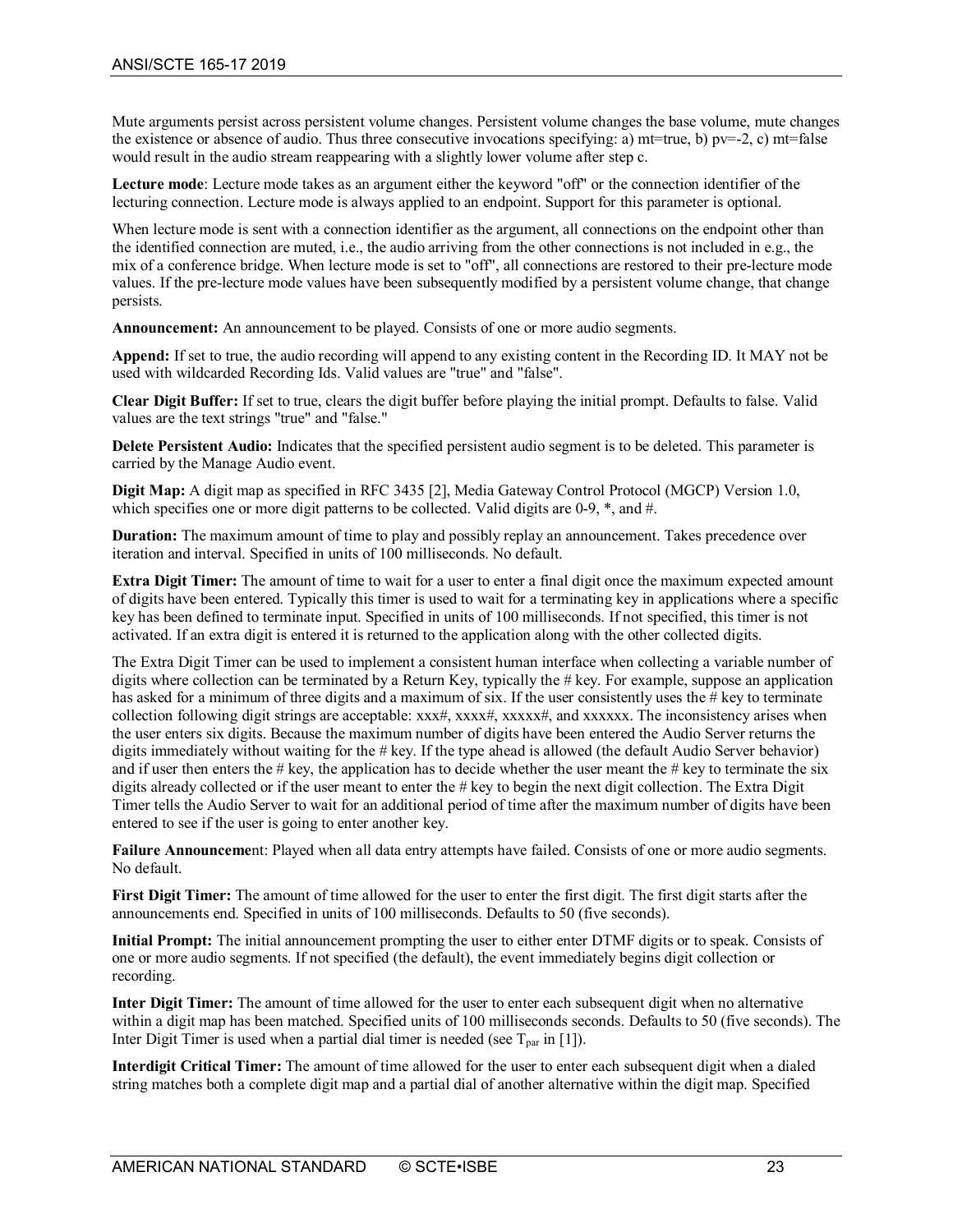Mute arguments persist across persistent volume changes. Persistent volume changes the base volume, mute changes the existence or absence of audio. Thus three consecutive invocations specifying: a) mt=true, b)  $pv=-2$ , c) mt=false would result in the audio stream reappearing with a slightly lower volume after step c.

**Lecture mode**: Lecture mode takes as an argument either the keyword "off" or the connection identifier of the lecturing connection. Lecture mode is always applied to an endpoint. Support for this parameter is optional.

When lecture mode is sent with a connection identifier as the argument, all connections on the endpoint other than the identified connection are muted, i.e., the audio arriving from the other connections is not included in e.g., the mix of a conference bridge. When lecture mode is set to "off", all connections are restored to their pre-lecture mode values. If the pre-lecture mode values have been subsequently modified by a persistent volume change, that change persists.

**Announcement:** An announcement to be played. Consists of one or more audio segments.

**Append:** If set to true, the audio recording will append to any existing content in the Recording ID. It MAY not be used with wildcarded Recording Ids. Valid values are "true" and "false".

**Clear Digit Buffer:** If set to true, clears the digit buffer before playing the initial prompt. Defaults to false. Valid values are the text strings "true" and "false."

**Delete Persistent Audio:** Indicates that the specified persistent audio segment is to be deleted. This parameter is carried by the Manage Audio event.

**Digit Map:** A digit map as specified in RFC 343[5 \[2\],](#page-9-10) Media Gateway Control Protocol (MGCP) Version 1.0, which specifies one or more digit patterns to be collected. Valid digits are  $0.9$ ,  $*$ , and  $#$ .

**Duration:** The maximum amount of time to play and possibly replay an announcement. Takes precedence over iteration and interval. Specified in units of 100 milliseconds. No default.

**Extra Digit Timer:** The amount of time to wait for a user to enter a final digit once the maximum expected amount of digits have been entered. Typically this timer is used to wait for a terminating key in applications where a specific key has been defined to terminate input. Specified in units of 100 milliseconds. If not specified, this timer is not activated. If an extra digit is entered it is returned to the application along with the other collected digits.

The Extra Digit Timer can be used to implement a consistent human interface when collecting a variable number of digits where collection can be terminated by a Return Key, typically the # key. For example, suppose an application has asked for a minimum of three digits and a maximum of six. If the user consistently uses the # key to terminate collection following digit strings are acceptable: xxx#, xxxx#, xxxxx#, and xxxxxx. The inconsistency arises when the user enters six digits. Because the maximum number of digits have been entered the Audio Server returns the digits immediately without waiting for the # key. If the type ahead is allowed (the default Audio Server behavior) and if user then enters the # key, the application has to decide whether the user meant the # key to terminate the six digits already collected or if the user meant to enter the # key to begin the next digit collection. The Extra Digit Timer tells the Audio Server to wait for an additional period of time after the maximum number of digits have been entered to see if the user is going to enter another key.

**Failure Announceme**nt: Played when all data entry attempts have failed. Consists of one or more audio segments. No default.

**First Digit Timer:** The amount of time allowed for the user to enter the first digit. The first digit starts after the announcements end. Specified in units of 100 milliseconds. Defaults to 50 (five seconds).

**Initial Prompt:** The initial announcement prompting the user to either enter DTMF digits or to speak. Consists of one or more audio segments. If not specified (the default), the event immediately begins digit collection or recording.

**Inter Digit Timer:** The amount of time allowed for the user to enter each subsequent digit when no alternative within a digit map has been matched. Specified units of 100 milliseconds seconds. Defaults to 50 (five seconds). The Inter Digit Timer is used when a partial dial timer is needed (see  $T_{\text{par}}$  in [\[1\]\)](#page-9-8).

**Interdigit Critical Timer:** The amount of time allowed for the user to enter each subsequent digit when a dialed string matches both a complete digit map and a partial dial of another alternative within the digit map. Specified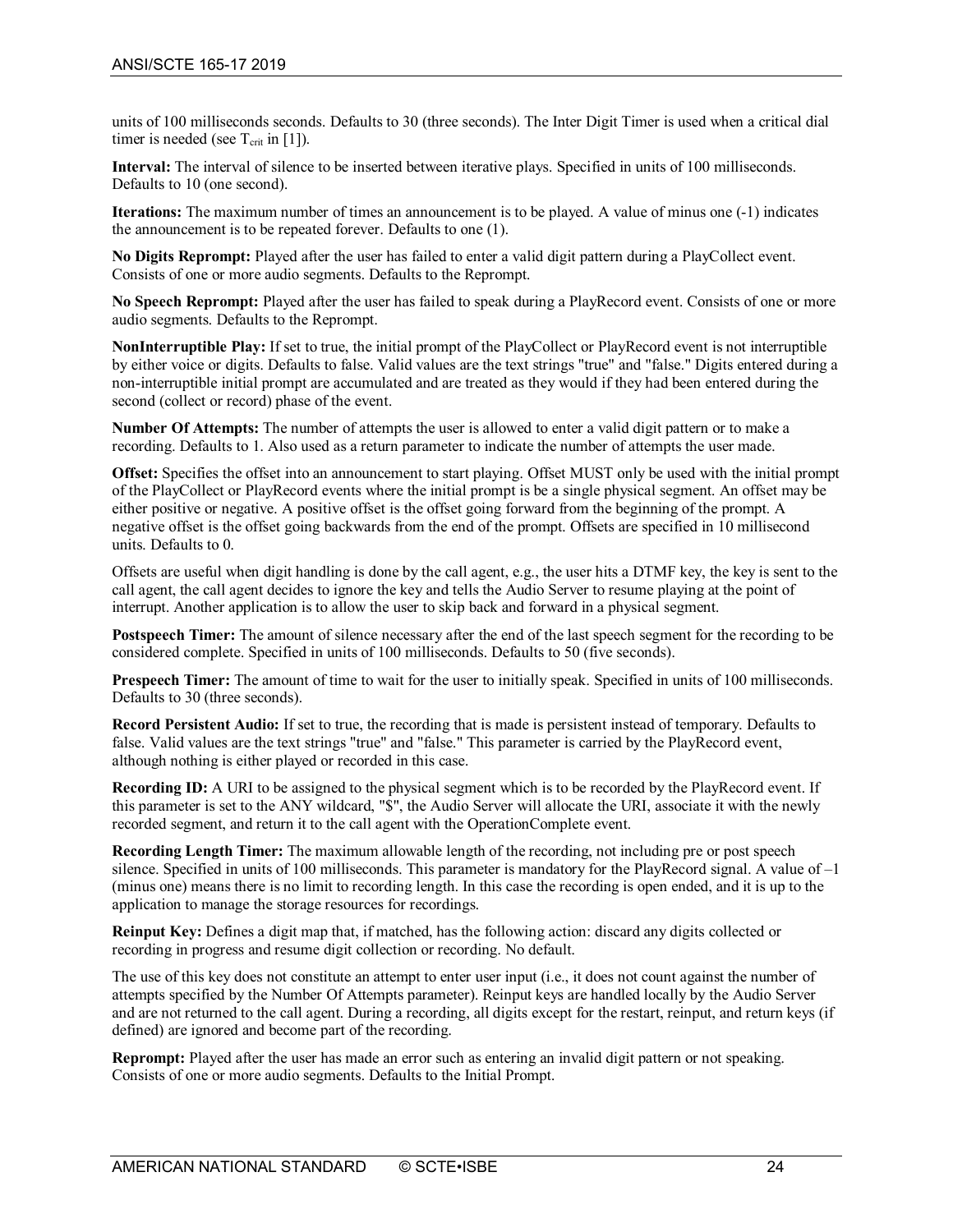units of 100 milliseconds seconds. Defaults to 30 (three seconds). The Inter Digit Timer is used when a critical dial timer is needed (see  $T_{crit}$  in [\[1\]\)](#page-9-8).

**Interval:** The interval of silence to be inserted between iterative plays. Specified in units of 100 milliseconds. Defaults to 10 (one second).

**Iterations:** The maximum number of times an announcement is to be played. A value of minus one (-1) indicates the announcement is to be repeated forever. Defaults to one (1).

**No Digits Reprompt:** Played after the user has failed to enter a valid digit pattern during a PlayCollect event. Consists of one or more audio segments. Defaults to the Reprompt.

**No Speech Reprompt:** Played after the user has failed to speak during a PlayRecord event. Consists of one or more audio segments. Defaults to the Reprompt.

**NonInterruptible Play:** If set to true, the initial prompt of the PlayCollect or PlayRecord event is not interruptible by either voice or digits. Defaults to false. Valid values are the text strings "true" and "false." Digits entered during a non-interruptible initial prompt are accumulated and are treated as they would if they had been entered during the second (collect or record) phase of the event.

**Number Of Attempts:** The number of attempts the user is allowed to enter a valid digit pattern or to make a recording. Defaults to 1. Also used as a return parameter to indicate the number of attempts the user made.

**Offset:** Specifies the offset into an announcement to start playing. Offset MUST only be used with the initial prompt of the PlayCollect or PlayRecord events where the initial prompt is be a single physical segment. An offset may be either positive or negative. A positive offset is the offset going forward from the beginning of the prompt. A negative offset is the offset going backwards from the end of the prompt. Offsets are specified in 10 millisecond units. Defaults to 0.

Offsets are useful when digit handling is done by the call agent, e.g., the user hits a DTMF key, the key is sent to the call agent, the call agent decides to ignore the key and tells the Audio Server to resume playing at the point of interrupt. Another application is to allow the user to skip back and forward in a physical segment.

**Postspeech Timer:** The amount of silence necessary after the end of the last speech segment for the recording to be considered complete. Specified in units of 100 milliseconds. Defaults to 50 (five seconds).

**Prespeech Timer:** The amount of time to wait for the user to initially speak. Specified in units of 100 milliseconds. Defaults to 30 (three seconds).

**Record Persistent Audio:** If set to true, the recording that is made is persistent instead of temporary. Defaults to false. Valid values are the text strings "true" and "false." This parameter is carried by the PlayRecord event, although nothing is either played or recorded in this case.

**Recording ID:** A URI to be assigned to the physical segment which is to be recorded by the PlayRecord event. If this parameter is set to the ANY wildcard, "\$", the Audio Server will allocate the URI, associate it with the newly recorded segment, and return it to the call agent with the OperationComplete event.

**Recording Length Timer:** The maximum allowable length of the recording, not including pre or post speech silence. Specified in units of 100 milliseconds. This parameter is mandatory for the PlayRecord signal. A value of –1 (minus one) means there is no limit to recording length. In this case the recording is open ended, and it is up to the application to manage the storage resources for recordings.

**Reinput Key:** Defines a digit map that, if matched, has the following action: discard any digits collected or recording in progress and resume digit collection or recording. No default.

The use of this key does not constitute an attempt to enter user input (i.e., it does not count against the number of attempts specified by the Number Of Attempts parameter). Reinput keys are handled locally by the Audio Server and are not returned to the call agent. During a recording, all digits except for the restart, reinput, and return keys (if defined) are ignored and become part of the recording.

**Reprompt:** Played after the user has made an error such as entering an invalid digit pattern or not speaking. Consists of one or more audio segments. Defaults to the Initial Prompt.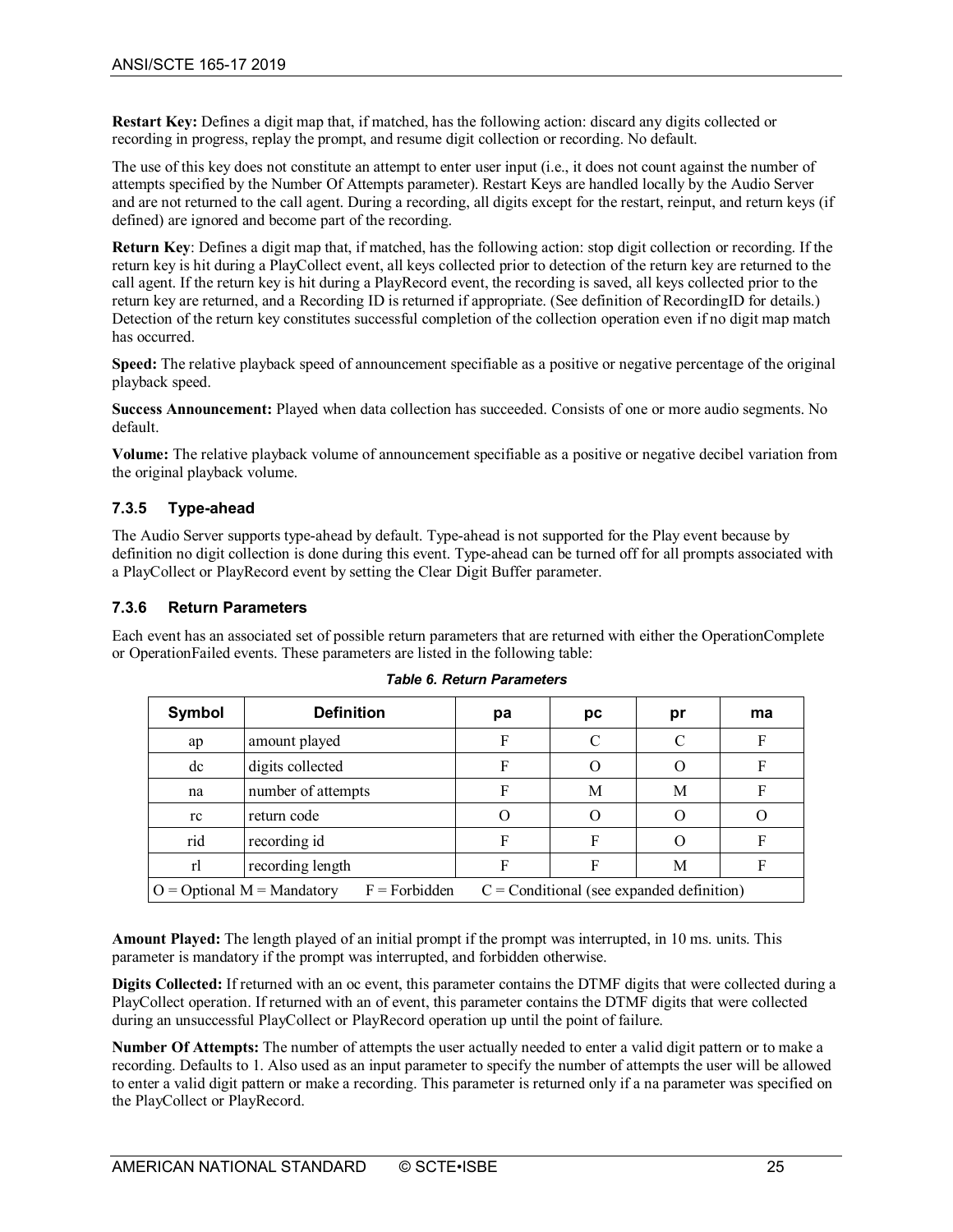**Restart Key:** Defines a digit map that, if matched, has the following action: discard any digits collected or recording in progress, replay the prompt, and resume digit collection or recording. No default.

The use of this key does not constitute an attempt to enter user input (i.e., it does not count against the number of attempts specified by the Number Of Attempts parameter). Restart Keys are handled locally by the Audio Server and are not returned to the call agent. During a recording, all digits except for the restart, reinput, and return keys (if defined) are ignored and become part of the recording.

**Return Key**: Defines a digit map that, if matched, has the following action: stop digit collection or recording. If the return key is hit during a PlayCollect event, all keys collected prior to detection of the return key are returned to the call agent. If the return key is hit during a PlayRecord event, the recording is saved, all keys collected prior to the return key are returned, and a Recording ID is returned if appropriate. (See definition of RecordingID for details.) Detection of the return key constitutes successful completion of the collection operation even if no digit map match has occurred.

**Speed:** The relative playback speed of announcement specifiable as a positive or negative percentage of the original playback speed.

**Success Announcement:** Played when data collection has succeeded. Consists of one or more audio segments. No default.

**Volume:** The relative playback volume of announcement specifiable as a positive or negative decibel variation from the original playback volume.

#### <span id="page-24-0"></span>**7.3.5 Type-ahead**

The Audio Server supports type-ahead by default. Type-ahead is not supported for the Play event because by definition no digit collection is done during this event. Type-ahead can be turned off for all prompts associated with a PlayCollect or PlayRecord event by setting the Clear Digit Buffer parameter.

#### <span id="page-24-1"></span>**7.3.6 Return Parameters**

<span id="page-24-2"></span>Each event has an associated set of possible return parameters that are returned with either the OperationComplete or OperationFailed events. These parameters are listed in the following table:

| Symbol                                                                                                        | <b>Definition</b>  | рa | рc | pr       | ma |
|---------------------------------------------------------------------------------------------------------------|--------------------|----|----|----------|----|
| ap                                                                                                            | amount played      | F  |    | C        | F  |
| dc                                                                                                            | digits collected   | F  |    | Ω        | F  |
| na                                                                                                            | number of attempts | F  | M  | M        | F  |
| rc                                                                                                            | return code        | O  |    | $\Omega$ |    |
| rid                                                                                                           | recording id       | F  | F  | $\left($ | F  |
| rl                                                                                                            | recording length   | F  | F  | M        | F  |
| $O = \text{Optional } M = \text{Mandatory}$<br>$F =$ Forbidden<br>$C =$ Conditional (see expanded definition) |                    |    |    |          |    |

|  |  |  |  | <b>Table 6. Return Parameters</b> |
|--|--|--|--|-----------------------------------|
|--|--|--|--|-----------------------------------|

**Amount Played:** The length played of an initial prompt if the prompt was interrupted, in 10 ms. units. This parameter is mandatory if the prompt was interrupted, and forbidden otherwise.

**Digits Collected:** If returned with an oc event, this parameter contains the DTMF digits that were collected during a PlayCollect operation. If returned with an of event, this parameter contains the DTMF digits that were collected during an unsuccessful PlayCollect or PlayRecord operation up until the point of failure.

**Number Of Attempts:** The number of attempts the user actually needed to enter a valid digit pattern or to make a recording. Defaults to 1. Also used as an input parameter to specify the number of attempts the user will be allowed to enter a valid digit pattern or make a recording. This parameter is returned only if a na parameter was specified on the PlayCollect or PlayRecord.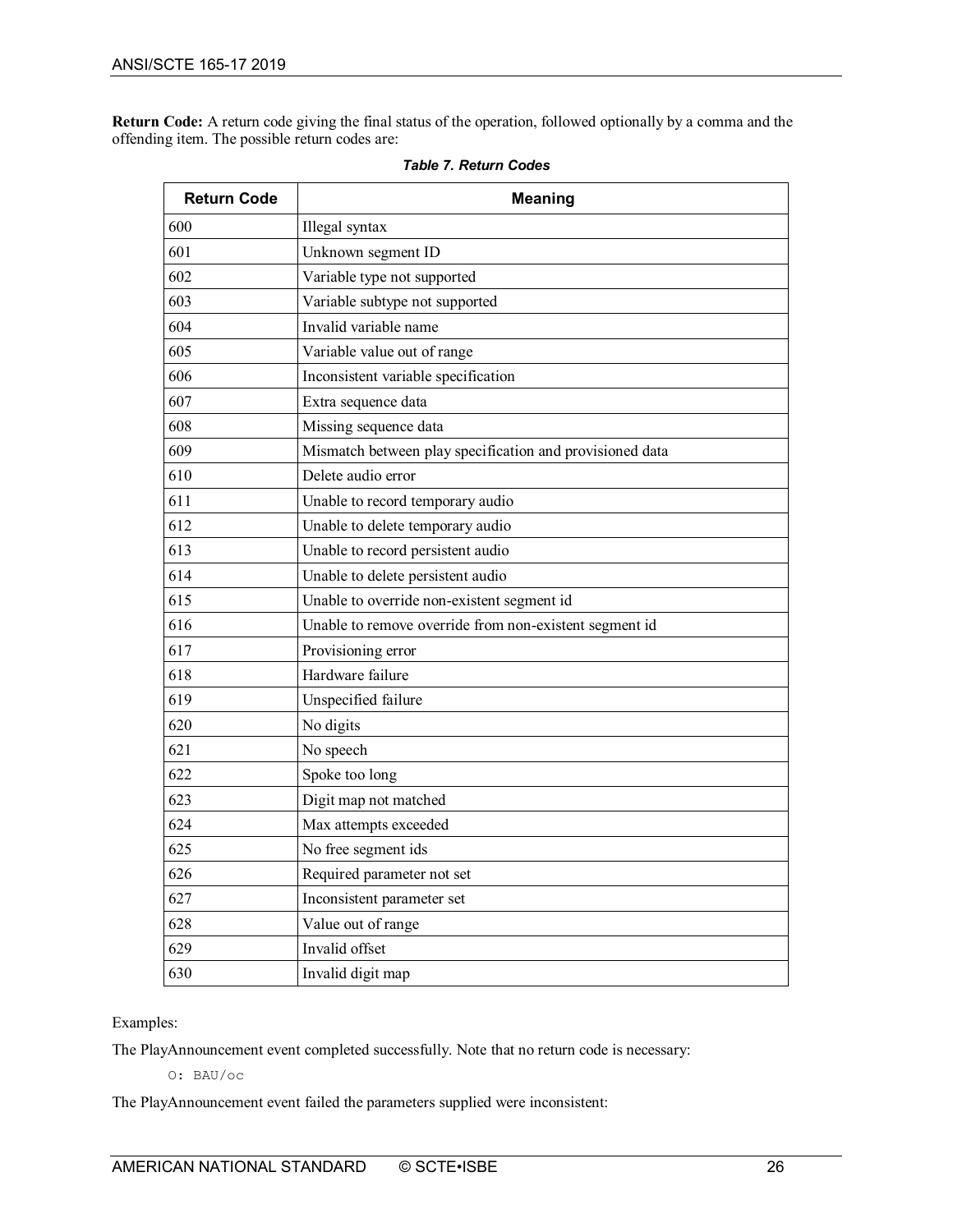<span id="page-25-0"></span>**Return Code:** A return code giving the final status of the operation, followed optionally by a comma and the offending item. The possible return codes are:

| <b>Return Code</b> | <b>Meaning</b>                                           |
|--------------------|----------------------------------------------------------|
| 600                | Illegal syntax                                           |
| 601                | Unknown segment ID                                       |
| 602                | Variable type not supported                              |
| 603                | Variable subtype not supported                           |
| 604                | Invalid variable name                                    |
| 605                | Variable value out of range                              |
| 606                | Inconsistent variable specification                      |
| 607                | Extra sequence data                                      |
| 608                | Missing sequence data                                    |
| 609                | Mismatch between play specification and provisioned data |
| 610                | Delete audio error                                       |
| 611                | Unable to record temporary audio                         |
| 612                | Unable to delete temporary audio                         |
| 613                | Unable to record persistent audio                        |
| 614                | Unable to delete persistent audio                        |
| 615                | Unable to override non-existent segment id               |
| 616                | Unable to remove override from non-existent segment id   |
| 617                | Provisioning error                                       |
| 618                | Hardware failure                                         |
| 619                | Unspecified failure                                      |
| 620                | No digits                                                |
| 621                | No speech                                                |
| 622                | Spoke too long                                           |
| 623                | Digit map not matched                                    |
| 624                | Max attempts exceeded                                    |
| 625                | No free segment ids                                      |
| 626                | Required parameter not set                               |
| 627                | Inconsistent parameter set                               |
| 628                | Value out of range                                       |
| 629                | Invalid offset                                           |
| 630                | Invalid digit map                                        |

#### *Table 7. Return Codes*

#### Examples:

The PlayAnnouncement event completed successfully. Note that no return code is necessary:

O: BAU/oc

The PlayAnnouncement event failed the parameters supplied were inconsistent: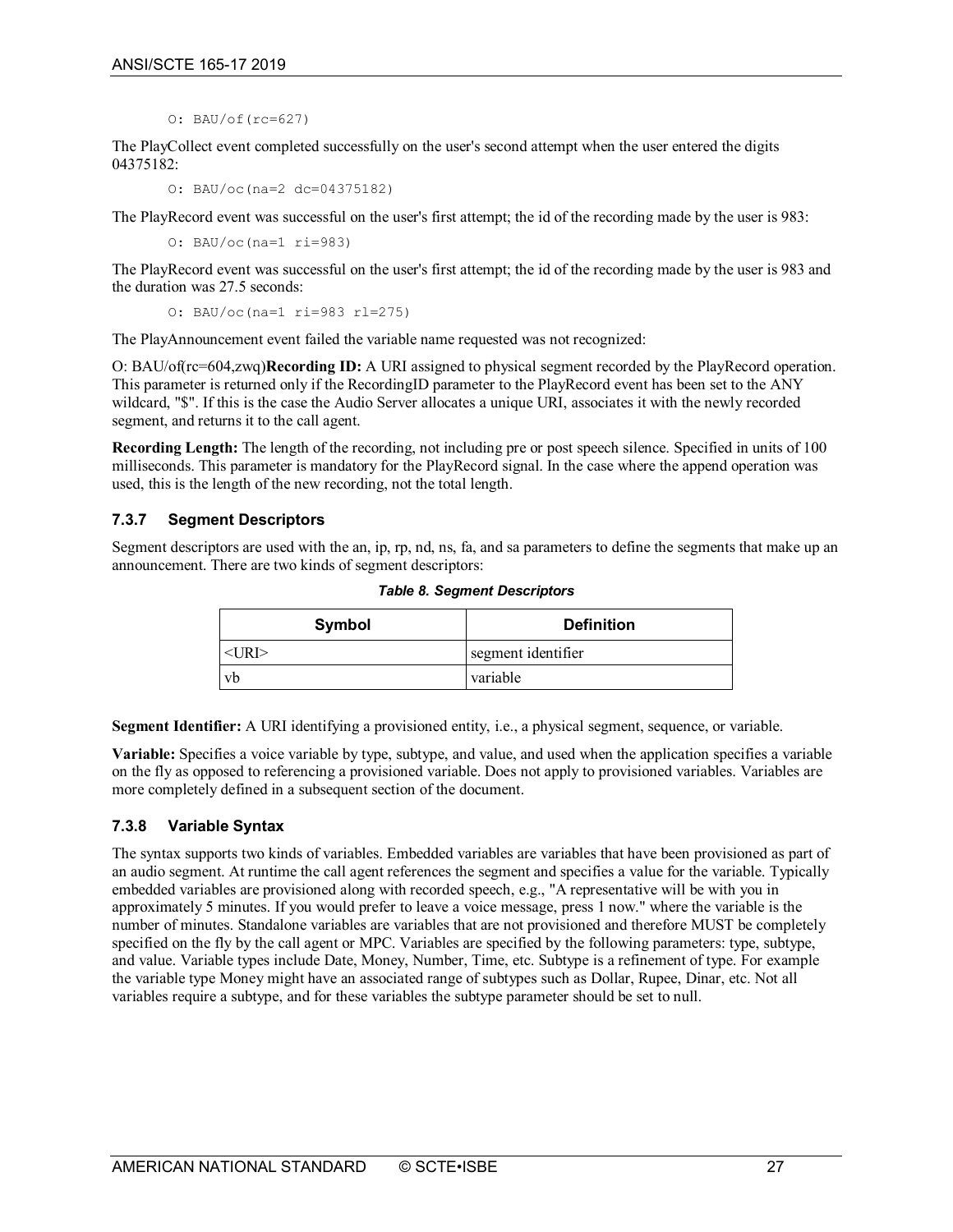O: BAU/of(rc=627)

The PlayCollect event completed successfully on the user's second attempt when the user entered the digits 04375182:

O: BAU/oc(na=2 dc=04375182)

The PlayRecord event was successful on the user's first attempt; the id of the recording made by the user is 983:

O: BAU/oc(na=1 ri=983)

The PlayRecord event was successful on the user's first attempt; the id of the recording made by the user is 983 and the duration was 27.5 seconds:

O: BAU/oc(na=1 ri=983 rl=275)

The PlayAnnouncement event failed the variable name requested was not recognized:

O: BAU/of(rc=604,zwq)**Recording ID:** A URI assigned to physical segment recorded by the PlayRecord operation. This parameter is returned only if the RecordingID parameter to the PlayRecord event has been set to the ANY wildcard, "\$". If this is the case the Audio Server allocates a unique URI, associates it with the newly recorded segment, and returns it to the call agent.

**Recording Length:** The length of the recording, not including pre or post speech silence. Specified in units of 100 milliseconds. This parameter is mandatory for the PlayRecord signal. In the case where the append operation was used, this is the length of the new recording, not the total length.

#### <span id="page-26-0"></span>**7.3.7 Segment Descriptors**

<span id="page-26-2"></span>Segment descriptors are used with the an, ip, rp, nd, ns, fa, and sa parameters to define the segments that make up an announcement. There are two kinds of segment descriptors:

| Symbol | <b>Definition</b>  |
|--------|--------------------|
|        | segment identifier |
| vb     | variable           |

*Table 8. Segment Descriptors*

**Segment Identifier:** A URI identifying a provisioned entity, i.e., a physical segment, sequence, or variable.

**Variable:** Specifies a voice variable by type, subtype, and value, and used when the application specifies a variable on the fly as opposed to referencing a provisioned variable. Does not apply to provisioned variables. Variables are more completely defined in a subsequent section of the document.

#### <span id="page-26-1"></span>**7.3.8 Variable Syntax**

The syntax supports two kinds of variables. Embedded variables are variables that have been provisioned as part of an audio segment. At runtime the call agent references the segment and specifies a value for the variable. Typically embedded variables are provisioned along with recorded speech, e.g., "A representative will be with you in approximately 5 minutes. If you would prefer to leave a voice message, press 1 now." where the variable is the number of minutes. Standalone variables are variables that are not provisioned and therefore MUST be completely specified on the fly by the call agent or MPC. Variables are specified by the following parameters: type, subtype, and value. Variable types include Date, Money, Number, Time, etc. Subtype is a refinement of type. For example the variable type Money might have an associated range of subtypes such as Dollar, Rupee, Dinar, etc. Not all variables require a subtype, and for these variables the subtype parameter should be set to null.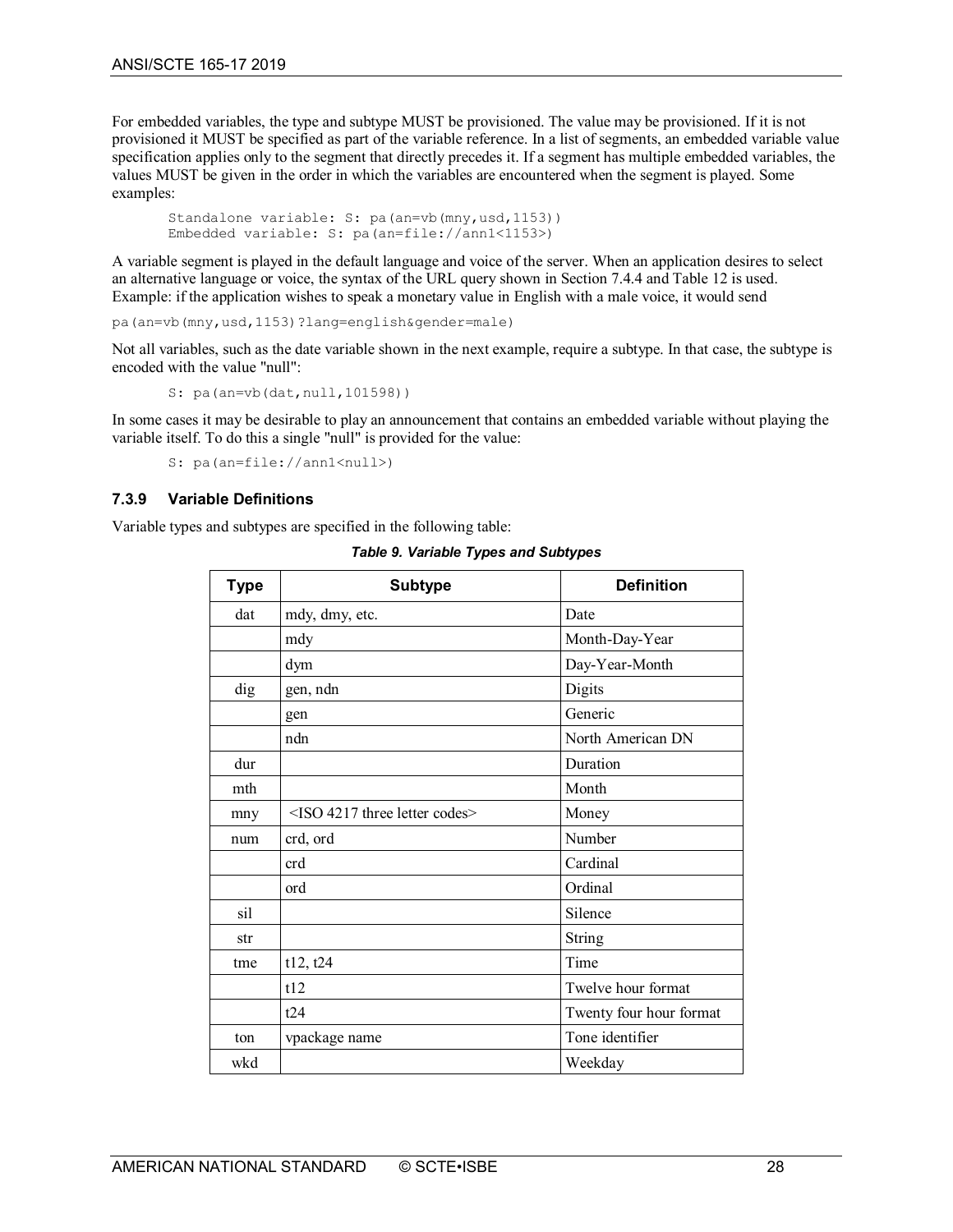For embedded variables, the type and subtype MUST be provisioned. The value may be provisioned. If it is not provisioned it MUST be specified as part of the variable reference. In a list of segments, an embedded variable value specification applies only to the segment that directly precedes it. If a segment has multiple embedded variables, the values MUST be given in the order in which the variables are encountered when the segment is played. Some examples:

```
Standalone variable: S: pa (an=vb (mny, usd, 1153))
Embedded variable: S: pa(an=file://ann1<1153>)
```
A variable segment is played in the default language and voice of the server. When an application desires to select an alternative language or voice, the syntax of the URL query shown in Sectio[n 7.4.4](#page-32-0) an[d Table](#page-32-4) 12 is used. Example: if the application wishes to speak a monetary value in English with a male voice, it would send

pa(an=vb(mny,usd,1153)?lang=english&gender=male)

Not all variables, such as the date variable shown in the next example, require a subtype. In that case, the subtype is encoded with the value "null":

```
S: pa(an=vb(dat,null,101598))
```
In some cases it may be desirable to play an announcement that contains an embedded variable without playing the variable itself. To do this a single "null" is provided for the value:

S: pa(an=file://ann1<null>)

#### <span id="page-27-0"></span>**7.3.9 Variable Definitions**

<span id="page-27-1"></span>Variable types and subtypes are specified in the following table:

*Table 9. Variable Types and Subtypes*

| <b>Type</b> | <b>Subtype</b>                                  | <b>Definition</b>       |
|-------------|-------------------------------------------------|-------------------------|
| dat         | mdy, dmy, etc.                                  | Date                    |
|             | mdy                                             | Month-Day-Year          |
|             | dym                                             | Day-Year-Month          |
| dig         | gen, ndn                                        | Digits                  |
|             | gen                                             | Generic                 |
|             | ndn                                             | North American DN       |
| dur         |                                                 | Duration                |
| mth         |                                                 | Month                   |
| mny         | <iso 4217="" codes="" letter="" three=""></iso> | Money                   |
| num         | crd, ord                                        | Number                  |
|             | crd                                             | Cardinal                |
|             | ord                                             | Ordinal                 |
| sil         |                                                 | Silence                 |
| str         |                                                 | String                  |
| tme         | t12, t24                                        | Time                    |
|             | t12                                             | Twelve hour format      |
|             | t24                                             | Twenty four hour format |
| ton         | vpackage name                                   | Tone identifier         |
| wkd         |                                                 | Weekday                 |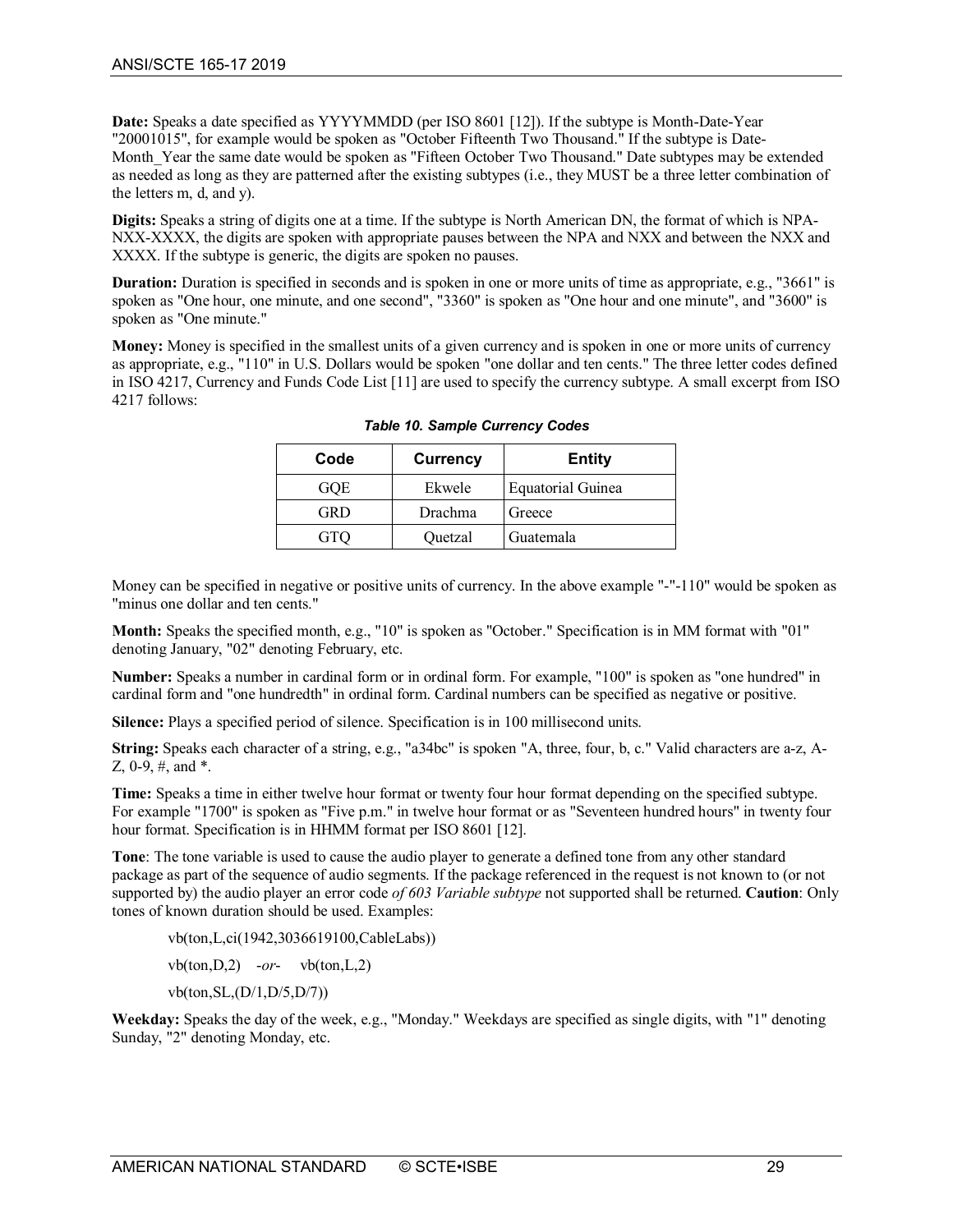**Date:** Speaks a date specified as YYYYMMDD (per ISO 8601 [\[12\]\)](#page-9-12). If the subtype is Month-Date-Year "20001015", for example would be spoken as "October Fifteenth Two Thousand." If the subtype is Date-Month Year the same date would be spoken as "Fifteen October Two Thousand." Date subtypes may be extended as needed as long as they are patterned after the existing subtypes (i.e., they MUST be a three letter combination of the letters m, d, and y).

**Digits:** Speaks a string of digits one at a time. If the subtype is North American DN, the format of which is NPA-NXX-XXXX, the digits are spoken with appropriate pauses between the NPA and NXX and between the NXX and XXXX. If the subtype is generic, the digits are spoken no pauses.

**Duration:** Duration is specified in seconds and is spoken in one or more units of time as appropriate, e.g., "3661" is spoken as "One hour, one minute, and one second", "3360" is spoken as "One hour and one minute", and "3600" is spoken as "One minute."

<span id="page-28-0"></span>**Money:** Money is specified in the smallest units of a given currency and is spoken in one or more units of currency as appropriate, e.g., "110" in U.S. Dollars would be spoken "one dollar and ten cents." The three letter codes defined in ISO 4217, Currency and Funds Code List [\[11\]](#page-9-13) are used to specify the currency subtype. A small excerpt from ISO 4217 follows:

| Code       | <b>Currency</b> | <b>Entity</b>     |
|------------|-----------------|-------------------|
| <b>GOE</b> | Ekwele          | Equatorial Guinea |
| GRD        | Drachma         | Greece            |
| GTO        | Ouetzal         | Guatemala         |

*Table 10. Sample Currency Codes*

Money can be specified in negative or positive units of currency. In the above example "-"-110" would be spoken as "minus one dollar and ten cents."

**Month:** Speaks the specified month, e.g., "10" is spoken as "October." Specification is in MM format with "01" denoting January, "02" denoting February, etc.

**Number:** Speaks a number in cardinal form or in ordinal form. For example, "100" is spoken as "one hundred" in cardinal form and "one hundredth" in ordinal form. Cardinal numbers can be specified as negative or positive.

**Silence:** Plays a specified period of silence. Specification is in 100 millisecond units.

**String:** Speaks each character of a string, e.g., "a34bc" is spoken "A, three, four, b, c." Valid characters are a-z, A-Z, 0-9, #, and \*.

**Time:** Speaks a time in either twelve hour format or twenty four hour format depending on the specified subtype. For example "1700" is spoken as "Five p.m." in twelve hour format or as "Seventeen hundred hours" in twenty four hour format. Specification is in HHMM format per ISO 860[1 \[12\].](#page-9-12)

**Tone**: The tone variable is used to cause the audio player to generate a defined tone from any other standard package as part of the sequence of audio segments. If the package referenced in the request is not known to (or not supported by) the audio player an error code *of 603 Variable subtype* not supported shall be returned. **Caution**: Only tones of known duration should be used. Examples:

vb(ton,L,ci(1942,3036619100,CableLabs)) vb(ton,D,2) -*or*- vb(ton,L,2) vb(ton,SL,(D/1,D/5,D/7))

**Weekday:** Speaks the day of the week, e.g., "Monday." Weekdays are specified as single digits, with "1" denoting Sunday, "2" denoting Monday, etc.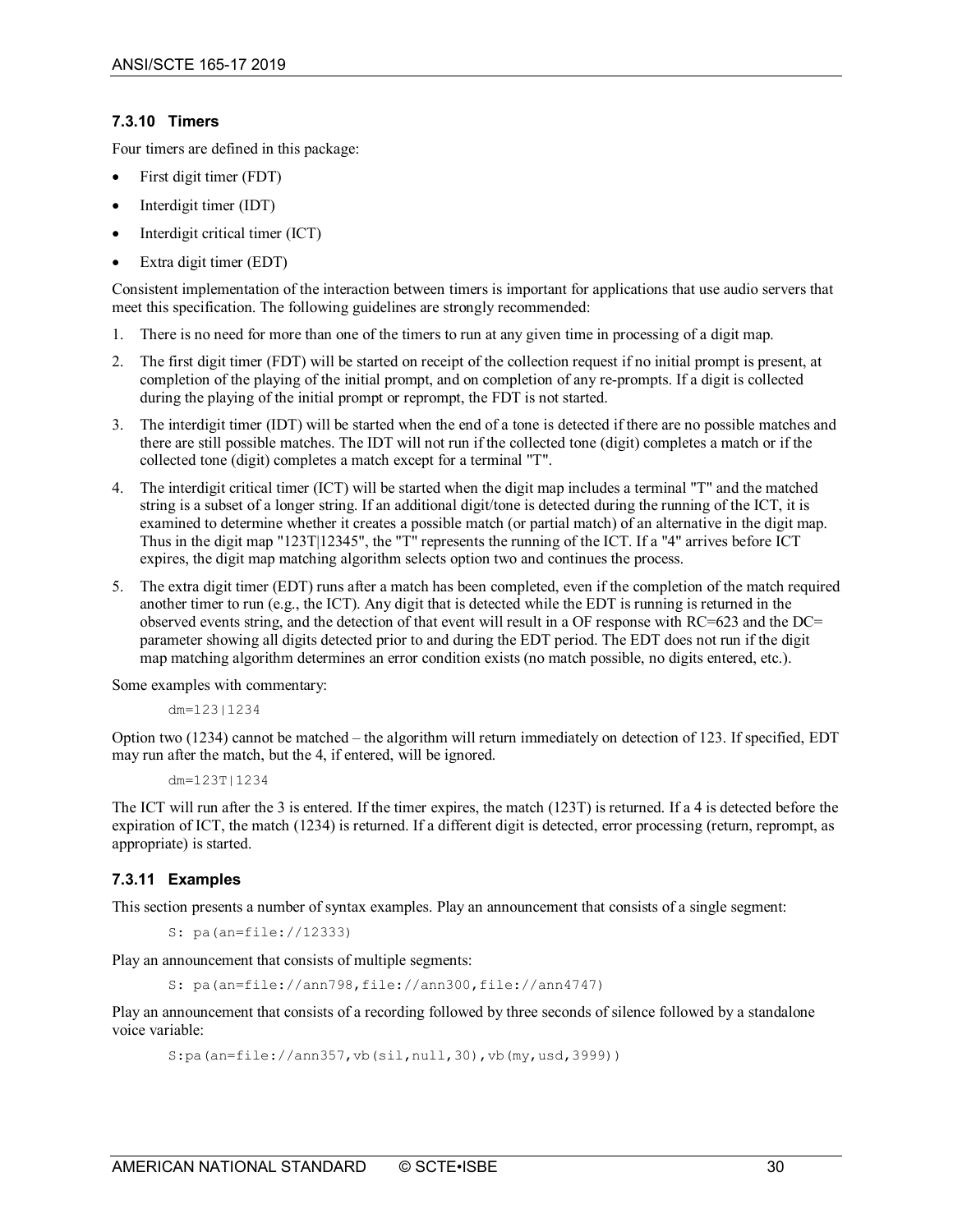#### <span id="page-29-0"></span>**7.3.10 Timers**

Four timers are defined in this package:

- First digit timer (FDT)
- Interdigit timer (IDT)
- Interdigit critical timer (ICT)
- Extra digit timer (EDT)

Consistent implementation of the interaction between timers is important for applications that use audio servers that meet this specification. The following guidelines are strongly recommended:

- 1. There is no need for more than one of the timers to run at any given time in processing of a digit map.
- 2. The first digit timer (FDT) will be started on receipt of the collection request if no initial prompt is present, at completion of the playing of the initial prompt, and on completion of any re-prompts. If a digit is collected during the playing of the initial prompt or reprompt, the FDT is not started.
- 3. The interdigit timer (IDT) will be started when the end of a tone is detected if there are no possible matches and there are still possible matches. The IDT will not run if the collected tone (digit) completes a match or if the collected tone (digit) completes a match except for a terminal "T".
- 4. The interdigit critical timer (ICT) will be started when the digit map includes a terminal "T" and the matched string is a subset of a longer string. If an additional digit/tone is detected during the running of the ICT, it is examined to determine whether it creates a possible match (or partial match) of an alternative in the digit map. Thus in the digit map "123T|12345", the "T" represents the running of the ICT. If a "4" arrives before ICT expires, the digit map matching algorithm selects option two and continues the process.
- 5. The extra digit timer (EDT) runs after a match has been completed, even if the completion of the match required another timer to run (e.g., the ICT). Any digit that is detected while the EDT is running is returned in the observed events string, and the detection of that event will result in a OF response with RC=623 and the DC= parameter showing all digits detected prior to and during the EDT period. The EDT does not run if the digit map matching algorithm determines an error condition exists (no match possible, no digits entered, etc.).

Some examples with commentary:

```
dm=123|1234
```
Option two (1234) cannot be matched – the algorithm will return immediately on detection of 123. If specified, EDT may run after the match, but the 4, if entered, will be ignored.

```
dm=123T|1234
```
The ICT will run after the 3 is entered. If the timer expires, the match (123T) is returned. If a 4 is detected before the expiration of ICT, the match (1234) is returned. If a different digit is detected, error processing (return, reprompt, as appropriate) is started.

#### <span id="page-29-1"></span>**7.3.11 Examples**

This section presents a number of syntax examples. Play an announcement that consists of a single segment:

```
S: pa(an=file://12333)
```
Play an announcement that consists of multiple segments:

```
S: pa(an=file://ann798,file://ann300,file://ann4747)
```
Play an announcement that consists of a recording followed by three seconds of silence followed by a standalone voice variable:

```
S:pa(an=file://ann357, vb(sil,null,30), vb(my,usd,3999))
```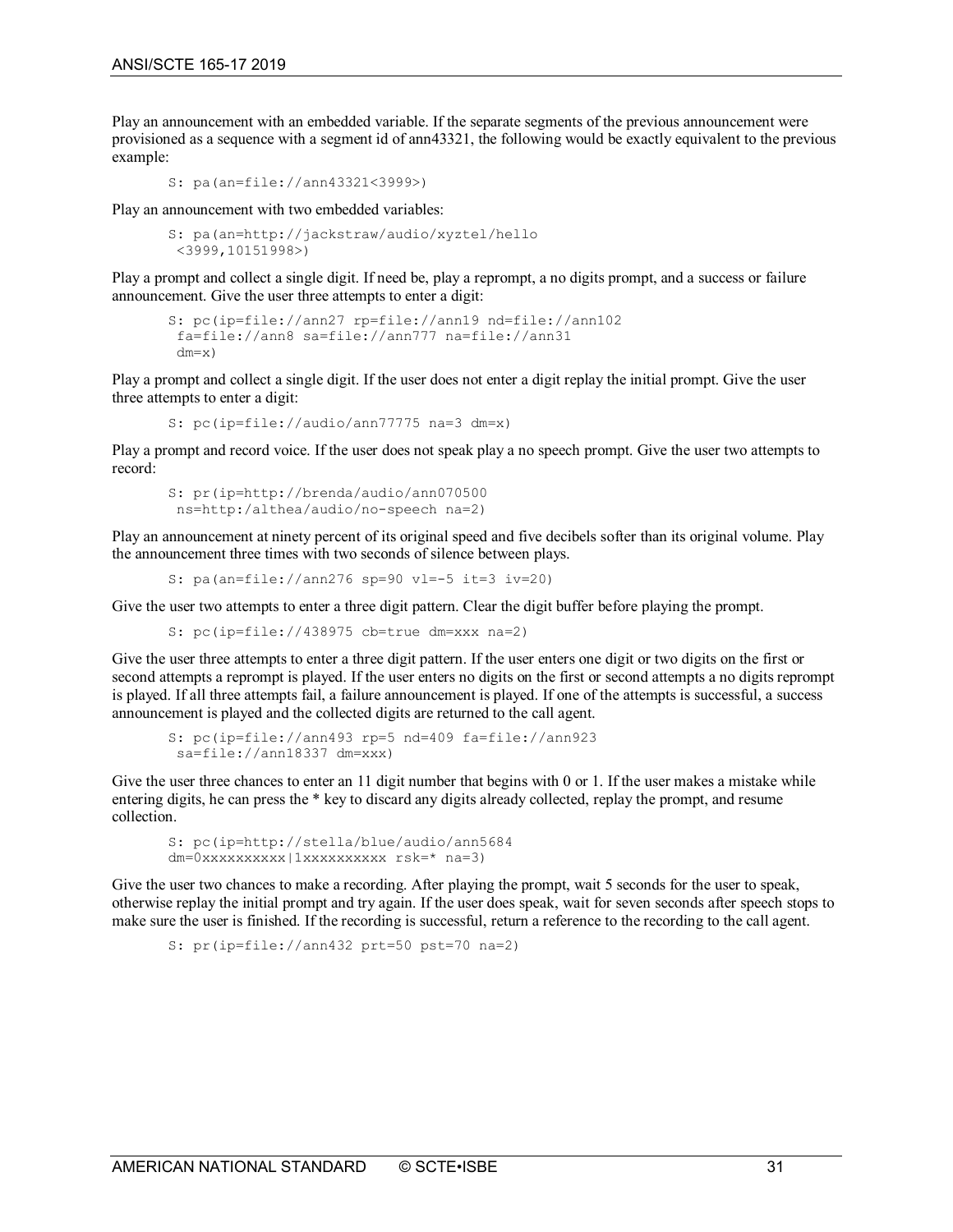Play an announcement with an embedded variable. If the separate segments of the previous announcement were provisioned as a sequence with a segment id of ann43321, the following would be exactly equivalent to the previous example:

```
S: pa(an=file://ann43321<3999>)
```
Play an announcement with two embedded variables:

```
S: pa(an=http://jackstraw/audio/xyztel/hello
<3999,10151998>)
```
Play a prompt and collect a single digit. If need be, play a reprompt, a no digits prompt, and a success or failure announcement. Give the user three attempts to enter a digit:

```
S: pc(ip=file://ann27 rp=file://ann19 nd=file://ann102
 fa=file://ann8 sa=file://ann777 na=file://ann31 
 dm=x)
```
Play a prompt and collect a single digit. If the user does not enter a digit replay the initial prompt. Give the user three attempts to enter a digit:

```
S: pc(ip=file://audio/ann77775 na=3 dm=x)
```
Play a prompt and record voice. If the user does not speak play a no speech prompt. Give the user two attempts to record:

```
S: pr(ip=http://brenda/audio/ann070500
ns=http:/althea/audio/no-speech na=2)
```
Play an announcement at ninety percent of its original speed and five decibels softer than its original volume. Play the announcement three times with two seconds of silence between plays.

S: pa(an=file://ann276 sp=90 vl=-5 it=3 iv=20)

Give the user two attempts to enter a three digit pattern. Clear the digit buffer before playing the prompt.

S: pc(ip=file://438975 cb=true dm=xxx na=2)

Give the user three attempts to enter a three digit pattern. If the user enters one digit or two digits on the first or second attempts a reprompt is played. If the user enters no digits on the first or second attempts a no digits reprompt is played. If all three attempts fail, a failure announcement is played. If one of the attempts is successful, a success announcement is played and the collected digits are returned to the call agent.

```
S: pc(ip=file://ann493 rp=5 nd=409 fa=file://ann923
sa=file://ann18337 dm=xxx)
```
Give the user three chances to enter an 11 digit number that begins with 0 or 1. If the user makes a mistake while entering digits, he can press the \* key to discard any digits already collected, replay the prompt, and resume collection.

```
S: pc(ip=http://stella/blue/audio/ann5684
dm=0xxxxxxxxxx | 1xxxxxxxxxxx rsk=* na=3)
```
Give the user two chances to make a recording. After playing the prompt, wait 5 seconds for the user to speak, otherwise replay the initial prompt and try again. If the user does speak, wait for seven seconds after speech stops to make sure the user is finished. If the recording is successful, return a reference to the recording to the call agent.

S: pr(ip=file://ann432 prt=50 pst=70 na=2)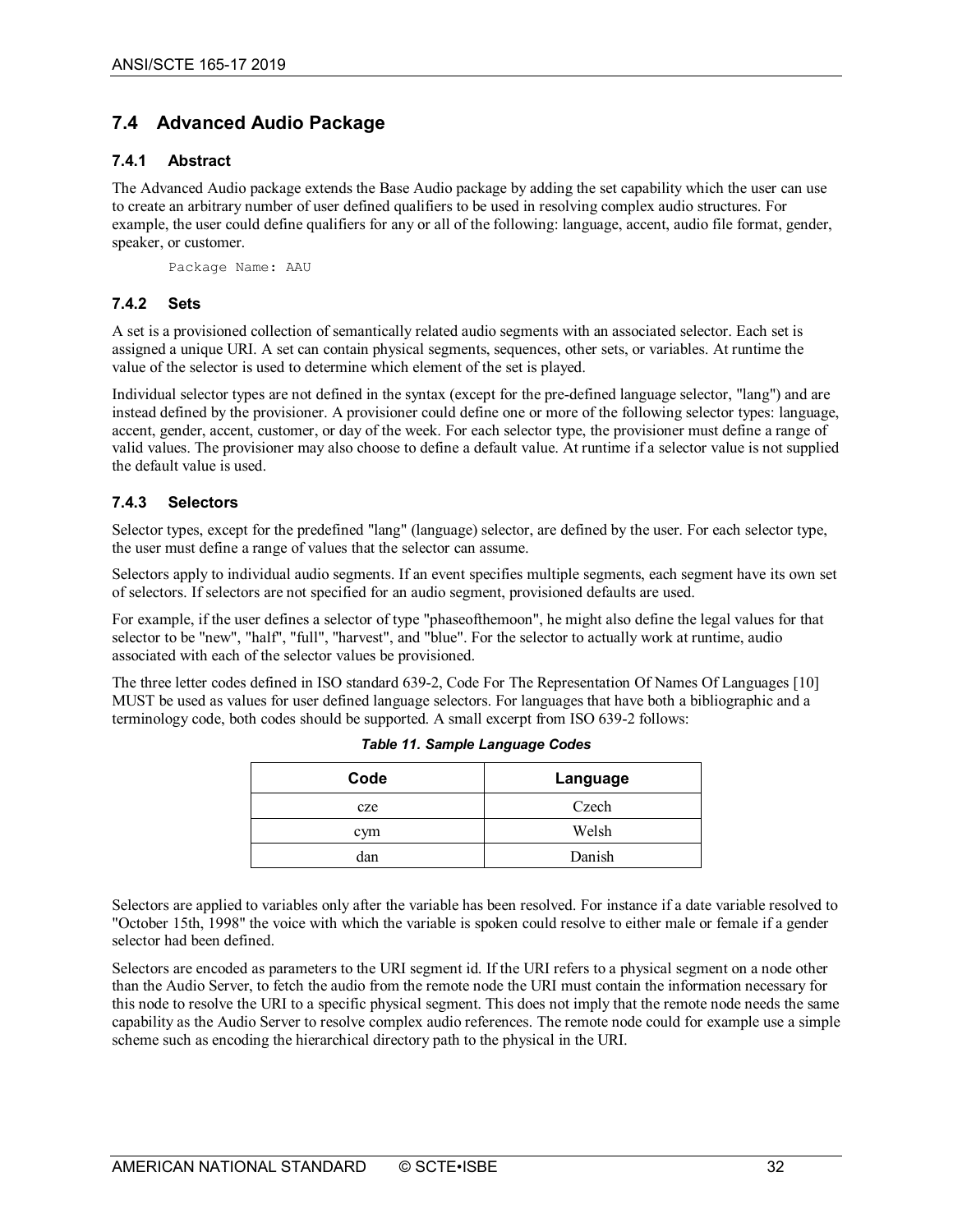#### <span id="page-31-0"></span>**7.4 Advanced Audio Package**

#### <span id="page-31-1"></span>**7.4.1 Abstract**

The Advanced Audio package extends the Base Audio package by adding the set capability which the user can use to create an arbitrary number of user defined qualifiers to be used in resolving complex audio structures. For example, the user could define qualifiers for any or all of the following: language, accent, audio file format, gender, speaker, or customer.

```
Package Name: AAU
```
#### <span id="page-31-2"></span>**7.4.2 Sets**

A set is a provisioned collection of semantically related audio segments with an associated selector. Each set is assigned a unique URI. A set can contain physical segments, sequences, other sets, or variables. At runtime the value of the selector is used to determine which element of the set is played.

Individual selector types are not defined in the syntax (except for the pre-defined language selector, "lang") and are instead defined by the provisioner. A provisioner could define one or more of the following selector types: language, accent, gender, accent, customer, or day of the week. For each selector type, the provisioner must define a range of valid values. The provisioner may also choose to define a default value. At runtime if a selector value is not supplied the default value is used.

#### <span id="page-31-3"></span>**7.4.3 Selectors**

Selector types, except for the predefined "lang" (language) selector, are defined by the user. For each selector type, the user must define a range of values that the selector can assume.

Selectors apply to individual audio segments. If an event specifies multiple segments, each segment have its own set of selectors. If selectors are not specified for an audio segment, provisioned defaults are used.

For example, if the user defines a selector of type "phaseofthemoon", he might also define the legal values for that selector to be "new", "half", "full", "harvest", and "blue". For the selector to actually work at runtime, audio associated with each of the selector values be provisioned.

<span id="page-31-4"></span>The three letter codes defined in ISO standard 639-2, Code For The Representation Of Names Of Language[s \[10\]](#page-9-14) MUST be used as values for user defined language selectors. For languages that have both a bibliographic and a terminology code, both codes should be supported. A small excerpt from ISO 639-2 follows:

| Code | Language |
|------|----------|
| cze  | Czech    |
| cym  | Welsh    |
| dan  | Danish   |

*Table 11. Sample Language Codes*

Selectors are applied to variables only after the variable has been resolved. For instance if a date variable resolved to "October 15th, 1998" the voice with which the variable is spoken could resolve to either male or female if a gender selector had been defined.

Selectors are encoded as parameters to the URI segment id. If the URI refers to a physical segment on a node other than the Audio Server, to fetch the audio from the remote node the URI must contain the information necessary for this node to resolve the URI to a specific physical segment. This does not imply that the remote node needs the same capability as the Audio Server to resolve complex audio references. The remote node could for example use a simple scheme such as encoding the hierarchical directory path to the physical in the URI.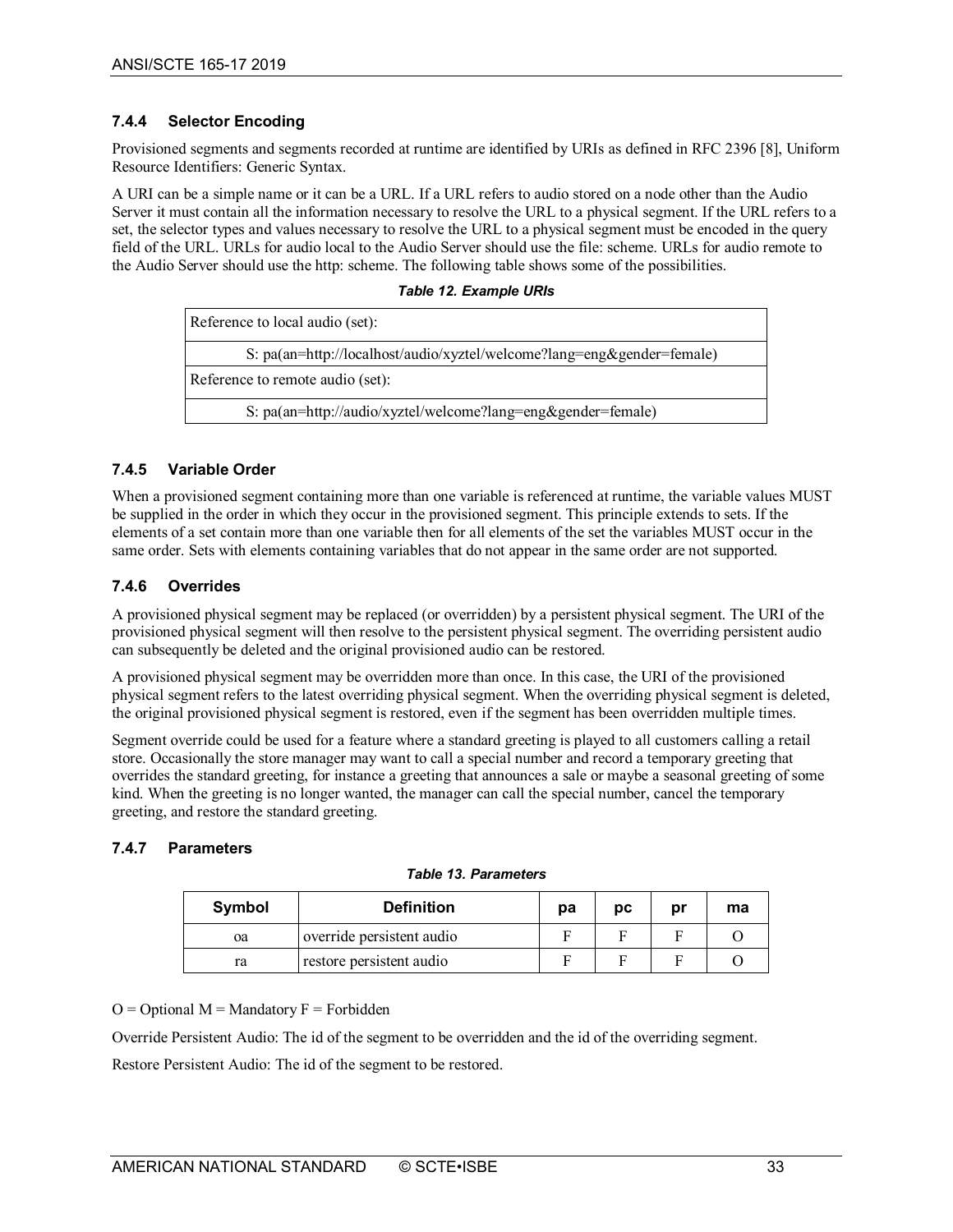#### <span id="page-32-0"></span>**7.4.4 Selector Encoding**

Provisioned segments and segments recorded at runtime are identified by URIs as defined in RFC 2396 [\[8\],](#page-9-11) Uniform Resource Identifiers: Generic Syntax.

A URI can be a simple name or it can be a URL. If a URL refers to audio stored on a node other than the Audio Server it must contain all the information necessary to resolve the URL to a physical segment. If the URL refers to a set, the selector types and values necessary to resolve the URL to a physical segment must be encoded in the query field of the URL. URLs for audio local to the Audio Server should use the file: scheme. URLs for audio remote to the Audio Server should use the http: scheme. The following table shows some of the possibilities.

*Table 12. Example URIs*

<span id="page-32-4"></span>

| Reference to local audio (set):                                          |  |
|--------------------------------------------------------------------------|--|
| S: $pa(an=http://localhost/audio/xyztel/welcome?lang=eng&gender=female)$ |  |
| Reference to remote audio (set):                                         |  |
| S: pa(an=http://audio/xyztel/welcome?lang=eng&gender=female)             |  |

#### <span id="page-32-1"></span>**7.4.5 Variable Order**

When a provisioned segment containing more than one variable is referenced at runtime, the variable values MUST be supplied in the order in which they occur in the provisioned segment. This principle extends to sets. If the elements of a set contain more than one variable then for all elements of the set the variables MUST occur in the same order. Sets with elements containing variables that do not appear in the same order are not supported.

#### <span id="page-32-2"></span>**7.4.6 Overrides**

A provisioned physical segment may be replaced (or overridden) by a persistent physical segment. The URI of the provisioned physical segment will then resolve to the persistent physical segment. The overriding persistent audio can subsequently be deleted and the original provisioned audio can be restored.

A provisioned physical segment may be overridden more than once. In this case, the URI of the provisioned physical segment refers to the latest overriding physical segment. When the overriding physical segment is deleted, the original provisioned physical segment is restored, even if the segment has been overridden multiple times.

Segment override could be used for a feature where a standard greeting is played to all customers calling a retail store. Occasionally the store manager may want to call a special number and record a temporary greeting that overrides the standard greeting, for instance a greeting that announces a sale or maybe a seasonal greeting of some kind. When the greeting is no longer wanted, the manager can call the special number, cancel the temporary greeting, and restore the standard greeting.

#### <span id="page-32-5"></span><span id="page-32-3"></span>**7.4.7 Parameters**

| Symbol    | <b>Definition</b>         | pа | рc | pr | ma |
|-----------|---------------------------|----|----|----|----|
| <b>oa</b> | override persistent audio |    |    |    |    |
| ra        | restore persistent audio  |    | F  |    |    |

#### *Table 13. Parameters*

#### $O =$  Optional  $M =$  Mandatory  $F =$  Forbidden

Override Persistent Audio: The id of the segment to be overridden and the id of the overriding segment.

Restore Persistent Audio: The id of the segment to be restored.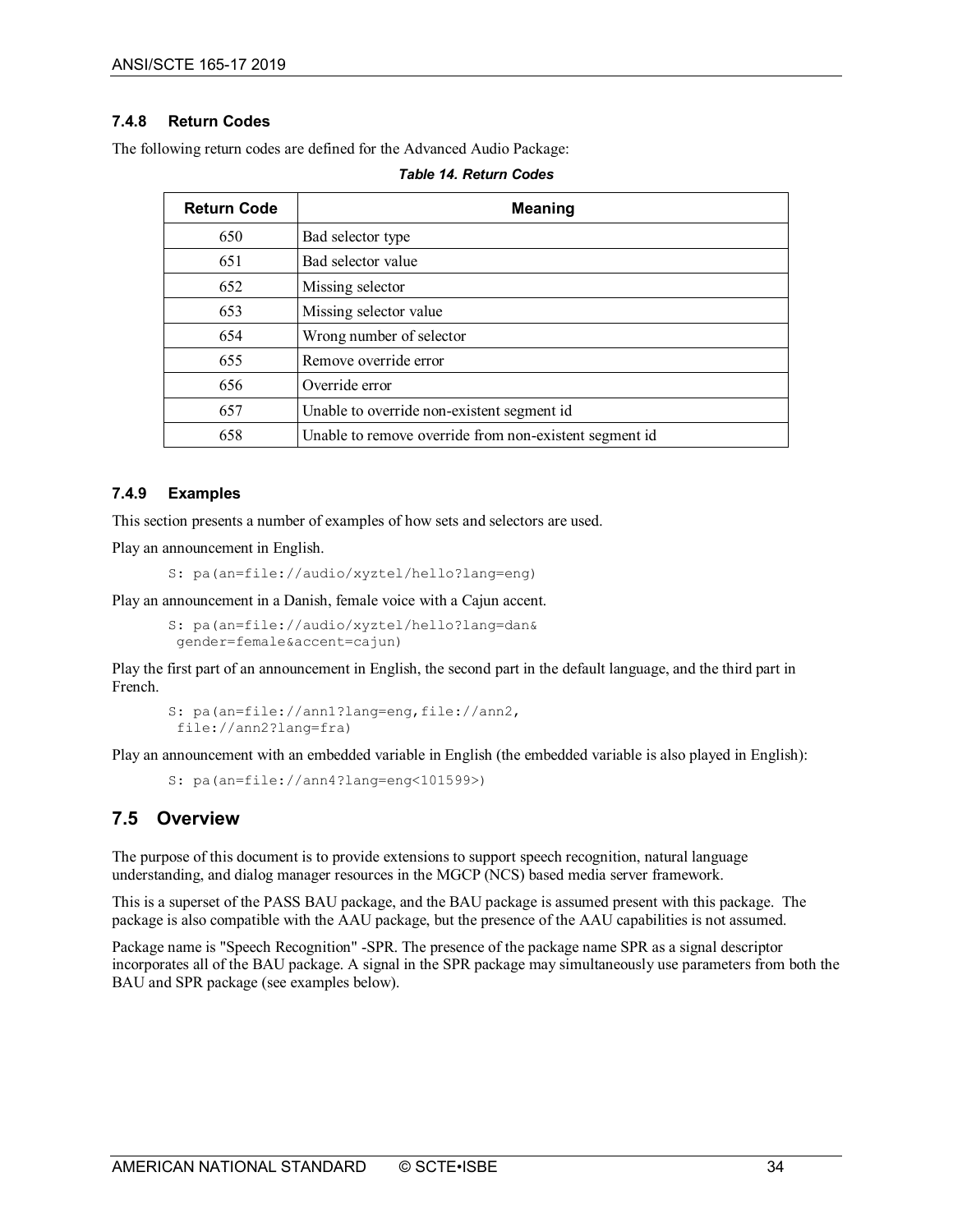#### <span id="page-33-0"></span>**7.4.8 Return Codes**

<span id="page-33-3"></span>The following return codes are defined for the Advanced Audio Package:

| <b>Return Code</b> | <b>Meaning</b>                                         |
|--------------------|--------------------------------------------------------|
| 650                | Bad selector type                                      |
| 651                | Bad selector value                                     |
| 652                | Missing selector                                       |
| 653                | Missing selector value                                 |
| 654                | Wrong number of selector                               |
| 655                | Remove override error                                  |
| 656                | Override error                                         |
| 657                | Unable to override non-existent segment id             |
| 658                | Unable to remove override from non-existent segment id |

*Table 14. Return Codes*

#### <span id="page-33-1"></span>**7.4.9 Examples**

This section presents a number of examples of how sets and selectors are used.

Play an announcement in English.

```
S: pa(an=file://audio/xyztel/hello?lang=eng)
```
Play an announcement in a Danish, female voice with a Cajun accent.

S: pa(an=file://audio/xyztel/hello?lang=dan& gender=female&accent=cajun)

Play the first part of an announcement in English, the second part in the default language, and the third part in French.

```
S: pa(an=file://ann1?lang=eng,file://ann2,
 file://ann2?lang=fra)
```
Play an announcement with an embedded variable in English (the embedded variable is also played in English):

```
S: pa(an=file://ann4?lang=eng<101599>)
```
#### <span id="page-33-2"></span>**7.5 Overview**

The purpose of this document is to provide extensions to support speech recognition, natural language understanding, and dialog manager resources in the MGCP (NCS) based media server framework.

This is a superset of the PASS BAU package, and the BAU package is assumed present with this package. The package is also compatible with the AAU package, but the presence of the AAU capabilities is not assumed.

Package name is "Speech Recognition" -SPR. The presence of the package name SPR as a signal descriptor incorporates all of the BAU package. A signal in the SPR package may simultaneously use parameters from both the BAU and SPR package (see examples below).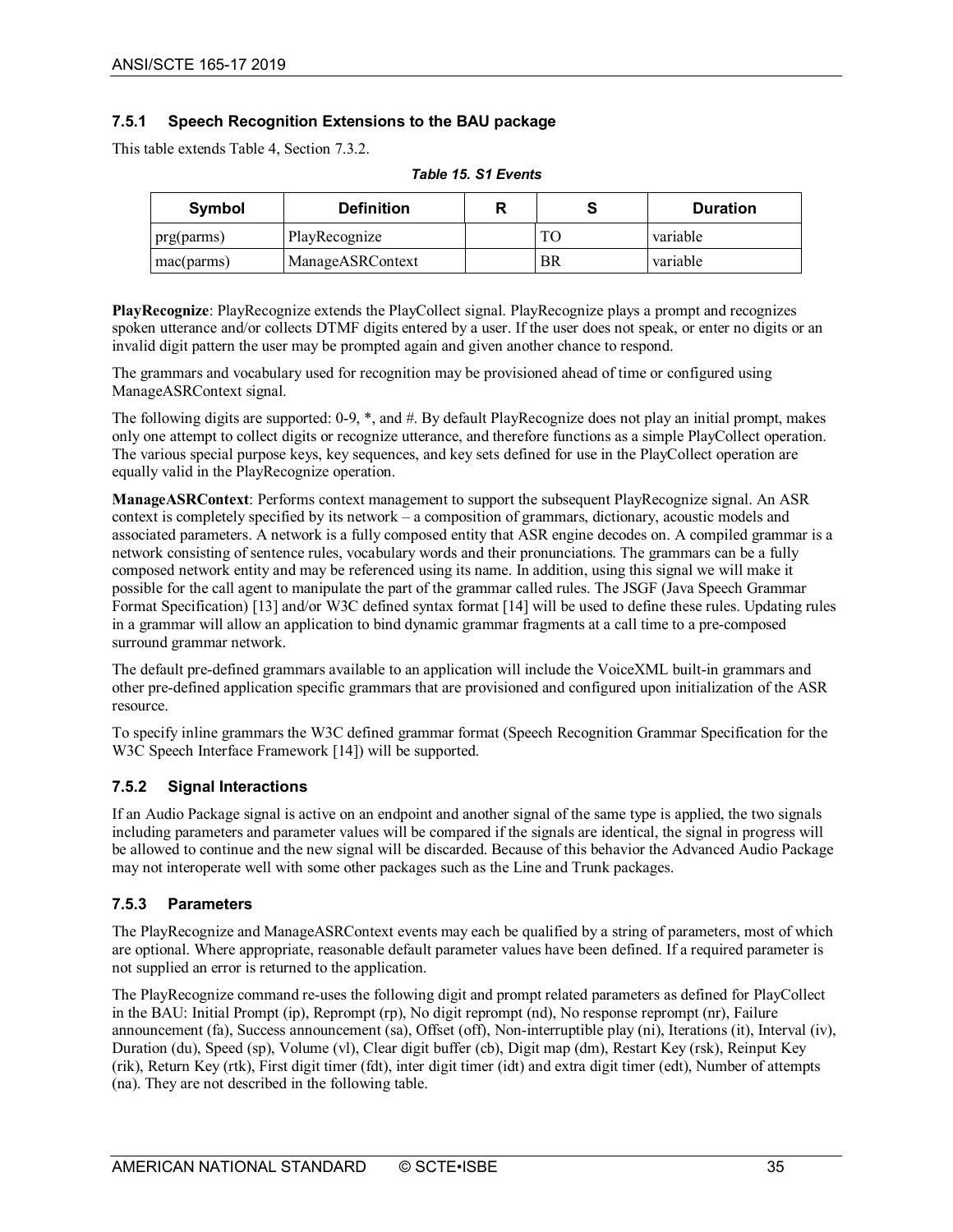#### <span id="page-34-0"></span>**7.5.1 Speech Recognition Extensions to the BAU package**

<span id="page-34-3"></span>This table extends [Table 4,](#page-19-4) Section [7.3.2.](#page-19-2)

| Symbol     | <b>Definition</b> |     | <b>Duration</b> |
|------------|-------------------|-----|-----------------|
| prg(parms) | PlayRecognize     | TO. | variable        |
| mac(parms) | ManageASRContext  | BR  | variable        |

|  |  |  |  | Table 15. S1 Events |
|--|--|--|--|---------------------|
|--|--|--|--|---------------------|

**PlayRecognize**: PlayRecognize extends the PlayCollect signal. PlayRecognize plays a prompt and recognizes spoken utterance and/or collects DTMF digits entered by a user. If the user does not speak, or enter no digits or an invalid digit pattern the user may be prompted again and given another chance to respond.

The grammars and vocabulary used for recognition may be provisioned ahead of time or configured using ManageASRContext signal.

The following digits are supported: 0-9,  $*$ , and #. By default PlayRecognize does not play an initial prompt, makes only one attempt to collect digits or recognize utterance, and therefore functions as a simple PlayCollect operation. The various special purpose keys, key sequences, and key sets defined for use in the PlayCollect operation are equally valid in the PlayRecognize operation.

**ManageASRContext**: Performs context management to support the subsequent PlayRecognize signal. An ASR context is completely specified by its network – a composition of grammars, dictionary, acoustic models and associated parameters. A network is a fully composed entity that ASR engine decodes on. A compiled grammar is a network consisting of sentence rules, vocabulary words and their pronunciations. The grammars can be a fully composed network entity and may be referenced using its name. In addition, using this signal we will make it possible for the call agent to manipulate the part of the grammar called rules. The JSGF (Java Speech Grammar Format Specification) [\[13\]](#page-9-15) and/or W3C defined syntax format [\[14\]](#page-9-16) will be used to define these rules. Updating rules in a grammar will allow an application to bind dynamic grammar fragments at a call time to a pre-composed surround grammar network.

The default pre-defined grammars available to an application will include the VoiceXML built-in grammars and other pre-defined application specific grammars that are provisioned and configured upon initialization of the ASR resource.

To specify inline grammars the W3C defined grammar format (Speech Recognition Grammar Specification for the W3C Speech Interface Framewor[k \[14\]\)](#page-9-16) will be supported.

#### <span id="page-34-1"></span>**7.5.2 Signal Interactions**

If an Audio Package signal is active on an endpoint and another signal of the same type is applied, the two signals including parameters and parameter values will be compared if the signals are identical, the signal in progress will be allowed to continue and the new signal will be discarded. Because of this behavior the Advanced Audio Package may not interoperate well with some other packages such as the Line and Trunk packages.

#### <span id="page-34-2"></span>**7.5.3 Parameters**

The PlayRecognize and ManageASRContext events may each be qualified by a string of parameters, most of which are optional. Where appropriate, reasonable default parameter values have been defined. If a required parameter is not supplied an error is returned to the application.

The PlayRecognize command re-uses the following digit and prompt related parameters as defined for PlayCollect in the BAU: Initial Prompt (ip), Reprompt (rp), No digit reprompt (nd), No response reprompt (nr), Failure announcement (fa), Success announcement (sa), Offset (off), Non-interruptible play (ni), Iterations (it), Interval (iv), Duration (du), Speed (sp), Volume (vl), Clear digit buffer (cb), Digit map (dm), Restart Key (rsk), Reinput Key (rik), Return Key (rtk), First digit timer (fdt), inter digit timer (idt) and extra digit timer (edt), Number of attempts (na). They are not described in the following table.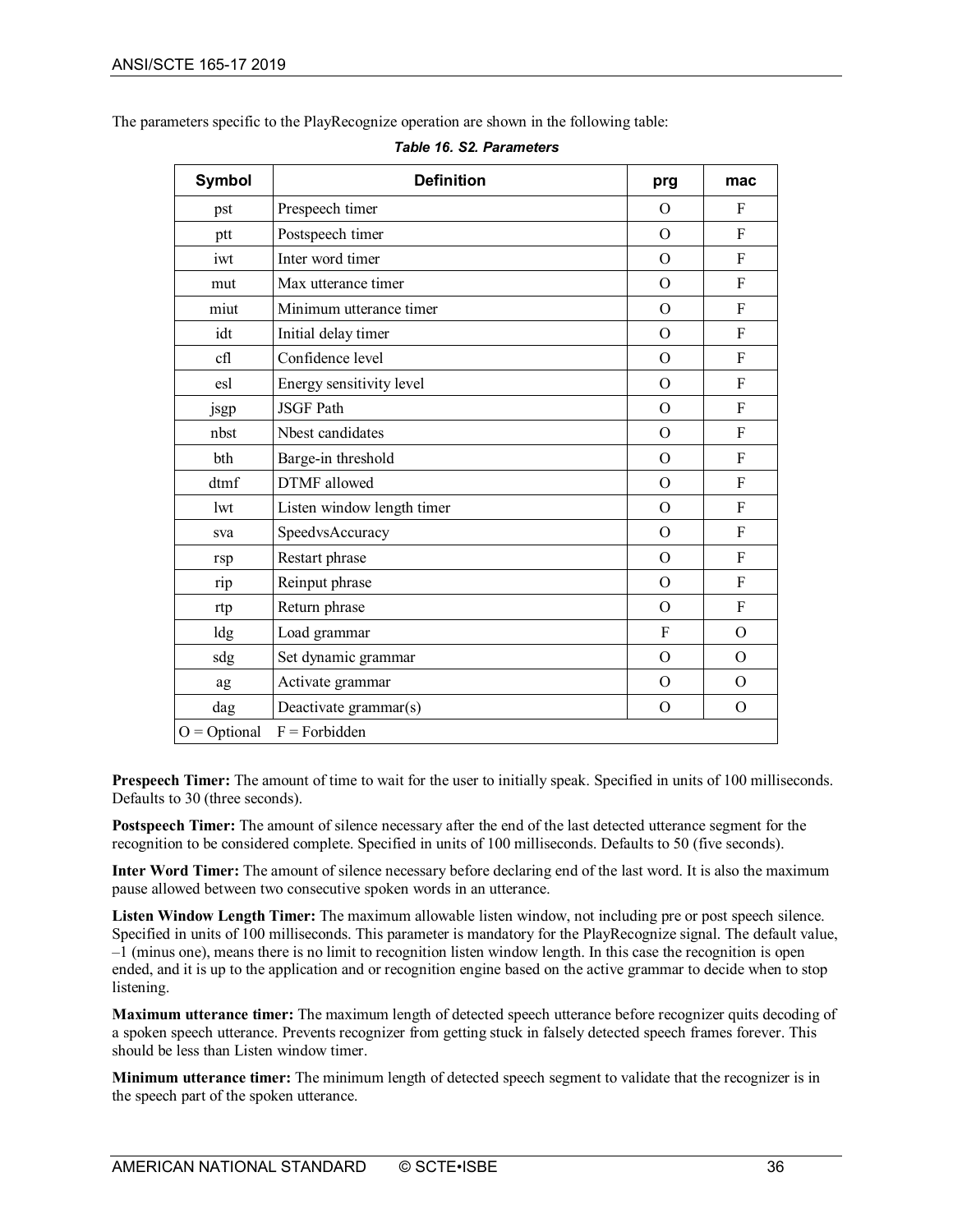<span id="page-35-0"></span>The parameters specific to the PlayRecognize operation are shown in the following table:

| <b>Symbol</b>         | <b>Definition</b>          | prg            | mac            |
|-----------------------|----------------------------|----------------|----------------|
| pst                   | Prespeech timer            | $\Omega$       | F              |
| ptt                   | Postspeech timer           | $\Omega$       | F              |
| iwt                   | Inter word timer           | $\Omega$       | F              |
| mut                   | Max utterance timer        | $\mathcal{O}$  | ${\bf F}$      |
| miut                  | Minimum utterance timer    | $\mathcal{O}$  | F              |
| idt                   | Initial delay timer        | $\Omega$       | ${\bf F}$      |
| cf <sub>1</sub>       | Confidence level           | $\Omega$       | F              |
| esl                   | Energy sensitivity level   | $\Omega$       | F              |
| jsgp                  | <b>JSGF</b> Path           | $\Omega$       | F              |
| nbst                  | Nbest candidates           | $\overline{O}$ | F              |
| bth                   | Barge-in threshold         | $\Omega$       | F              |
| dtmf                  | <b>DTMF</b> allowed        | $\Omega$       | F              |
| lwt                   | Listen window length timer | $\overline{O}$ | F              |
| sva                   | SpeedvsAccuracy            | $\mathcal{O}$  | ${\bf F}$      |
| rsp                   | Restart phrase             | $\Omega$       | F              |
| rip                   | Reinput phrase             | $\overline{O}$ | F              |
| rtp                   | Return phrase              | $\Omega$       | F              |
| ldg                   | Load grammar               | $\mathbf{F}$   | $\Omega$       |
| sdg                   | Set dynamic grammar        | $\overline{O}$ | $\overline{O}$ |
| ag                    | Activate grammar           | $\Omega$       | $\overline{O}$ |
| dag                   | Deactivate grammar(s)      | $\Omega$       | $\Omega$       |
| $O = \text{Optional}$ | $F =$ Forbidden            |                |                |

#### *Table 16. S2. Parameters*

**Prespeech Timer:** The amount of time to wait for the user to initially speak. Specified in units of 100 milliseconds. Defaults to 30 (three seconds).

**Postspeech Timer:** The amount of silence necessary after the end of the last detected utterance segment for the recognition to be considered complete. Specified in units of 100 milliseconds. Defaults to 50 (five seconds).

**Inter Word Timer:** The amount of silence necessary before declaring end of the last word. It is also the maximum pause allowed between two consecutive spoken words in an utterance.

**Listen Window Length Timer:** The maximum allowable listen window, not including pre or post speech silence. Specified in units of 100 milliseconds. This parameter is mandatory for the PlayRecognize signal. The default value,  $-1$  (minus one), means there is no limit to recognition listen window length. In this case the recognition is open ended, and it is up to the application and or recognition engine based on the active grammar to decide when to stop listening.

**Maximum utterance timer:** The maximum length of detected speech utterance before recognizer quits decoding of a spoken speech utterance. Prevents recognizer from getting stuck in falsely detected speech frames forever. This should be less than Listen window timer.

**Minimum utterance timer:** The minimum length of detected speech segment to validate that the recognizer is in the speech part of the spoken utterance.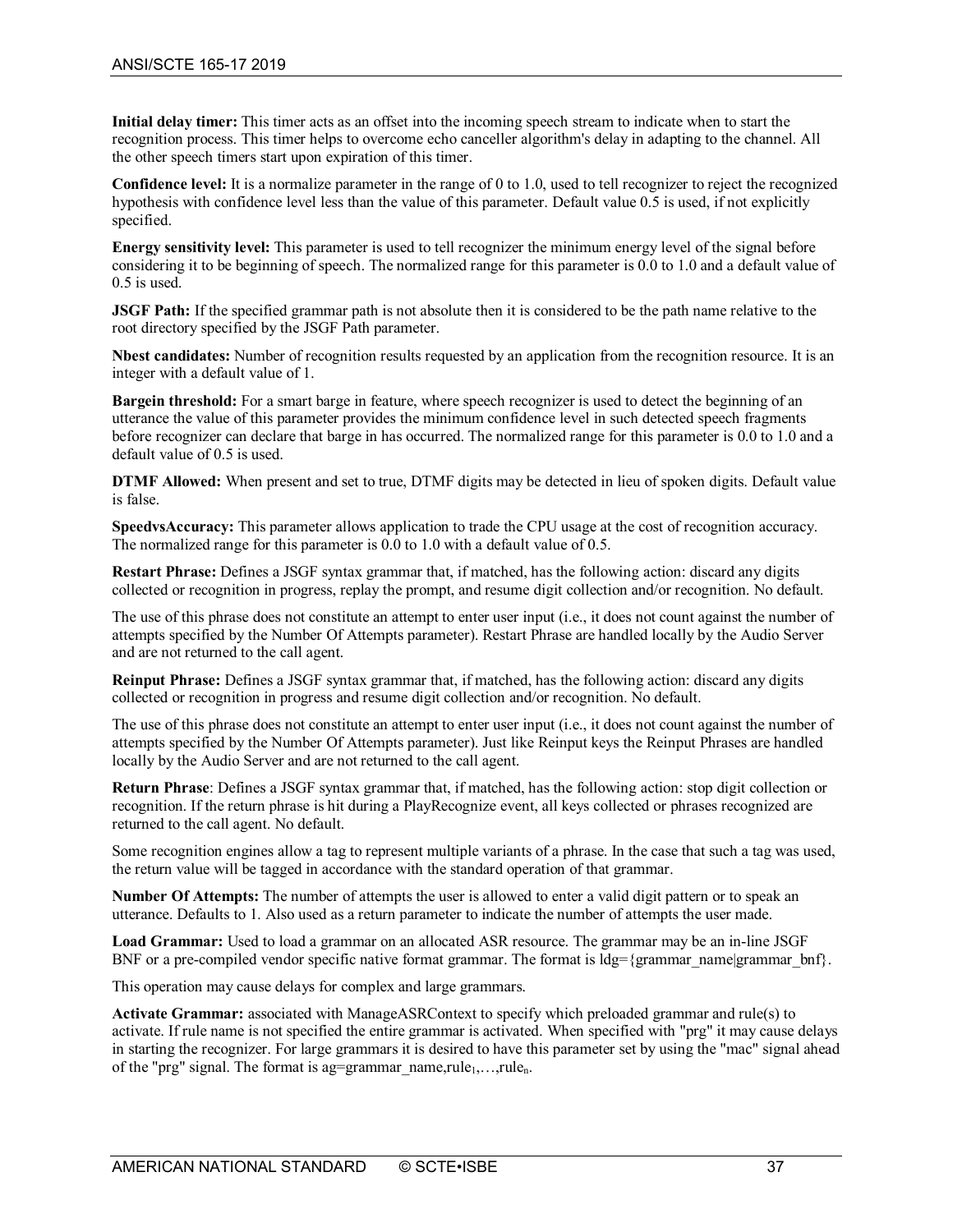**Initial delay timer:** This timer acts as an offset into the incoming speech stream to indicate when to start the recognition process. This timer helps to overcome echo canceller algorithm's delay in adapting to the channel. All the other speech timers start upon expiration of this timer.

**Confidence level:** It is a normalize parameter in the range of 0 to 1.0, used to tell recognizer to reject the recognized hypothesis with confidence level less than the value of this parameter. Default value 0.5 is used, if not explicitly specified.

**Energy sensitivity level:** This parameter is used to tell recognizer the minimum energy level of the signal before considering it to be beginning of speech. The normalized range for this parameter is 0.0 to 1.0 and a default value of 0.5 is used.

**JSGF Path:** If the specified grammar path is not absolute then it is considered to be the path name relative to the root directory specified by the JSGF Path parameter.

**Nbest candidates:** Number of recognition results requested by an application from the recognition resource. It is an integer with a default value of 1.

**Bargein threshold:** For a smart barge in feature, where speech recognizer is used to detect the beginning of an utterance the value of this parameter provides the minimum confidence level in such detected speech fragments before recognizer can declare that barge in has occurred. The normalized range for this parameter is 0.0 to 1.0 and a default value of 0.5 is used.

**DTMF Allowed:** When present and set to true, DTMF digits may be detected in lieu of spoken digits. Default value is false.

**SpeedvsAccuracy:** This parameter allows application to trade the CPU usage at the cost of recognition accuracy. The normalized range for this parameter is 0.0 to 1.0 with a default value of 0.5.

**Restart Phrase:** Defines a JSGF syntax grammar that, if matched, has the following action: discard any digits collected or recognition in progress, replay the prompt, and resume digit collection and/or recognition. No default.

The use of this phrase does not constitute an attempt to enter user input (i.e., it does not count against the number of attempts specified by the Number Of Attempts parameter). Restart Phrase are handled locally by the Audio Server and are not returned to the call agent.

**Reinput Phrase:** Defines a JSGF syntax grammar that, if matched, has the following action: discard any digits collected or recognition in progress and resume digit collection and/or recognition. No default.

The use of this phrase does not constitute an attempt to enter user input (i.e., it does not count against the number of attempts specified by the Number Of Attempts parameter). Just like Reinput keys the Reinput Phrases are handled locally by the Audio Server and are not returned to the call agent.

**Return Phrase**: Defines a JSGF syntax grammar that, if matched, has the following action: stop digit collection or recognition. If the return phrase is hit during a PlayRecognize event, all keys collected or phrases recognized are returned to the call agent. No default.

Some recognition engines allow a tag to represent multiple variants of a phrase. In the case that such a tag was used, the return value will be tagged in accordance with the standard operation of that grammar.

**Number Of Attempts:** The number of attempts the user is allowed to enter a valid digit pattern or to speak an utterance. Defaults to 1. Also used as a return parameter to indicate the number of attempts the user made.

**Load Grammar:** Used to load a grammar on an allocated ASR resource. The grammar may be an in-line JSGF BNF or a pre-compiled vendor specific native format grammar. The format is  $\text{Idg} = \{ \text{grammar\_name} | \text{grammar\_bnf} \}.$ 

This operation may cause delays for complex and large grammars.

**Activate Grammar:** associated with ManageASRContext to specify which preloaded grammar and rule(s) to activate. If rule name is not specified the entire grammar is activated. When specified with "prg" it may cause delays in starting the recognizer. For large grammars it is desired to have this parameter set by using the "mac" signal ahead of the "prg" signal. The format is ag=grammar\_name,rule<sub>1</sub>,...,rule<sub>n</sub>.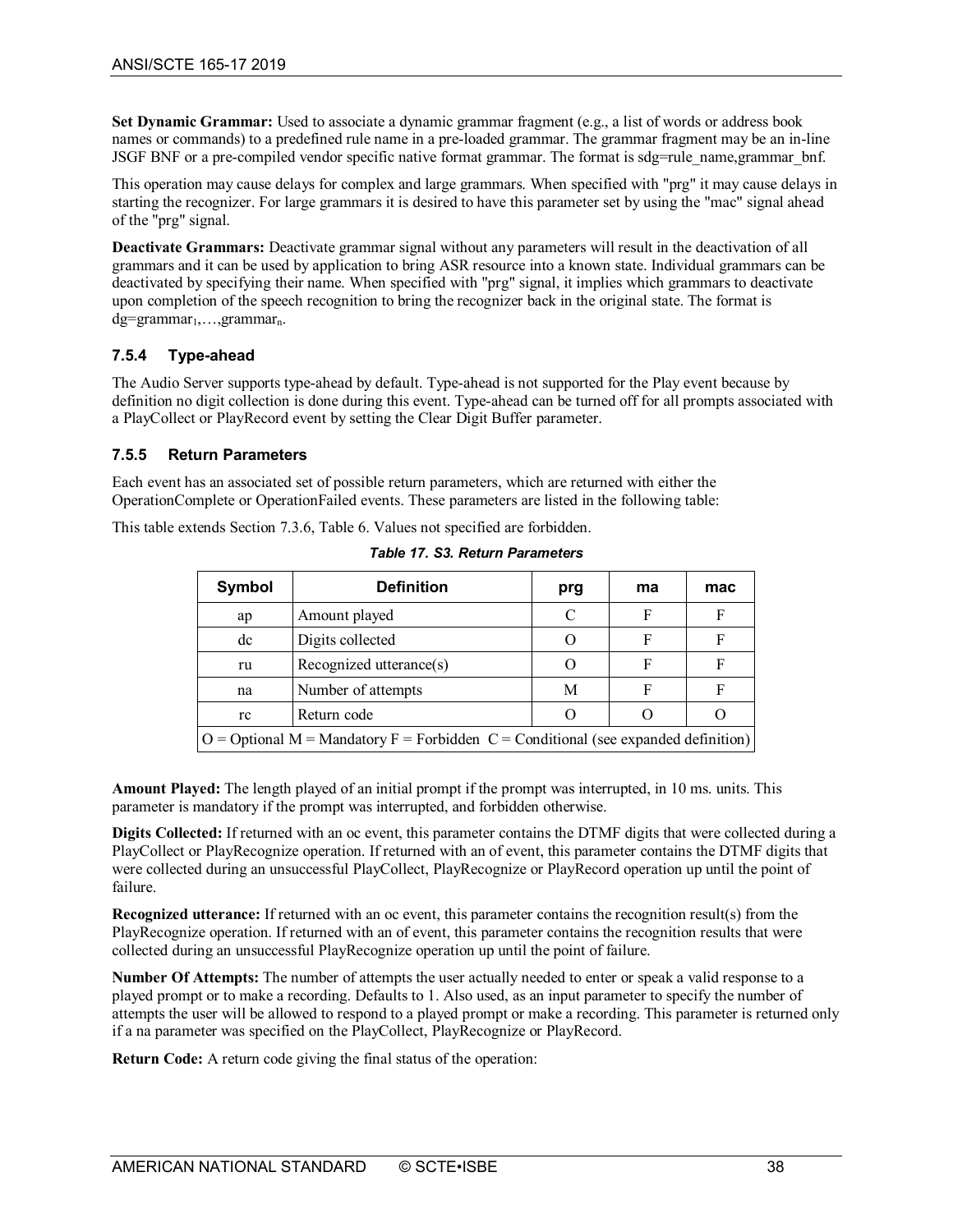**Set Dynamic Grammar:** Used to associate a dynamic grammar fragment (e.g., a list of words or address book names or commands) to a predefined rule name in a pre-loaded grammar. The grammar fragment may be an in-line JSGF BNF or a pre-compiled vendor specific native format grammar. The format is sdg=rule\_name,grammar\_bnf.

This operation may cause delays for complex and large grammars. When specified with "prg" it may cause delays in starting the recognizer. For large grammars it is desired to have this parameter set by using the "mac" signal ahead of the "prg" signal.

**Deactivate Grammars:** Deactivate grammar signal without any parameters will result in the deactivation of all grammars and it can be used by application to bring ASR resource into a known state. Individual grammars can be deactivated by specifying their name. When specified with "prg" signal, it implies which grammars to deactivate upon completion of the speech recognition to bring the recognizer back in the original state. The format is  $dg=grammar_1, \ldots, grammar_n$ .

#### <span id="page-37-0"></span>**7.5.4 Type-ahead**

The Audio Server supports type-ahead by default. Type-ahead is not supported for the Play event because by definition no digit collection is done during this event. Type-ahead can be turned off for all prompts associated with a PlayCollect or PlayRecord event by setting the Clear Digit Buffer parameter.

#### <span id="page-37-1"></span>**7.5.5 Return Parameters**

Each event has an associated set of possible return parameters, which are returned with either the OperationComplete or OperationFailed events. These parameters are listed in the following table:

<span id="page-37-2"></span>This table extends Section [7.3.6,](#page-24-1) [Table](#page-24-2) 6. Values not specified are forbidden.

| Symbol                                                                               | <b>Definition</b>       | prg | ma | mac |
|--------------------------------------------------------------------------------------|-------------------------|-----|----|-----|
| ap                                                                                   | Amount played           | C   | F  | F   |
| dc                                                                                   | Digits collected        |     | F  | F   |
| ru                                                                                   | Recognized utterance(s) |     | F  | F   |
| na                                                                                   | Number of attempts      | М   | F  | F   |
| rc                                                                                   | Return code             |     |    |     |
| $O =$ Optional M = Mandatory F = Forbidden C = Conditional (see expanded definition) |                         |     |    |     |

*Table 17. S3. Return Parameters*

**Amount Played:** The length played of an initial prompt if the prompt was interrupted, in 10 ms. units. This parameter is mandatory if the prompt was interrupted, and forbidden otherwise.

**Digits Collected:** If returned with an oc event, this parameter contains the DTMF digits that were collected during a PlayCollect or PlayRecognize operation. If returned with an of event, this parameter contains the DTMF digits that were collected during an unsuccessful PlayCollect, PlayRecognize or PlayRecord operation up until the point of failure.

**Recognized utterance:** If returned with an oc event, this parameter contains the recognition result(s) from the PlayRecognize operation. If returned with an of event, this parameter contains the recognition results that were collected during an unsuccessful PlayRecognize operation up until the point of failure.

**Number Of Attempts:** The number of attempts the user actually needed to enter or speak a valid response to a played prompt or to make a recording. Defaults to 1. Also used, as an input parameter to specify the number of attempts the user will be allowed to respond to a played prompt or make a recording. This parameter is returned only if a na parameter was specified on the PlayCollect, PlayRecognize or PlayRecord.

**Return Code:** A return code giving the final status of the operation: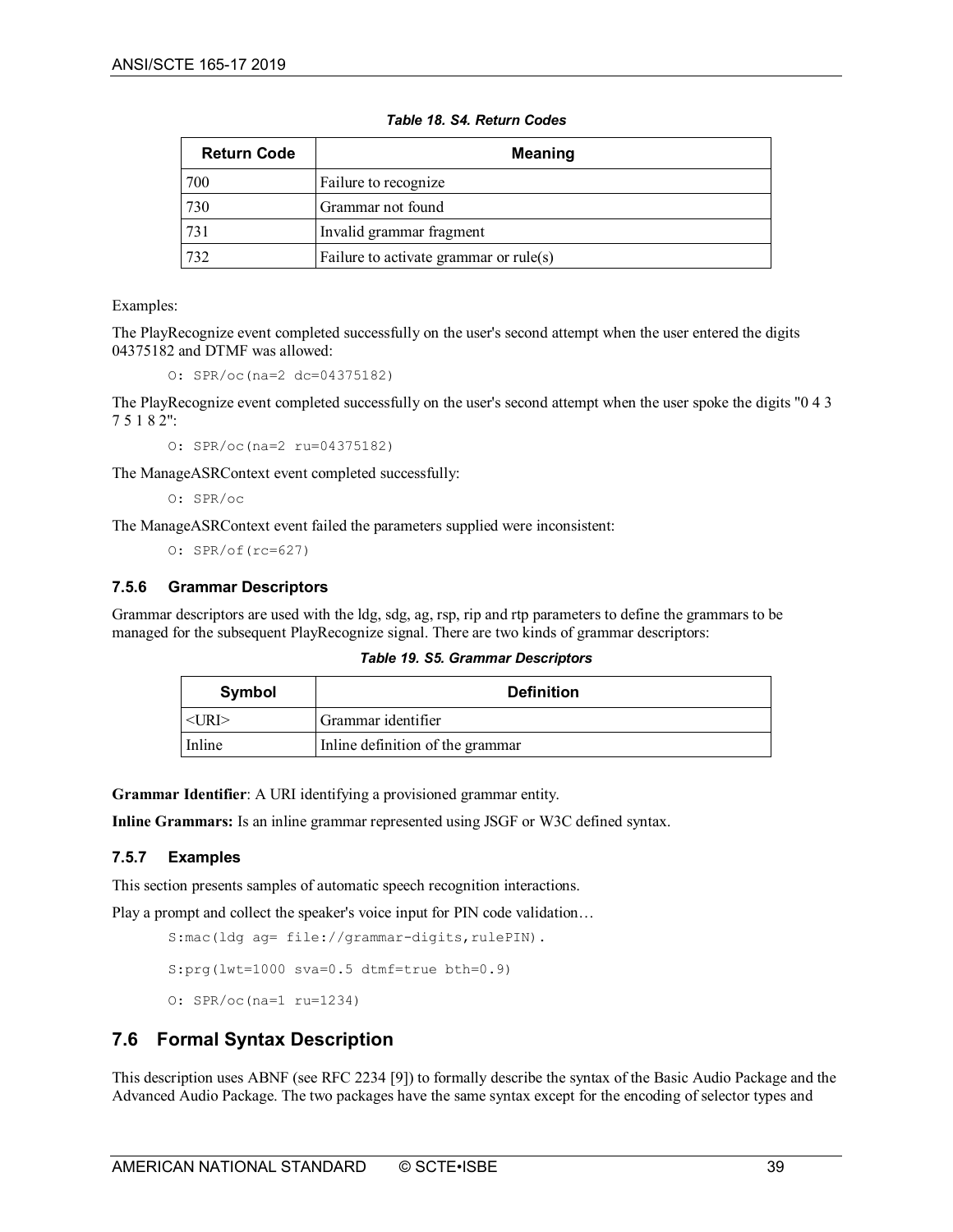<span id="page-38-3"></span>

| <b>Return Code</b> | <b>Meaning</b>                         |
|--------------------|----------------------------------------|
| 700                | Failure to recognize                   |
| 730                | Grammar not found                      |
| 731                | Invalid grammar fragment               |
| 732                | Failure to activate grammar or rule(s) |

#### *Table 18. S4. Return Codes*

Examples:

The PlayRecognize event completed successfully on the user's second attempt when the user entered the digits 04375182 and DTMF was allowed:

```
O: SPR/oc(na=2 dc=04375182)
```
The PlayRecognize event completed successfully on the user's second attempt when the user spoke the digits "0 4 3 7 5 1 8 2":

O: SPR/oc(na=2 ru=04375182)

The ManageASRContext event completed successfully:

O: SPR/oc

The ManageASRContext event failed the parameters supplied were inconsistent:

O: SPR/of(rc=627)

#### <span id="page-38-0"></span>**7.5.6 Grammar Descriptors**

<span id="page-38-4"></span>Grammar descriptors are used with the ldg, sdg, ag, rsp, rip and rtp parameters to define the grammars to be managed for the subsequent PlayRecognize signal. There are two kinds of grammar descriptors:

|  |  |  |  | Table 19. S5. Grammar Descriptors |
|--|--|--|--|-----------------------------------|
|--|--|--|--|-----------------------------------|

| Symbol      | <b>Definition</b>                |
|-------------|----------------------------------|
| $<$ URI $>$ | Grammar identifier               |
| Inline      | Inline definition of the grammar |

**Grammar Identifier**: A URI identifying a provisioned grammar entity.

**Inline Grammars:** Is an inline grammar represented using JSGF or W3C defined syntax.

#### <span id="page-38-1"></span>**7.5.7 Examples**

This section presents samples of automatic speech recognition interactions.

Play a prompt and collect the speaker's voice input for PIN code validation…

```
S:mac(ldg ag= file://grammar-digits, rulePIN).
```

```
S:prg(lwt=1000 sva=0.5 dtmf=true bth=0.9)
```
O: SPR/oc(na=1 ru=1234)

#### <span id="page-38-2"></span>**7.6 Formal Syntax Description**

This description uses ABNF (see RFC 223[4 \[9\]\)](#page-9-17) to formally describe the syntax of the Basic Audio Package and the Advanced Audio Package. The two packages have the same syntax except for the encoding of selector types and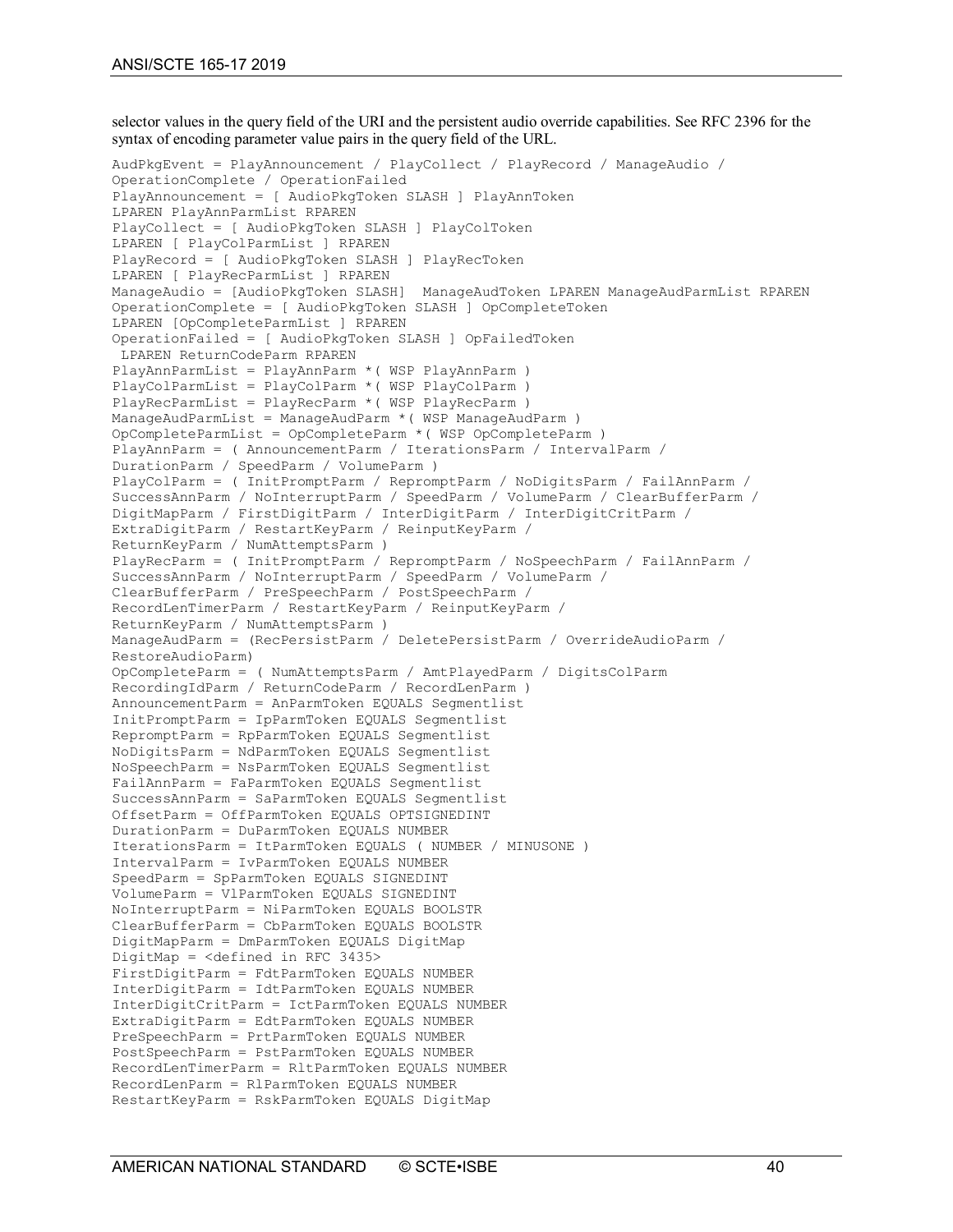selector values in the query field of the URI and the persistent audio override capabilities. See RFC 2396 for the syntax of encoding parameter value pairs in the query field of the URL.

```
AudPkgEvent = PlayAnnouncement / PlayCollect / PlayRecord / ManageAudio / 
OperationComplete / OperationFailed 
PlayAnnouncement = [ AudioPkgToken SLASH ] PlayAnnToken
LPAREN PlayAnnParmList RPAREN 
PlayCollect = [ AudioPkgToken SLASH ] PlayColToken
LPAREN [ PlayColParmList ] RPAREN 
PlayRecord = [ AudioPkgToken SLASH ] PlayRecToken
LPAREN [ PlayRecParmList ] RPAREN
ManageAudio = [AudioPkgToken SLASH] ManageAudToken LPAREN ManageAudParmList RPAREN
OperationComplete = [ AudioPkgToken SLASH ] OpCompleteToken
LPAREN [OpCompleteParmList ] RPAREN
OperationFailed = [ AudioPkgToken SLASH ] OpFailedToken
LPAREN ReturnCodeParm RPAREN
PlayAnnParmList = PlayAnnParm *( WSP PlayAnnParm )
PlayColParmList = PlayColParm *( WSP PlayColParm )
PlayRecParmList = PlayRecParm *( WSP PlayRecParm )
ManageAudParmList = ManageAudParm *( WSP ManageAudParm )
OpCompleteParmList = OpCompleteParm *( WSP OpCompleteParm )
PlayAnnParm = ( AnnouncementParm / IterationsParm / IntervalParm /
DurationParm / SpeedParm / VolumeParm )
PlayColParm = ( InitPromptParm / RepromptParm / NoDigitsParm / FailAnnParm /
SuccessAnnParm / NoInterruptParm / SpeedParm / VolumeParm / ClearBufferParm /
DigitMapParm / FirstDigitParm / InterDigitParm / InterDigitCritParm /
ExtraDigitParm / RestartKeyParm / ReinputKeyParm /
ReturnKeyParm / NumAttemptsParm )
PlayRecParm = ( InitPromptParm / RepromptParm / NoSpeechParm / FailAnnParm /
SuccessAnnParm / NoInterruptParm / SpeedParm / VolumeParm /
ClearBufferParm / PreSpeechParm / PostSpeechParm /
RecordLenTimerParm / RestartKeyParm / ReinputKeyParm /
ReturnKeyParm / NumAttemptsParm )
ManageAudParm = (RecPersistParm / DeletePersistParm / OverrideAudioParm / 
RestoreAudioParm)
OpCompleteParm = ( NumAttemptsParm / AmtPlayedParm / DigitsColParm 
RecordingIdParm / ReturnCodeParm / RecordLenParm ) 
AnnouncementParm = AnParmToken EQUALS Segmentlist
InitPromptParm = IpParmToken EQUALS Segmentlist
RepromptParm = RpParmToken EQUALS Segmentlist
NoDigitsParm = NdParmToken EQUALS Segmentlist
NoSpeechParm = NsParmToken EQUALS Segmentlist
FailAnnParm = FaParmToken EQUALS Segmentlist
SuccessAnnParm = SaParmToken EQUALS Segmentlist
OffsetParm = OffParmToken EQUALS OPTSIGNEDINT
DurationParm = DuParmToken EQUALS NUMBER
IterationsParm = ItParmToken EQUALS ( NUMBER / MINUSONE )
IntervalParm = IvParmToken EQUALS NUMBER
SpeedParm = SpParmToken EQUALS SIGNEDINT
VolumeParm = VlParmToken EQUALS SIGNEDINT
NoInterruptParm = NiParmToken EQUALS BOOLSTR
ClearBufferParm = CbParmToken EQUALS BOOLSTR
DigitMapParm = DmParmToken EQUALS DigitMap 
DigitMap = <defined in RFC 3435>
FirstDigitParm = FdtParmToken EQUALS NUMBER
InterDigitParm = IdtParmToken EQUALS NUMBER
InterDigitCritParm = IctParmToken EQUALS NUMBER
ExtraDigitParm = EdtParmToken EQUALS NUMBER
PreSpeechParm = PrtParmToken EQUALS NUMBER
PostSpeechParm = PstParmToken EQUALS NUMBER
RecordLenTimerParm = RltParmToken EQUALS NUMBER
RecordLenParm = RlParmToken EQUALS NUMBER
RestartKeyParm = RskParmToken EQUALS DigitMap
```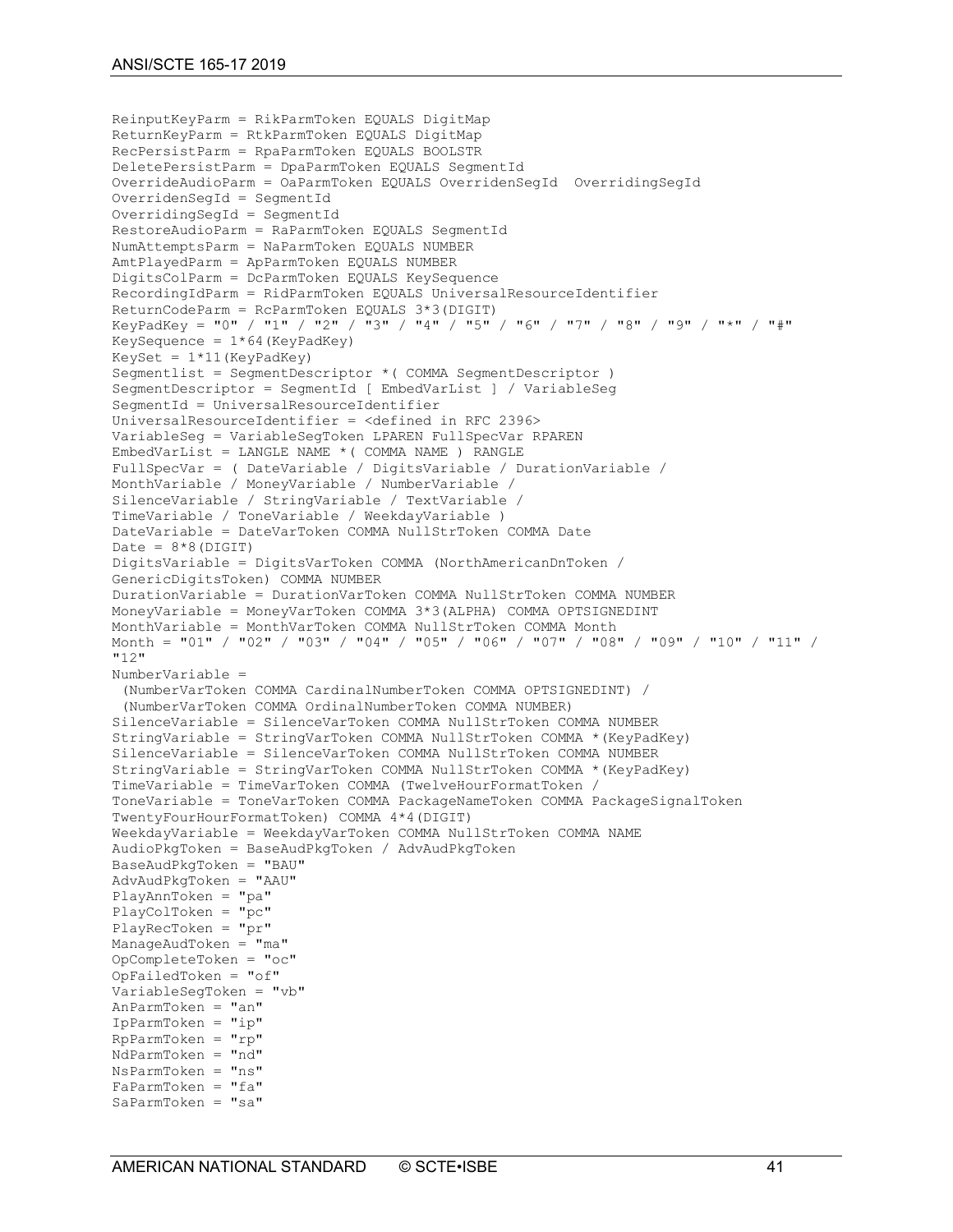```
ReinputKeyParm = RikParmToken EQUALS DigitMap
ReturnKeyParm = RtkParmToken EQUALS DigitMap
RecPersistParm = RpaParmToken EQUALS BOOLSTR
DeletePersistParm = DpaParmToken EQUALS SegmentId
OverrideAudioParm = OaParmToken EQUALS OverridenSegId OverridingSegId
OverridenSegId = SegmentId
OverridingSegId = SegmentId
RestoreAudioParm = RaParmToken EQUALS SegmentId
NumAttemptsParm = NaParmToken EQUALS NUMBER
AmtPlayedParm = ApParmToken EQUALS NUMBER
DigitsColParm = DcParmToken EQUALS KeySequence
RecordingIdParm = RidParmToken EQUALS UniversalResourceIdentifier
ReturnCodeParm = RcParmToken EQUALS 3*3(DIGIT)
KeyPadKey = "0" / "1" / "2" / "3" / "4" / "5" / "6" / "7" / "8" / "9" / "*" / "#"
KeySequence = 1*64 (KeyPadKey)KeySet = 1*11(KeyPadKey)Segmentlist = SegmentDescriptor *( COMMA SegmentDescriptor )
SegmentDescriptor = SegmentId [ EmbedVarList ] / VariableSeg 
SegmentId = UniversalResourceIdentifier
UniversalResourceIdentifier = <defined in RFC 2396>
VariableSeg = VariableSegToken LPAREN FullSpecVar RPAREN
EmbedVarList = LANGLE NAME *( COMMA NAME ) RANGLE
FullSpecVar = ( DateVariable / DigitsVariable / DurationVariable / 
MonthVariable / MoneyVariable / NumberVariable /
SilenceVariable / StringVariable / TextVariable /
TimeVariable / ToneVariable / WeekdayVariable )
DateVariable = DateVarToken COMMA NullStrToken COMMA Date
Date = 8*8 (DIGIT)
DigitsVariable = DigitsVarToken COMMA (NorthAmericanDnToken /
GenericDigitsToken) COMMA NUMBER
DurationVariable = DurationVarToken COMMA NullStrToken COMMA NUMBER
MoneyVariable = MoneyVarToken COMMA 3*3(ALPHA) COMMA OPTSIGNEDINT
MonthVariable = MonthVarToken COMMA NullStrToken COMMA Month
Month = "01" / "02" / "03" / "04" / "05" / "06" / "07" / "08" / "09" / "10" / "11" / 
"12"
NumberVariable = 
 (NumberVarToken COMMA CardinalNumberToken COMMA OPTSIGNEDINT) / 
 (NumberVarToken COMMA OrdinalNumberToken COMMA NUMBER)
SilenceVariable = SilenceVarToken COMMA NullStrToken COMMA NUMBER
StringVariable = StringVarToken COMMA NullStrToken COMMA *(KeyPadKey)
SilenceVariable = SilenceVarToken COMMA NullStrToken COMMA NUMBER
StringVariable = StringVarToken COMMA NullStrToken COMMA *(KeyPadKey)
TimeVariable = TimeVarToken COMMA (TwelveHourFormatToken /
ToneVariable = ToneVarToken COMMA PackageNameToken COMMA PackageSignalToken
TwentyFourHourFormatToken) COMMA 4*4(DIGIT)
WeekdayVariable = WeekdayVarToken COMMA NullStrToken COMMA NAME
AudioPkgToken = BaseAudPkgToken / AdvAudPkgToken
BaseAudPkgToken = "BAU"
AdvAudPkgToken = "AAU"
PlayAnnToken = "pa"
PlayColToken = "pc"
PlayRecToken = "pr"
ManageAudToken = "ma"
OpCompleteToken = "oc"
OpFailedToken = "of"
VariableSegToken = "vb"
AnParmToken = "an"
IpParmToken = "ip"
RpParamToken = "rp"NdParmToken = "nd"
NsParmToken = "ns"
FaParmToken = "fa"
SaParmToken = "sa"
```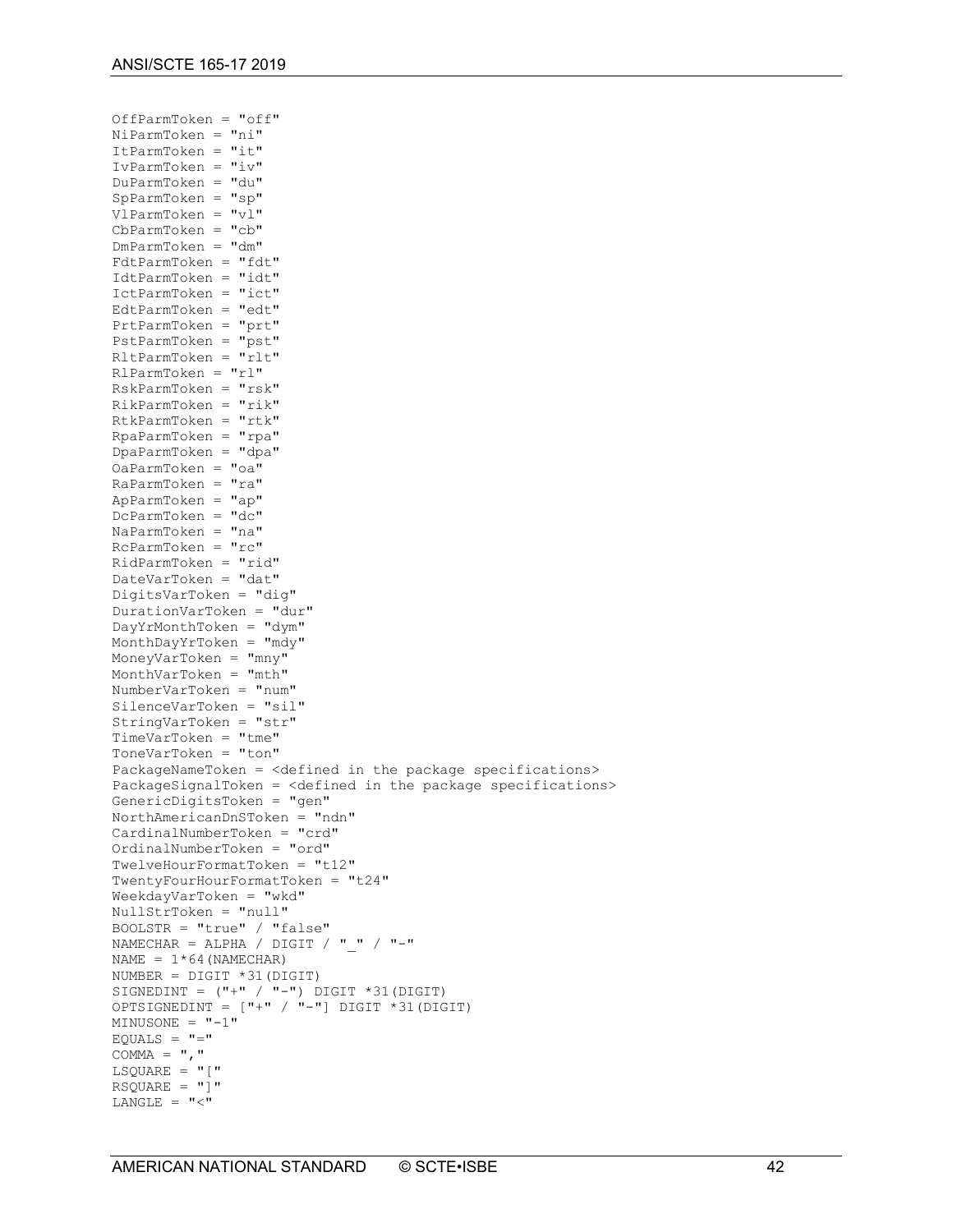```
OffParmToken = "off"
NiParmToken = "ni"
ItParmToken = "it"
IvParmToken = "iv"
DuParmToken = "du"
SpParmToken = "sp"
VlParmToken = "vl"
CbParmToken = "cb"
DmParmToken = "dm"
FdtParmToken = "fdt"
IdtParmToken = "idt"
IctParmToken = "ict"
EdtParmToken = "edt"
PrtParmToken = "prt"
PstParmToken = "pst"
RltParmToken = "rlt"
RlParmToken = "rl"
RskParmToken = "rsk"
RikParmToken = "rik"
RtkParmToken = "rtk"
RpaParmToken = "rpa"
DpaParmToken = "dpa"
OaParmToken = "oa"
RaParmToken = "ra"
ApParmToken = "ap"
DcParmToken = "dc"NaParmToken = "na"
RcParmToken = "rc"
RidParmToken = "rid"
DateVarToken = "dat"
DigitsVarToken = "dig"
DurationVarToken = "dur"
DayYrMonthToken = "dym"
MonthDayYrToken = "mdy"
MoneyVarToken = "mny"
MonthVarToken = "mth"
NumberVarToken = "num"
SilenceVarToken = "sil"
StringVarToken = "str"
TimeVarToken = "tme"
ToneVarToken = "ton"
PackageNameToken = <defined in the package specifications>
PackageSignalToken = <defined in the package specifications>
GenericDigitsToken = "gen"
NorthAmericanDnSToken = "ndn"
CardinalNumberToken = "crd"
OrdinalNumberToken = "ord"
TwelveHourFormatToken = "t12"
TwentyFourHourFormatToken = "t24"
WeekdayVarToken = "wkd"
NullStrToken = "null"
BOOLSTR = "true" / "false"
NAMECHAR = ALPHA / DIGIT / "_" / "-"
NAME = 1*64 (NAMECHAR)
NUMBER = DIGIT *31(DIGIT)SIGNEDINT = ("+" / "-") DIGIT *31(DIGIT)
OPTSIGNEDINT = ["+" / "-"] DIGIT *31 (DIGIT)
MINUSONE = " -1"EQUALS = "="COMMA = ", "
LSQUARE = "["
RSQUARE = "1"\texttt{LANGLE} = \texttt{"<"}
```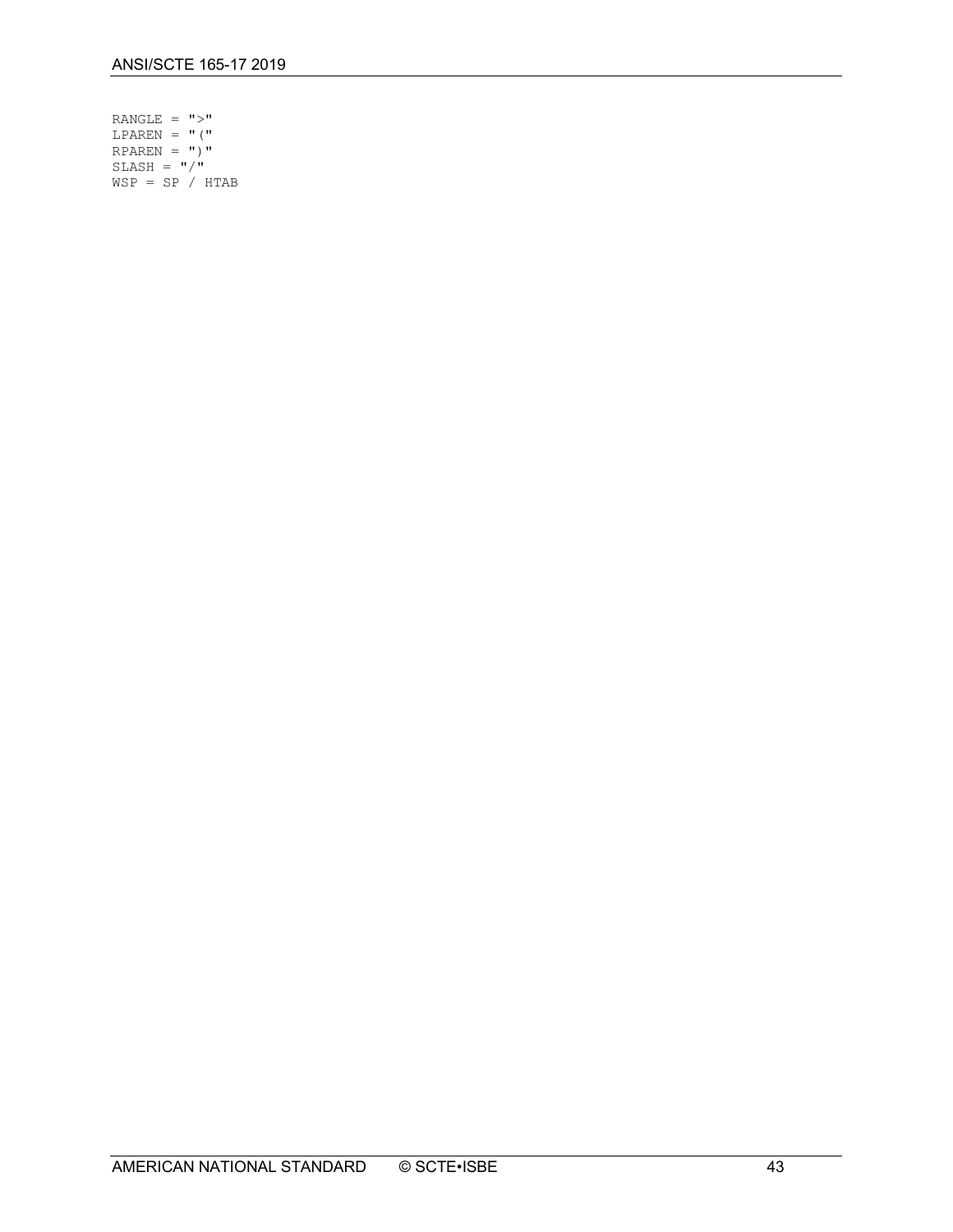$RANGELE = ">\n"$  $LPARENT = "("$  $RPAREN = "')"$  $SLASH = "$ /"  $WSP = SP / HTABLE$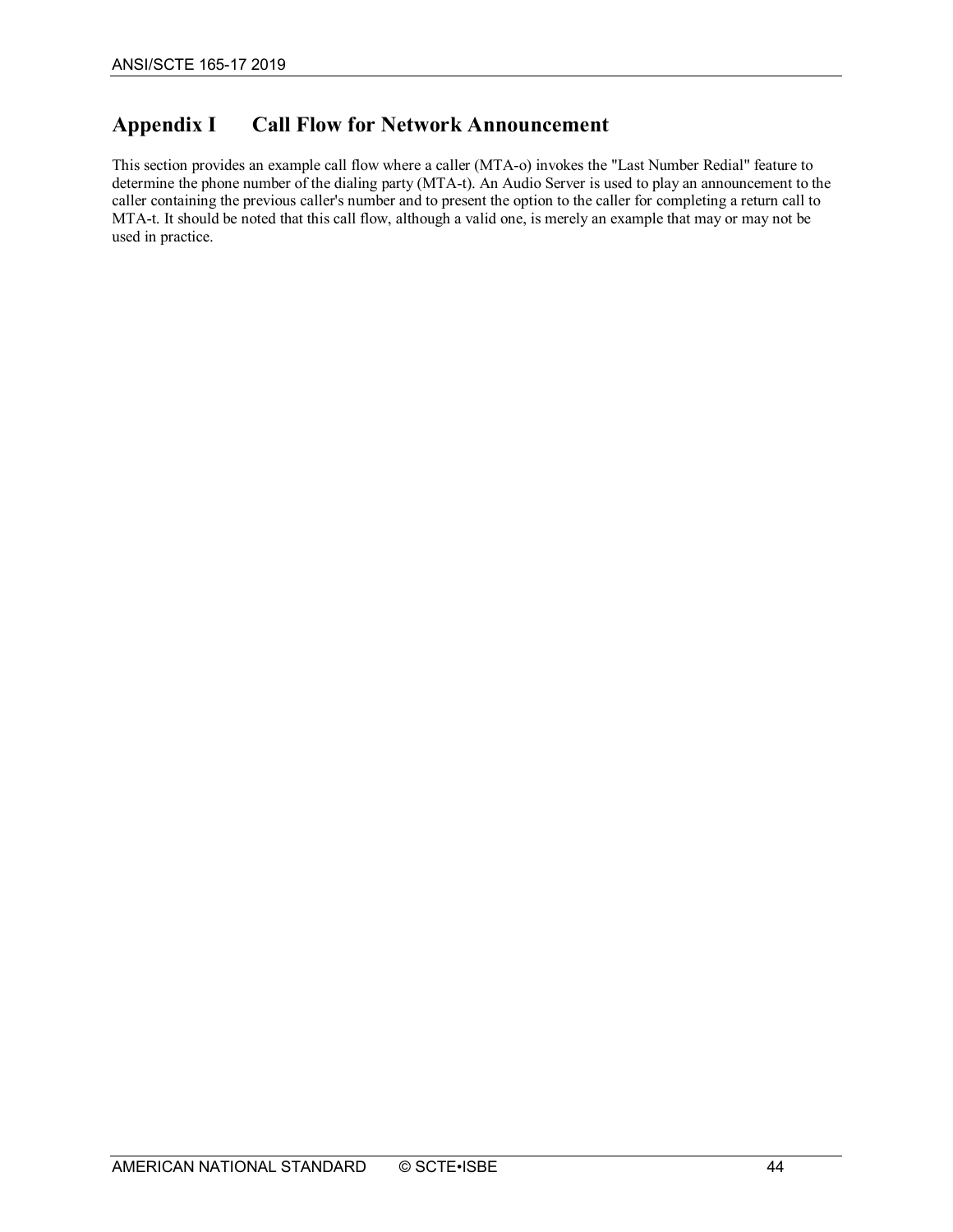## <span id="page-43-0"></span>**Appendix I Call Flow for Network Announcement**

This section provides an example call flow where a caller (MTA-o) invokes the "Last Number Redial" feature to determine the phone number of the dialing party (MTA-t). An Audio Server is used to play an announcement to the caller containing the previous caller's number and to present the option to the caller for completing a return call to MTA-t. It should be noted that this call flow, although a valid one, is merely an example that may or may not be used in practice.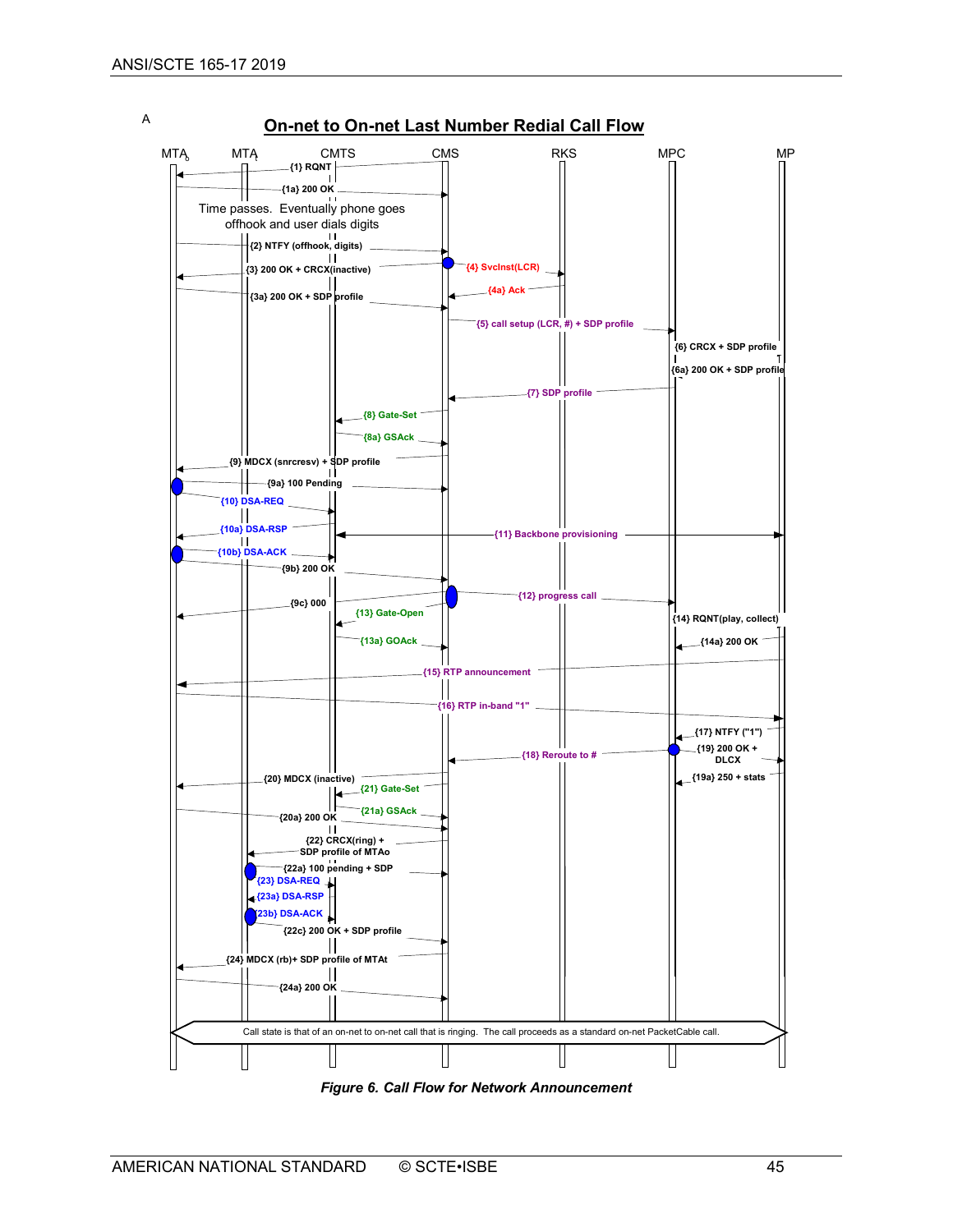

<span id="page-44-0"></span>*Figure 6. Call Flow for Network Announcement*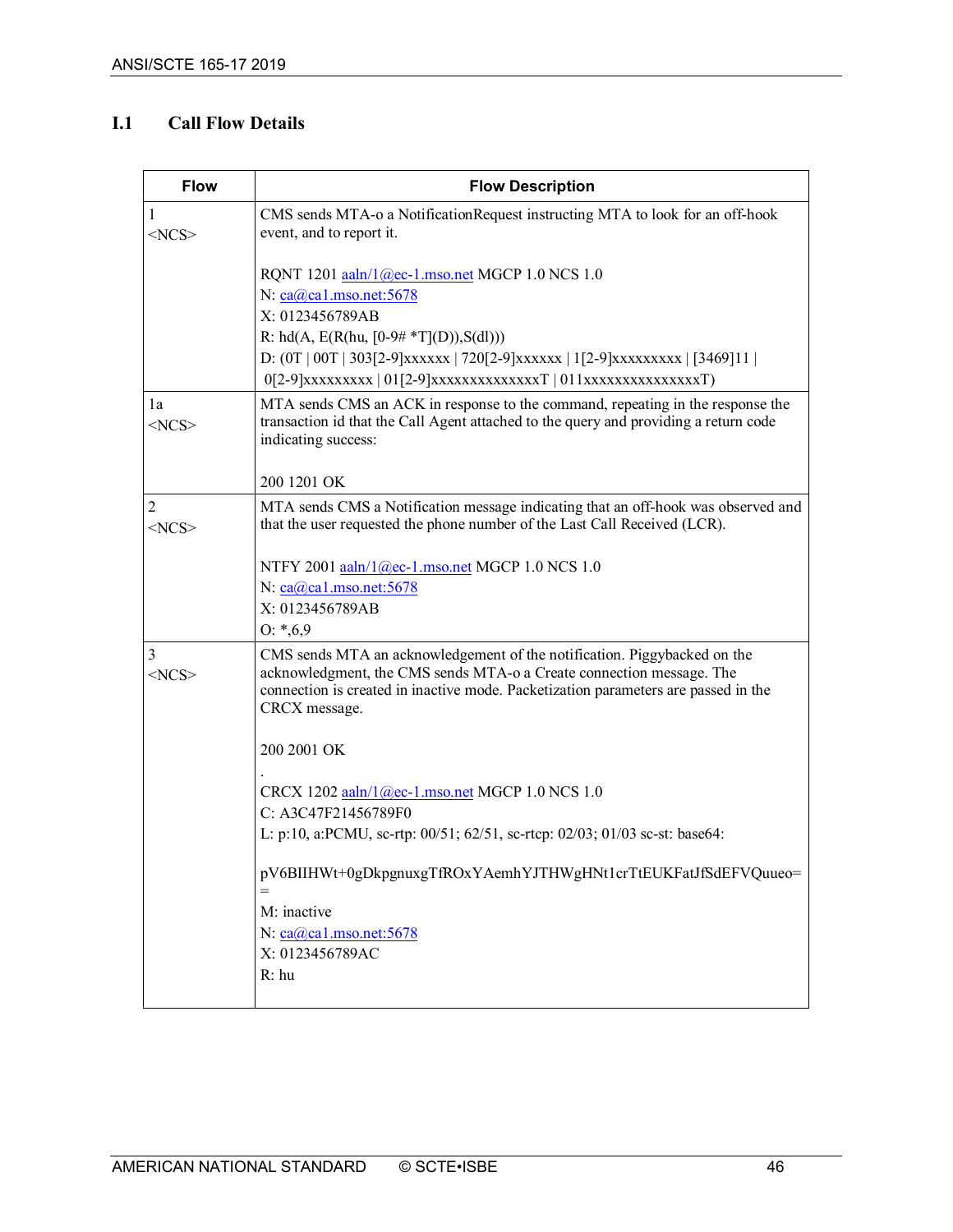## <span id="page-45-0"></span>**I.1 Call Flow Details**

| <b>Flow</b>       | <b>Flow Description</b>                                                                                                                                                                                                                                 |
|-------------------|---------------------------------------------------------------------------------------------------------------------------------------------------------------------------------------------------------------------------------------------------------|
| 1<br>$<$ NCS $>$  | CMS sends MTA-o a NotificationRequest instructing MTA to look for an off-hook<br>event, and to report it.                                                                                                                                               |
|                   | RQNT 1201 aaln/1@ec-1.mso.net MGCP 1.0 NCS 1.0<br>N: $ca(\partial ca1.mso.net:5678)$<br>X: 0123456789AB<br>R: hd(A, E(R(hu, [0-9# $*T$ ](D)),S(dl)))                                                                                                    |
|                   | D: (0T   00T   303[2-9]xxxxxx   720[2-9]xxxxxxx   1[2-9]xxxxxxxxx   [3469]11  <br>0[2-9] xxxxxxxxx   01[2-9] xxxxxxxxxxxxxx   011 xxxxxxxxxxxxxxxxx                                                                                                     |
| 1a<br>$<$ NCS $>$ | MTA sends CMS an ACK in response to the command, repeating in the response the<br>transaction id that the Call Agent attached to the query and providing a return code<br>indicating success:                                                           |
| 2                 | 200 1201 OK<br>MTA sends CMS a Notification message indicating that an off-hook was observed and                                                                                                                                                        |
| $<$ NCS $>$       | that the user requested the phone number of the Last Call Received (LCR).                                                                                                                                                                               |
|                   | NTFY 2001 aaln/1@ec-1.mso.net MGCP 1.0 NCS 1.0                                                                                                                                                                                                          |
|                   | N: $ca(\partial_0ca1.mso.net:5678)$<br>X: 0123456789AB                                                                                                                                                                                                  |
|                   | $0:*,6,9$                                                                                                                                                                                                                                               |
| 3<br>$<$ NCS $>$  | CMS sends MTA an acknowledgement of the notification. Piggybacked on the<br>acknowledgment, the CMS sends MTA-o a Create connection message. The<br>connection is created in inactive mode. Packetization parameters are passed in the<br>CRCX message. |
|                   | 200 2001 OK                                                                                                                                                                                                                                             |
|                   | CRCX 1202 aaln/1@ec-1.mso.net MGCP 1.0 NCS 1.0<br>C: A3C47F21456789F0                                                                                                                                                                                   |
|                   | L: p:10, a:PCMU, sc-rtp: 00/51; 62/51, sc-rtcp: 02/03; 01/03 sc-st: base64:                                                                                                                                                                             |
|                   | pV6BIIHWt+0gDkpgnuxgTfROxYAemhYJTHWgHNt1crTtEUKFatJfSdEFVQuueo=<br>$=$                                                                                                                                                                                  |
|                   | M: inactive                                                                                                                                                                                                                                             |
|                   | N: $ca(\partial_0ca1.mso.net:5678)$                                                                                                                                                                                                                     |
|                   | X: 0123456789AC<br>R:hu                                                                                                                                                                                                                                 |
|                   |                                                                                                                                                                                                                                                         |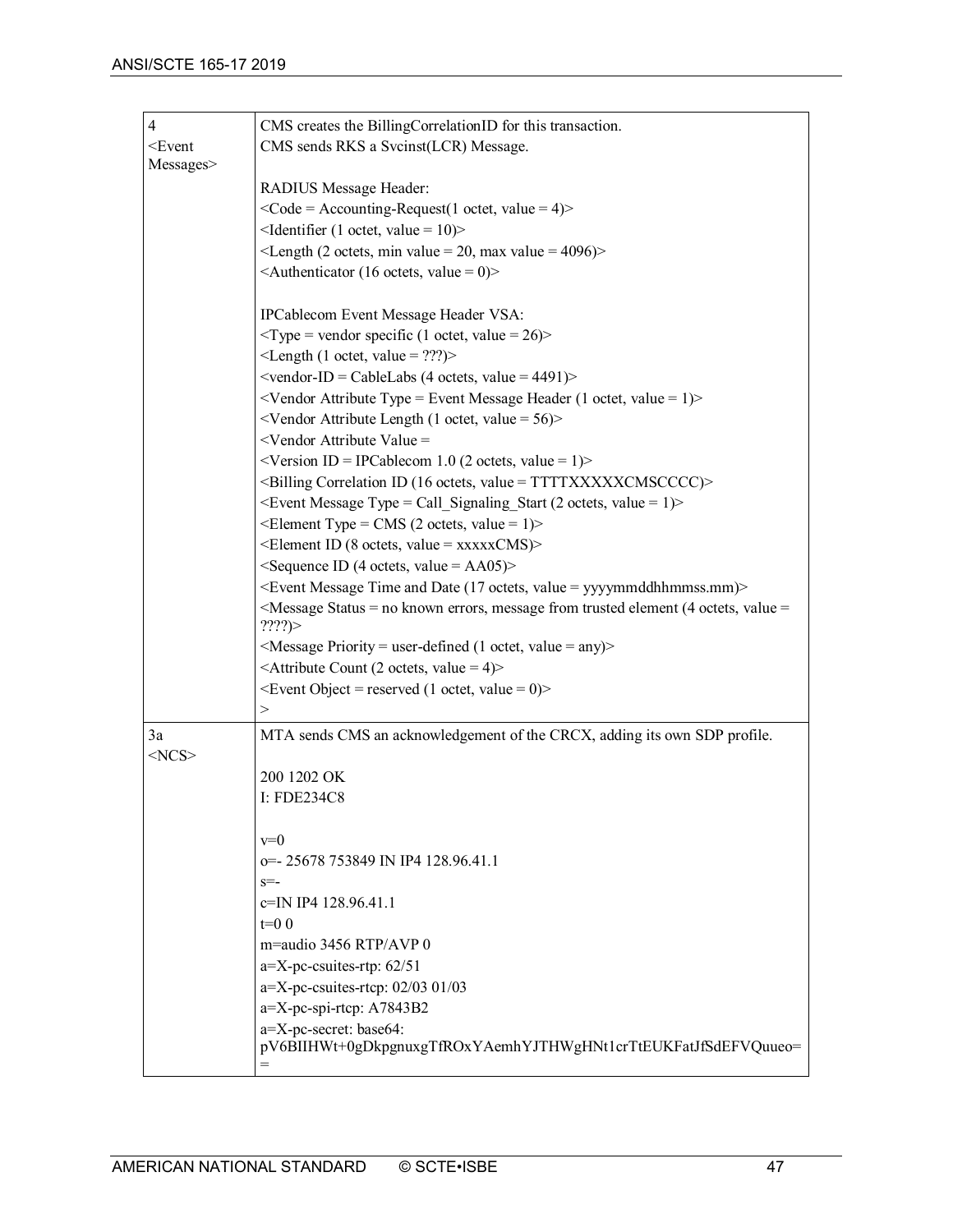| $\overline{4}$    | CMS creates the BillingCorrelationID for this transaction.                                                                       |
|-------------------|----------------------------------------------------------------------------------------------------------------------------------|
| $<$ Event         | CMS sends RKS a Svcinst(LCR) Message.                                                                                            |
| Messages>         |                                                                                                                                  |
|                   | RADIUS Message Header:                                                                                                           |
|                   | $\leq$ Code = Accounting-Request(1 octet, value = 4)>                                                                            |
|                   | $\leq$ Identifier (1 octet, value = 10)>                                                                                         |
|                   | $\leq$ Length (2 octets, min value = 20, max value = 4096)>                                                                      |
|                   | <authenticator (16="" octets,="" value="&lt;math">0)&gt;</authenticator>                                                         |
|                   |                                                                                                                                  |
|                   | IPCablecom Event Message Header VSA:                                                                                             |
|                   | $\langle$ Type = vendor specific (1 octet, value = 26)>                                                                          |
|                   | $\leq$ Length (1 octet, value = ???)>                                                                                            |
|                   | $\le$ vendor-ID = CableLabs (4 octets, value = 4491)>                                                                            |
|                   | $\leq$ Vendor Attribute Type = Event Message Header (1 octet, value = 1)                                                         |
|                   | $\leq$ Vendor Attribute Length (1 octet, value = 56)>                                                                            |
|                   | <vendor attribute="" value="&lt;/td"></vendor>                                                                                   |
|                   | $\leq$ Version ID = IPCablecom 1.0 (2 octets, value = 1)>                                                                        |
|                   | <billing (16="" correlation="" id="" octets,="" value="TTTTXXXXXCMSCCCC)"></billing>                                             |
|                   | $\leq$ Event Message Type = Call Signaling Start (2 octets, value = 1)                                                           |
|                   | $\leq$ Element Type = CMS (2 octets, value = 1)>                                                                                 |
|                   | $\leq$ Element ID (8 octets, value = xxxxxCMS)>                                                                                  |
|                   | $\leq$ Sequence ID (4 octets, value = AA05)>                                                                                     |
|                   | <event (17="" and="" date="" message="" octets,="" time="" value="yyyymmddhhmmss.mm)"></event>                                   |
|                   | <message (4="" element="" errors,="" from="" known="" message="" octets,="" status="no" trusted="" value="&lt;br">????</message> |
|                   | $\leq$ Message Priority = user-defined (1 octet, value = any)                                                                    |
|                   | <attribute (2="" count="" octets,="" value="&lt;math">4)</attribute>                                                             |
|                   | $\le$ Event Object = reserved (1 octet, value = 0)>                                                                              |
|                   | >                                                                                                                                |
| 3a<br>$<$ NCS $>$ | MTA sends CMS an acknowledgement of the CRCX, adding its own SDP profile.                                                        |
|                   | 200 1202 OK                                                                                                                      |
|                   | I: FDE234C8                                                                                                                      |
|                   |                                                                                                                                  |
|                   | $v=0$                                                                                                                            |
|                   | o= 25678 753849 IN IP4 128.96.41.1                                                                                               |
|                   | $s = -$                                                                                                                          |
|                   | $c=IN$ IP4 128.96.41.1                                                                                                           |
|                   | $t=0$ 0                                                                                                                          |
|                   | $m$ =audio 3456 RTP/AVP 0                                                                                                        |
|                   | a=X-pc-csuites-rtp: 62/51                                                                                                        |
|                   | $a=X$ -pc-csuites-rtcp: 02/03 01/03                                                                                              |
|                   | a=X-pc-spi-rtcp: A7843B2                                                                                                         |
|                   | a=X-pc-secret: base64:                                                                                                           |
|                   | pV6BIIHWt+0gDkpgnuxgTfROxYAemhYJTHWgHNt1crTtEUKFatJfSdEFVQuueo=                                                                  |
|                   |                                                                                                                                  |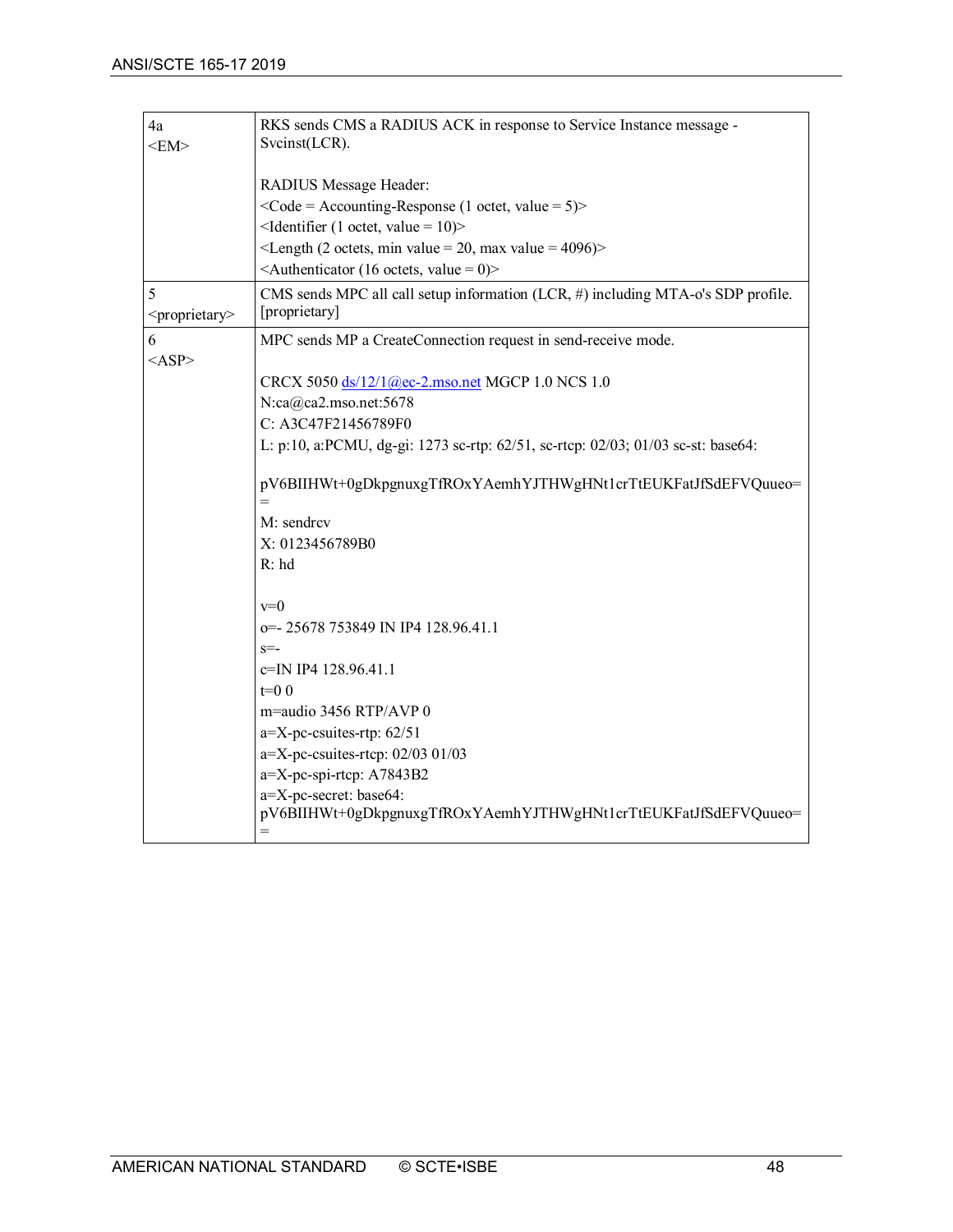| 4a<br>$<$ EM $>$            | RKS sends CMS a RADIUS ACK in response to Service Instance message -<br>Svcinst(LCR). |
|-----------------------------|---------------------------------------------------------------------------------------|
|                             |                                                                                       |
|                             | RADIUS Message Header:                                                                |
|                             | $\leq$ Code = Accounting-Response (1 octet, value = 5)>                               |
|                             | $\leq$ Identifier (1 octet, value = 10)>                                              |
|                             | $\leq$ Length (2 octets, min value = 20, max value = 4096)>                           |
|                             | <authenticator (16="" octets,="" value="&lt;math">0)&gt;</authenticator>              |
| 5                           | CMS sends MPC all call setup information (LCR, #) including MTA-o's SDP profile.      |
| <proprietary></proprietary> | [proprietary]                                                                         |
| 6                           | MPC sends MP a CreateConnection request in send-receive mode.                         |
| $<$ ASP>                    |                                                                                       |
|                             | CRCX 5050 ds/12/1@ec-2.mso.net MGCP 1.0 NCS 1.0                                       |
|                             | $N:ca(\partial_{c}ca2.mso.net:5678)$                                                  |
|                             | C: A3C47F21456789F0                                                                   |
|                             | L: p:10, a:PCMU, dg-gi: 1273 sc-rtp: 62/51, sc-rtcp: 02/03; 01/03 sc-st: base64:      |
|                             | pV6BIIHWt+0gDkpgnuxgTfROxYAemhYJTHWgHNt1crTtEUKFatJfSdEFVQuueo=                       |
|                             | M: sendrcv                                                                            |
|                             | X: 0123456789B0                                                                       |
|                             | R: hd                                                                                 |
|                             |                                                                                       |
|                             | $v=0$                                                                                 |
|                             | o=- 25678 753849 IN IP4 128.96.41.1                                                   |
|                             | $s = -$                                                                               |
|                             | c=IN IP4 128.96.41.1                                                                  |
|                             | $t=0$ 0                                                                               |
|                             | m=audio 3456 RTP/AVP 0                                                                |
|                             | $a=X$ -pc-csuites-rtp: 62/51                                                          |
|                             | $a=X$ -pc-csuites-rtcp: 02/03 01/03<br>a=X-pc-spi-rtcp: A7843B2                       |
|                             | a=X-pc-secret: base64:                                                                |
|                             | pV6BIIHWt+0gDkpgnuxgTfROxYAemhYJTHWgHNt1crTtEUKFatJfSdEFVQuueo=                       |
|                             | $=$                                                                                   |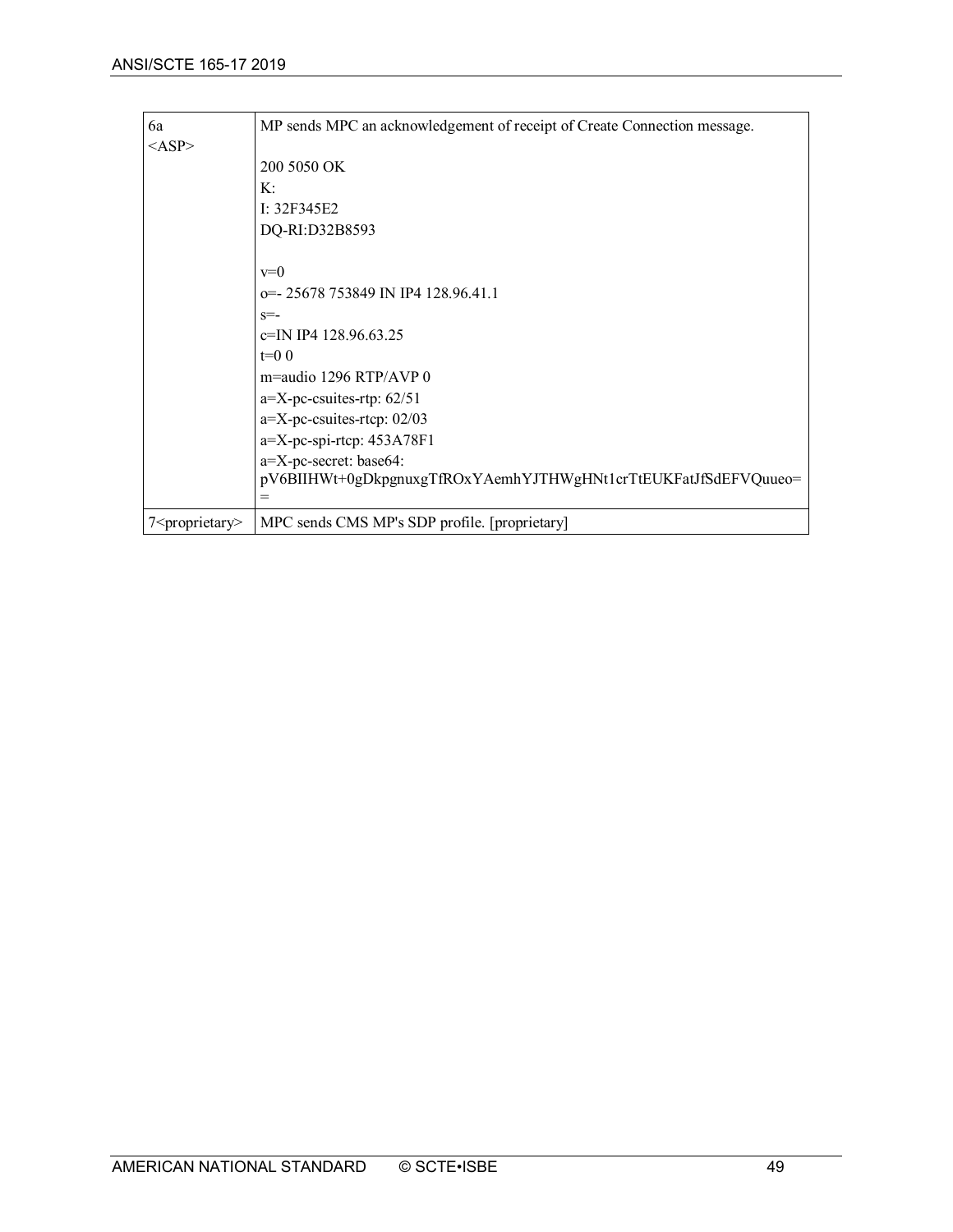| 6a              | MP sends MPC an acknowledgement of receipt of Create Connection message. |
|-----------------|--------------------------------------------------------------------------|
| $<$ ASP>        |                                                                          |
|                 | 200 5050 OK                                                              |
|                 | K:                                                                       |
|                 | I: 32F345E2                                                              |
|                 | DQ-RI:D32B8593                                                           |
|                 |                                                                          |
|                 | $v=0$                                                                    |
|                 | $o = 25678753849$ IN IP4 128.96.41.1                                     |
|                 | $s = -$                                                                  |
|                 | $c=IN$ IP4 128.96.63.25                                                  |
|                 | $t=0$ 0                                                                  |
|                 | m=audio 1296 RTP/AVP 0                                                   |
|                 | $a=X$ -pc-csuites-rtp: 62/51                                             |
|                 | $a=X$ -pc-csuites-rtcp: 02/03                                            |
|                 | a=X-pc-spi-rtcp: 453A78F1                                                |
|                 | a=X-pc-secret: base64:                                                   |
|                 | pV6BIIHWt+0gDkpgnuxgTfROxYAemhYJTHWgHNt1crTtEUKFatJfSdEFVQuueo=          |
|                 |                                                                          |
| $7$ proprietary | MPC sends CMS MP's SDP profile. [proprietary]                            |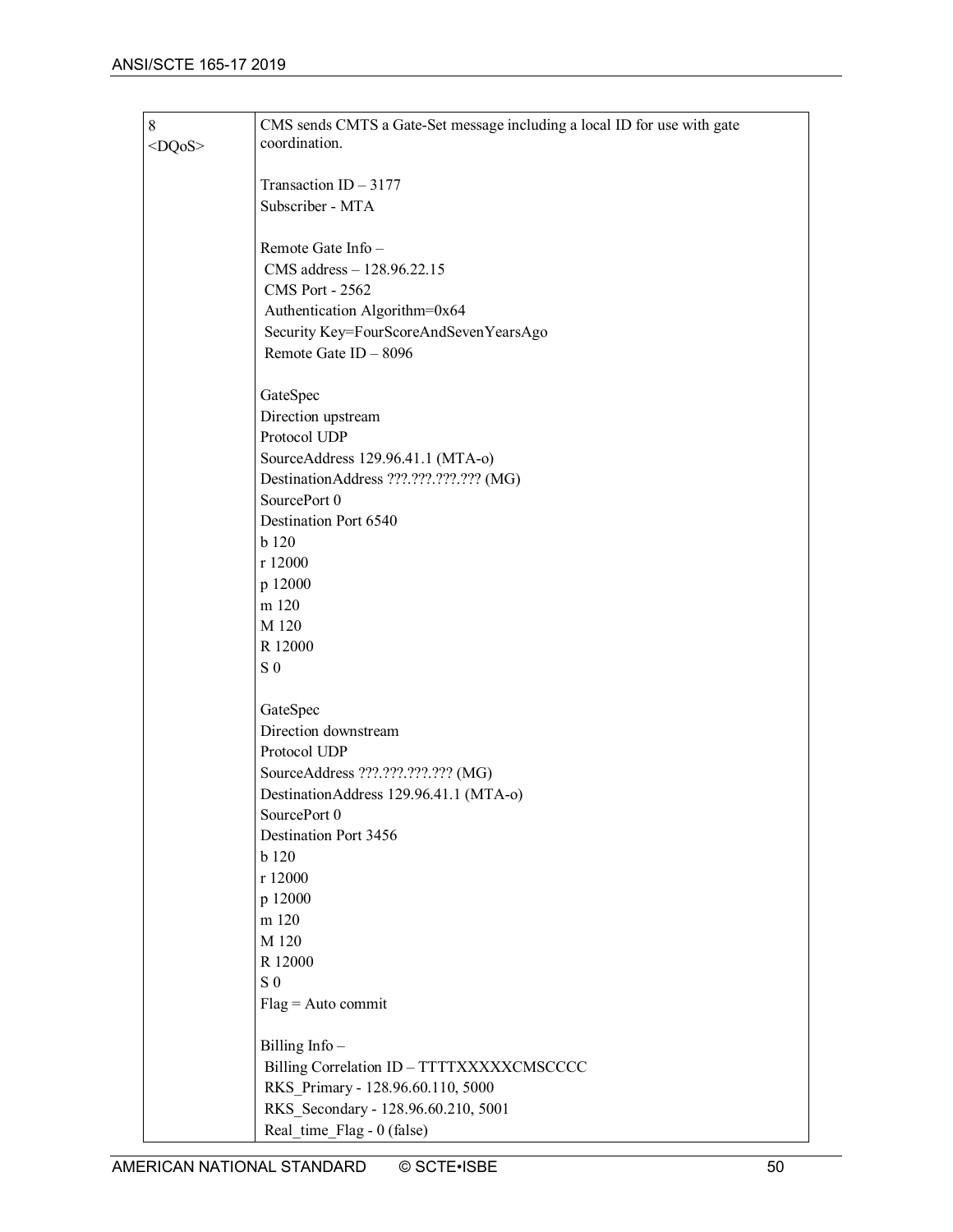| coordination.<br>$<$ DQoS><br>Transaction $ID - 3177$<br>Subscriber - MTA<br>Remote Gate Info-<br>CMS address - 128.96.22.15<br>CMS Port - 2562<br>Authentication Algorithm=0x64<br>Security Key=FourScoreAndSevenYearsAgo<br>Remote Gate ID - 8096<br>GateSpec<br>Direction upstream<br>Protocol UDP<br>SourceAddress 129.96.41.1 (MTA-o)<br>DestinationAddress ???.???.???.??? (MG)<br>SourcePort 0<br>Destination Port 6540<br><b>b</b> 120<br>r 12000<br>p 12000<br>m 120<br>M 120<br>R 12000<br>S <sub>0</sub><br>GateSpec<br>Direction downstream<br>Protocol UDP<br>SourceAddress ???.???.???.??? (MG)<br>DestinationAddress 129.96.41.1 (MTA-o)<br>SourcePort 0<br>Destination Port 3456<br><b>b</b> 120<br>r 12000<br>p 12000<br>m 120<br>M 120<br>R 12000<br>S <sub>0</sub> | 8 | CMS sends CMTS a Gate-Set message including a local ID for use with gate |
|---------------------------------------------------------------------------------------------------------------------------------------------------------------------------------------------------------------------------------------------------------------------------------------------------------------------------------------------------------------------------------------------------------------------------------------------------------------------------------------------------------------------------------------------------------------------------------------------------------------------------------------------------------------------------------------------------------------------------------------------------------------------------------------|---|--------------------------------------------------------------------------|
|                                                                                                                                                                                                                                                                                                                                                                                                                                                                                                                                                                                                                                                                                                                                                                                       |   |                                                                          |
|                                                                                                                                                                                                                                                                                                                                                                                                                                                                                                                                                                                                                                                                                                                                                                                       |   |                                                                          |
|                                                                                                                                                                                                                                                                                                                                                                                                                                                                                                                                                                                                                                                                                                                                                                                       |   |                                                                          |
|                                                                                                                                                                                                                                                                                                                                                                                                                                                                                                                                                                                                                                                                                                                                                                                       |   |                                                                          |
|                                                                                                                                                                                                                                                                                                                                                                                                                                                                                                                                                                                                                                                                                                                                                                                       |   |                                                                          |
|                                                                                                                                                                                                                                                                                                                                                                                                                                                                                                                                                                                                                                                                                                                                                                                       |   |                                                                          |
|                                                                                                                                                                                                                                                                                                                                                                                                                                                                                                                                                                                                                                                                                                                                                                                       |   |                                                                          |
|                                                                                                                                                                                                                                                                                                                                                                                                                                                                                                                                                                                                                                                                                                                                                                                       |   |                                                                          |
|                                                                                                                                                                                                                                                                                                                                                                                                                                                                                                                                                                                                                                                                                                                                                                                       |   |                                                                          |
|                                                                                                                                                                                                                                                                                                                                                                                                                                                                                                                                                                                                                                                                                                                                                                                       |   |                                                                          |
|                                                                                                                                                                                                                                                                                                                                                                                                                                                                                                                                                                                                                                                                                                                                                                                       |   |                                                                          |
|                                                                                                                                                                                                                                                                                                                                                                                                                                                                                                                                                                                                                                                                                                                                                                                       |   |                                                                          |
|                                                                                                                                                                                                                                                                                                                                                                                                                                                                                                                                                                                                                                                                                                                                                                                       |   |                                                                          |
|                                                                                                                                                                                                                                                                                                                                                                                                                                                                                                                                                                                                                                                                                                                                                                                       |   |                                                                          |
|                                                                                                                                                                                                                                                                                                                                                                                                                                                                                                                                                                                                                                                                                                                                                                                       |   |                                                                          |
|                                                                                                                                                                                                                                                                                                                                                                                                                                                                                                                                                                                                                                                                                                                                                                                       |   |                                                                          |
|                                                                                                                                                                                                                                                                                                                                                                                                                                                                                                                                                                                                                                                                                                                                                                                       |   |                                                                          |
|                                                                                                                                                                                                                                                                                                                                                                                                                                                                                                                                                                                                                                                                                                                                                                                       |   |                                                                          |
|                                                                                                                                                                                                                                                                                                                                                                                                                                                                                                                                                                                                                                                                                                                                                                                       |   |                                                                          |
|                                                                                                                                                                                                                                                                                                                                                                                                                                                                                                                                                                                                                                                                                                                                                                                       |   |                                                                          |
|                                                                                                                                                                                                                                                                                                                                                                                                                                                                                                                                                                                                                                                                                                                                                                                       |   |                                                                          |
|                                                                                                                                                                                                                                                                                                                                                                                                                                                                                                                                                                                                                                                                                                                                                                                       |   |                                                                          |
|                                                                                                                                                                                                                                                                                                                                                                                                                                                                                                                                                                                                                                                                                                                                                                                       |   |                                                                          |
|                                                                                                                                                                                                                                                                                                                                                                                                                                                                                                                                                                                                                                                                                                                                                                                       |   |                                                                          |
|                                                                                                                                                                                                                                                                                                                                                                                                                                                                                                                                                                                                                                                                                                                                                                                       |   |                                                                          |
|                                                                                                                                                                                                                                                                                                                                                                                                                                                                                                                                                                                                                                                                                                                                                                                       |   |                                                                          |
|                                                                                                                                                                                                                                                                                                                                                                                                                                                                                                                                                                                                                                                                                                                                                                                       |   |                                                                          |
|                                                                                                                                                                                                                                                                                                                                                                                                                                                                                                                                                                                                                                                                                                                                                                                       |   |                                                                          |
|                                                                                                                                                                                                                                                                                                                                                                                                                                                                                                                                                                                                                                                                                                                                                                                       |   |                                                                          |
|                                                                                                                                                                                                                                                                                                                                                                                                                                                                                                                                                                                                                                                                                                                                                                                       |   |                                                                          |
|                                                                                                                                                                                                                                                                                                                                                                                                                                                                                                                                                                                                                                                                                                                                                                                       |   |                                                                          |
|                                                                                                                                                                                                                                                                                                                                                                                                                                                                                                                                                                                                                                                                                                                                                                                       |   |                                                                          |
|                                                                                                                                                                                                                                                                                                                                                                                                                                                                                                                                                                                                                                                                                                                                                                                       |   |                                                                          |
|                                                                                                                                                                                                                                                                                                                                                                                                                                                                                                                                                                                                                                                                                                                                                                                       |   |                                                                          |
|                                                                                                                                                                                                                                                                                                                                                                                                                                                                                                                                                                                                                                                                                                                                                                                       |   |                                                                          |
|                                                                                                                                                                                                                                                                                                                                                                                                                                                                                                                                                                                                                                                                                                                                                                                       |   |                                                                          |
|                                                                                                                                                                                                                                                                                                                                                                                                                                                                                                                                                                                                                                                                                                                                                                                       |   |                                                                          |
|                                                                                                                                                                                                                                                                                                                                                                                                                                                                                                                                                                                                                                                                                                                                                                                       |   |                                                                          |
|                                                                                                                                                                                                                                                                                                                                                                                                                                                                                                                                                                                                                                                                                                                                                                                       |   |                                                                          |
|                                                                                                                                                                                                                                                                                                                                                                                                                                                                                                                                                                                                                                                                                                                                                                                       |   |                                                                          |
|                                                                                                                                                                                                                                                                                                                                                                                                                                                                                                                                                                                                                                                                                                                                                                                       |   |                                                                          |
|                                                                                                                                                                                                                                                                                                                                                                                                                                                                                                                                                                                                                                                                                                                                                                                       |   | $Flag = Auto commit$                                                     |
|                                                                                                                                                                                                                                                                                                                                                                                                                                                                                                                                                                                                                                                                                                                                                                                       |   |                                                                          |
| Billing Info $-$                                                                                                                                                                                                                                                                                                                                                                                                                                                                                                                                                                                                                                                                                                                                                                      |   |                                                                          |
| Billing Correlation ID - TTTTXXXXXCMSCCCC                                                                                                                                                                                                                                                                                                                                                                                                                                                                                                                                                                                                                                                                                                                                             |   |                                                                          |
| RKS Primary - 128.96.60.110, 5000                                                                                                                                                                                                                                                                                                                                                                                                                                                                                                                                                                                                                                                                                                                                                     |   |                                                                          |
| RKS Secondary - 128.96.60.210, 5001                                                                                                                                                                                                                                                                                                                                                                                                                                                                                                                                                                                                                                                                                                                                                   |   |                                                                          |
| Real time Flag - 0 (false)                                                                                                                                                                                                                                                                                                                                                                                                                                                                                                                                                                                                                                                                                                                                                            |   |                                                                          |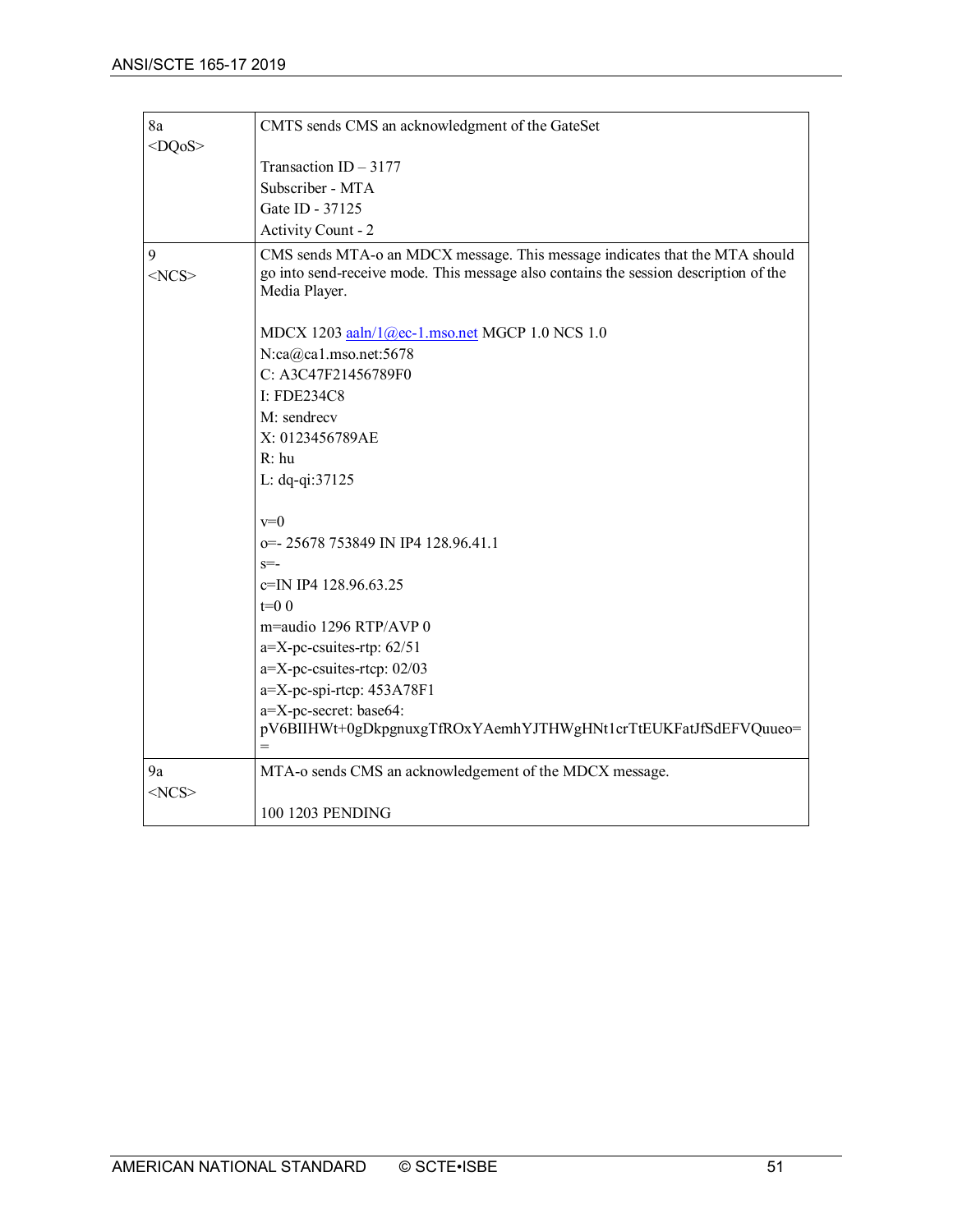| 8a          | CMTS sends CMS an acknowledgment of the GateSet                                                       |  |  |  |  |
|-------------|-------------------------------------------------------------------------------------------------------|--|--|--|--|
| $<$ DQoS>   |                                                                                                       |  |  |  |  |
|             | Transaction ID $-3177$                                                                                |  |  |  |  |
|             | Subscriber - MTA                                                                                      |  |  |  |  |
|             | Gate ID - 37125                                                                                       |  |  |  |  |
|             | Activity Count - 2                                                                                    |  |  |  |  |
| 9           | CMS sends MTA-o an MDCX message. This message indicates that the MTA should                           |  |  |  |  |
| $<$ NCS $>$ | go into send-receive mode. This message also contains the session description of the<br>Media Player. |  |  |  |  |
|             | MDCX 1203 aaln/1@ec-1.mso.net MGCP 1.0 NCS 1.0                                                        |  |  |  |  |
|             | $N:ca(\partial_{c}ca1.mso.net:5678)$                                                                  |  |  |  |  |
|             | C: A3C47F21456789F0                                                                                   |  |  |  |  |
|             | <b>I: FDE234C8</b>                                                                                    |  |  |  |  |
|             | M: sendrecv                                                                                           |  |  |  |  |
|             | X: 0123456789AE                                                                                       |  |  |  |  |
|             | R:hu                                                                                                  |  |  |  |  |
|             | L: dq-qi:37125                                                                                        |  |  |  |  |
|             | $v=0$                                                                                                 |  |  |  |  |
|             | o=- 25678 753849 IN IP4 128.96.41.1                                                                   |  |  |  |  |
|             | $s = -$                                                                                               |  |  |  |  |
|             | c=IN IP4 128.96.63.25                                                                                 |  |  |  |  |
|             | $t=0$ 0                                                                                               |  |  |  |  |
|             | m=audio 1296 RTP/AVP 0                                                                                |  |  |  |  |
|             | a=X-pc-csuites-rtp: 62/51                                                                             |  |  |  |  |
|             | $a=X$ -pc-csuites-rtcp: 02/03                                                                         |  |  |  |  |
|             | a=X-pc-spi-rtcp: 453A78F1<br>a=X-pc-secret: base64:                                                   |  |  |  |  |
|             | pV6BIIHWt+0gDkpgnuxgTfROxYAemhYJTHWgHNt1crTtEUKFatJfSdEFVQuueo=                                       |  |  |  |  |
| 9a          | MTA-o sends CMS an acknowledgement of the MDCX message.                                               |  |  |  |  |
| $<$ NCS $>$ | 100 1203 PENDING                                                                                      |  |  |  |  |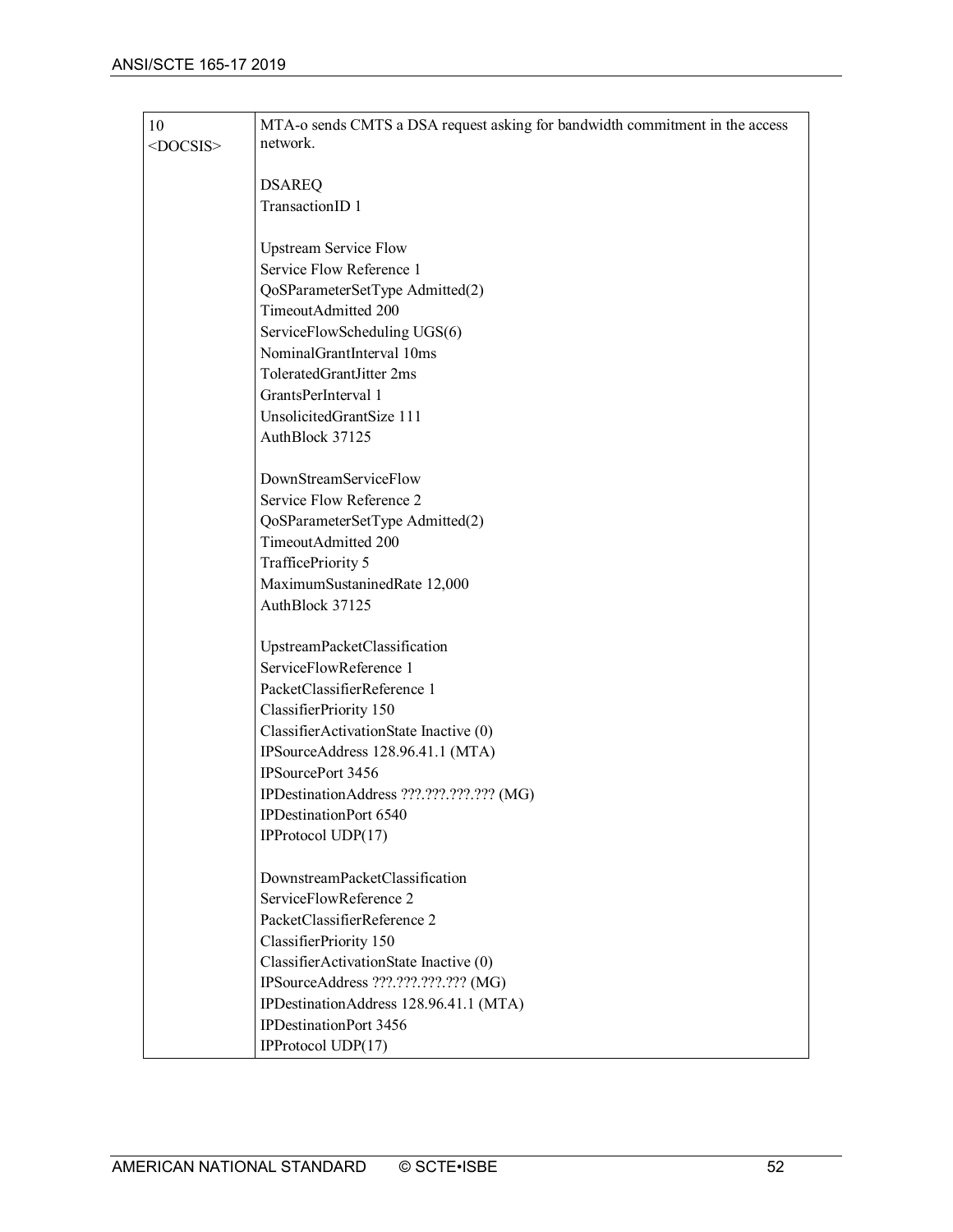| 10             | MTA-o sends CMTS a DSA request asking for bandwidth commitment in the access |  |  |
|----------------|------------------------------------------------------------------------------|--|--|
| $<$ DOCSIS $>$ | network.                                                                     |  |  |
|                |                                                                              |  |  |
|                | <b>DSAREQ</b>                                                                |  |  |
|                | TransactionID 1                                                              |  |  |
|                |                                                                              |  |  |
|                | <b>Upstream Service Flow</b>                                                 |  |  |
|                | Service Flow Reference 1                                                     |  |  |
|                | QoSParameterSetType Admitted(2)                                              |  |  |
|                | TimeoutAdmitted 200                                                          |  |  |
|                | ServiceFlowScheduling UGS(6)                                                 |  |  |
|                | NominalGrantInterval 10ms                                                    |  |  |
|                | ToleratedGrantJitter 2ms                                                     |  |  |
|                | GrantsPerInterval 1                                                          |  |  |
|                | UnsolicitedGrantSize 111                                                     |  |  |
|                | AuthBlock 37125                                                              |  |  |
|                |                                                                              |  |  |
|                | DownStreamServiceFlow                                                        |  |  |
|                | Service Flow Reference 2                                                     |  |  |
|                | QoSParameterSetType Admitted(2)                                              |  |  |
|                | TimeoutAdmitted 200                                                          |  |  |
|                | TrafficePriority 5                                                           |  |  |
|                | MaximumSustaninedRate 12,000                                                 |  |  |
|                | AuthBlock 37125                                                              |  |  |
|                | UpstreamPacketClassification                                                 |  |  |
|                | ServiceFlowReference 1                                                       |  |  |
|                | PacketClassifierReference 1                                                  |  |  |
|                | ClassifierPriority 150                                                       |  |  |
|                | Classifier Activation State Inactive (0)                                     |  |  |
|                | IPSourceAddress 128.96.41.1 (MTA)                                            |  |  |
|                | IPSourcePort 3456                                                            |  |  |
|                | IPDestinationAddress ???.???.???.??? (MG)                                    |  |  |
|                | <b>IPDestinationPort 6540</b>                                                |  |  |
|                | IPProtocol UDP(17)                                                           |  |  |
|                | DownstreamPacketClassification                                               |  |  |
|                | ServiceFlowReference 2                                                       |  |  |
|                | PacketClassifierReference 2                                                  |  |  |
|                | ClassifierPriority 150                                                       |  |  |
|                | Classifier Activation State Inactive (0)                                     |  |  |
|                | IPSourceAddress ???.???.???.??? (MG)                                         |  |  |
|                | IPDestinationAddress 128.96.41.1 (MTA)                                       |  |  |
|                | IPDestinationPort 3456                                                       |  |  |
|                | IPProtocol UDP(17)                                                           |  |  |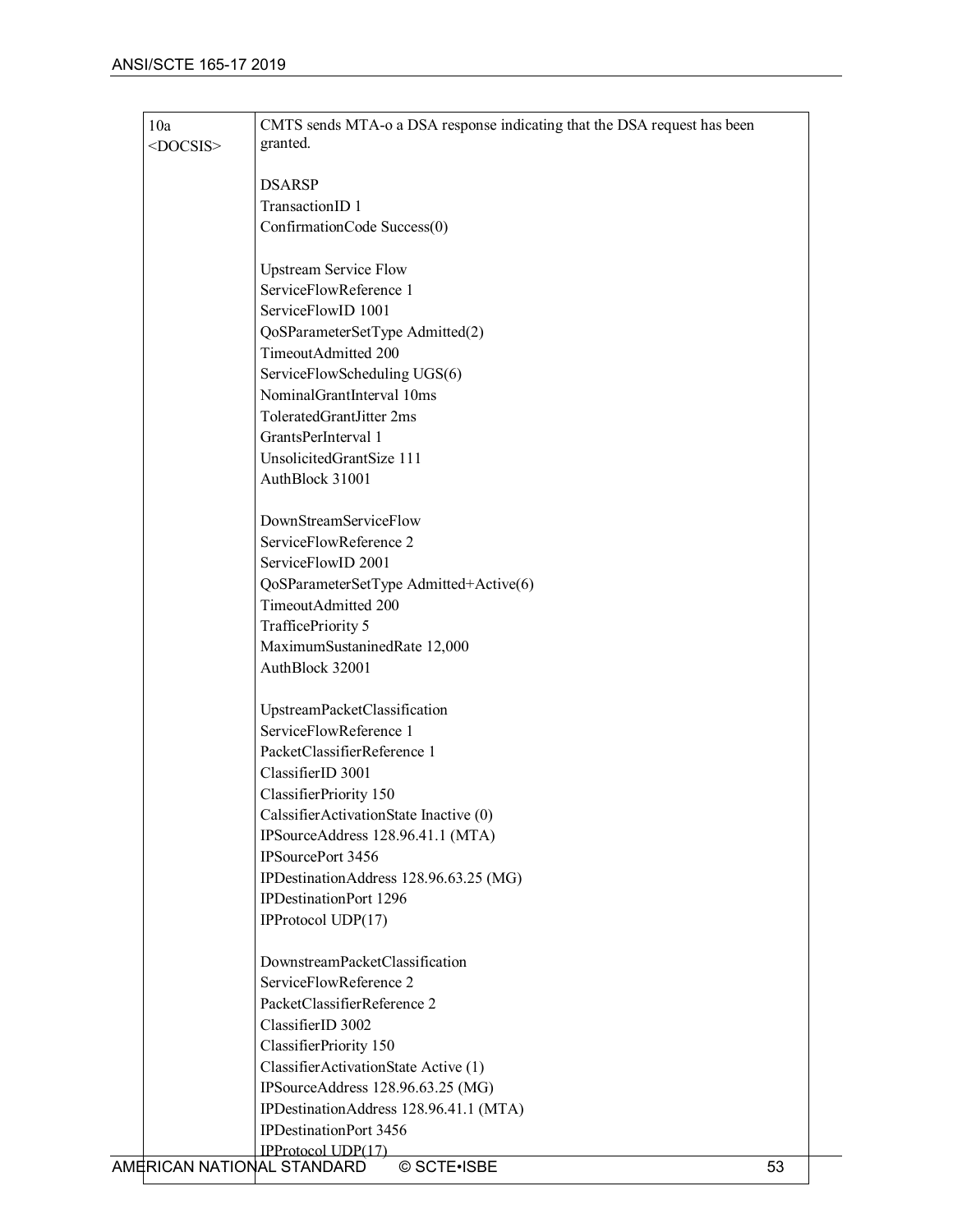| 10a               | CMTS sends MTA-o a DSA response indicating that the DSA request has been |    |
|-------------------|--------------------------------------------------------------------------|----|
| <docsis></docsis> | granted.                                                                 |    |
|                   | <b>DSARSP</b>                                                            |    |
|                   | TransactionID 1                                                          |    |
|                   | ConfirmationCode Success(0)                                              |    |
|                   |                                                                          |    |
|                   | <b>Upstream Service Flow</b>                                             |    |
|                   | ServiceFlowReference 1                                                   |    |
|                   | ServiceFlowID 1001                                                       |    |
|                   | QoSParameterSetType Admitted(2)                                          |    |
|                   | TimeoutAdmitted 200                                                      |    |
|                   | ServiceFlowScheduling UGS(6)                                             |    |
|                   | NominalGrantInterval 10ms                                                |    |
|                   | ToleratedGrantJitter 2ms                                                 |    |
|                   | GrantsPerInterval 1                                                      |    |
|                   | UnsolicitedGrantSize 111                                                 |    |
|                   | AuthBlock 31001                                                          |    |
|                   | DownStreamServiceFlow                                                    |    |
|                   | ServiceFlowReference 2                                                   |    |
|                   | ServiceFlowID 2001                                                       |    |
|                   | QoSParameterSetType Admitted+Active(6)                                   |    |
|                   | TimeoutAdmitted 200                                                      |    |
|                   | TrafficePriority 5                                                       |    |
|                   | MaximumSustaninedRate 12,000                                             |    |
|                   | AuthBlock 32001                                                          |    |
|                   | UpstreamPacketClassification                                             |    |
|                   | ServiceFlowReference 1                                                   |    |
|                   | PacketClassifierReference 1                                              |    |
|                   | ClassifierID 3001                                                        |    |
|                   | ClassifierPriority 150                                                   |    |
|                   | CalssifierActivationState Inactive (0)                                   |    |
|                   | IPSourceAddress 128.96.41.1 (MTA)                                        |    |
|                   | <b>IPSourcePort 3456</b>                                                 |    |
|                   | IPDestinationAddress 128.96.63.25 (MG)                                   |    |
|                   | <b>IPDestinationPort 1296</b>                                            |    |
|                   | IPProtocol UDP(17)                                                       |    |
|                   | DownstreamPacketClassification                                           |    |
|                   | ServiceFlowReference 2                                                   |    |
|                   | PacketClassifierReference 2                                              |    |
|                   | ClassifierID 3002                                                        |    |
|                   | ClassifierPriority 150                                                   |    |
|                   | Classifier Activation State Active (1)                                   |    |
|                   | IPSourceAddress 128.96.63.25 (MG)                                        |    |
|                   | IPDestinationAddress 128.96.41.1 (MTA)                                   |    |
|                   | <b>IPDestinationPort 3456</b>                                            |    |
|                   | <b>IPProtocol UDP(17)</b><br>© SCTE•ISBE<br>AMERICAN NATIONAL STANDARD   | 53 |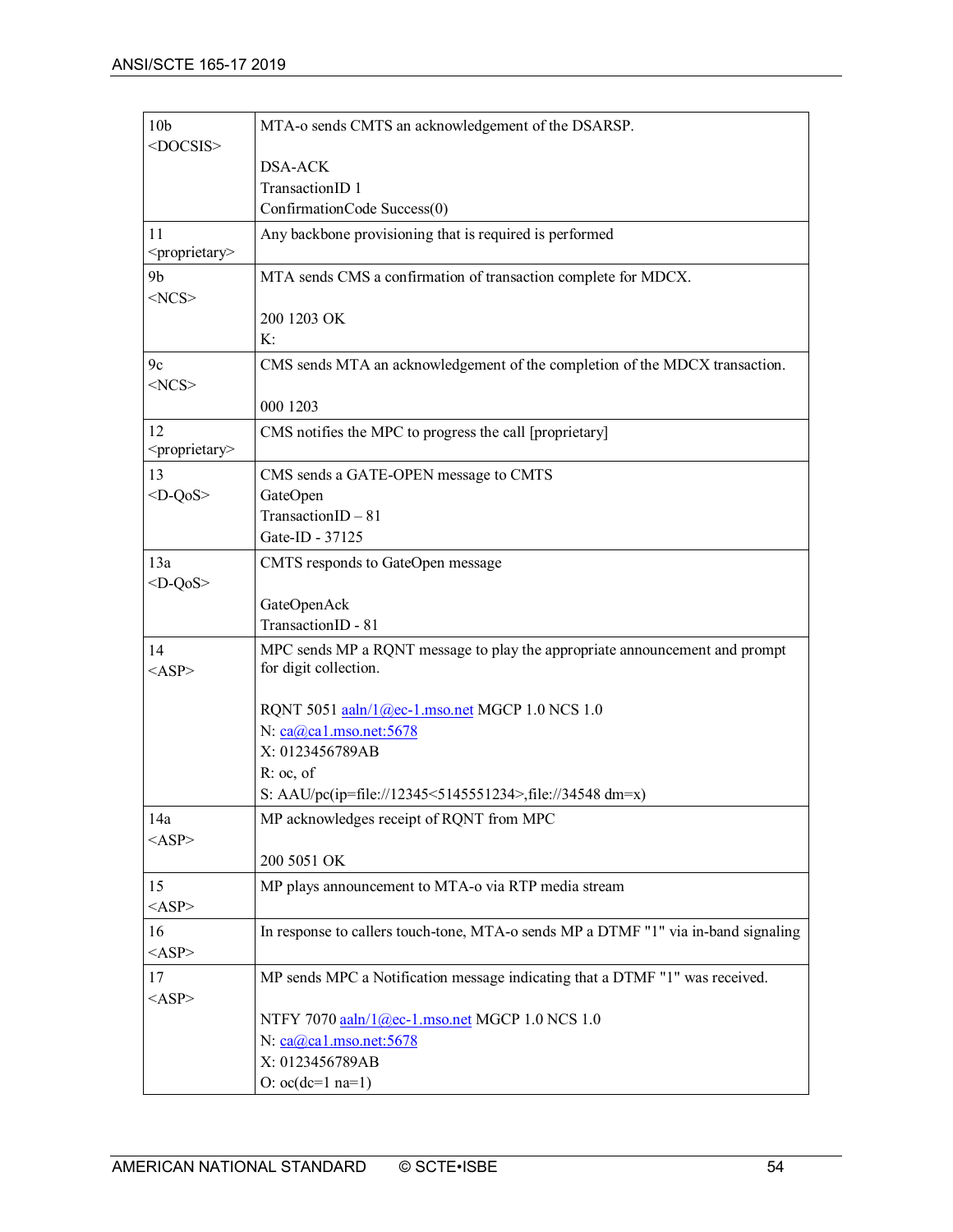| 10 <sub>b</sub>                   | MTA-o sends CMTS an acknowledgement of the DSARSP.                                 |  |  |  |
|-----------------------------------|------------------------------------------------------------------------------------|--|--|--|
| <docsis></docsis>                 |                                                                                    |  |  |  |
|                                   | <b>DSA-ACK</b>                                                                     |  |  |  |
|                                   | TransactionID 1                                                                    |  |  |  |
|                                   | ConfirmationCode Success(0)                                                        |  |  |  |
| 11<br><proprietary></proprietary> | Any backbone provisioning that is required is performed                            |  |  |  |
| 9 <sub>b</sub><br>$<$ NCS $>$     | MTA sends CMS a confirmation of transaction complete for MDCX.                     |  |  |  |
|                                   | 200 1203 OK                                                                        |  |  |  |
|                                   | K:                                                                                 |  |  |  |
| 9c                                | CMS sends MTA an acknowledgement of the completion of the MDCX transaction.        |  |  |  |
| $<$ NCS $>$                       |                                                                                    |  |  |  |
|                                   | 000 1203                                                                           |  |  |  |
| 12                                | CMS notifies the MPC to progress the call [proprietary]                            |  |  |  |
| <proprietary></proprietary>       |                                                                                    |  |  |  |
| 13                                | CMS sends a GATE-OPEN message to CMTS                                              |  |  |  |
| $<$ D-QoS>                        | GateOpen                                                                           |  |  |  |
|                                   | $TransactionID - 81$                                                               |  |  |  |
|                                   | Gate-ID - 37125                                                                    |  |  |  |
| 13a                               | CMTS responds to GateOpen message                                                  |  |  |  |
| $<$ D-QoS>                        |                                                                                    |  |  |  |
|                                   | GateOpenAck                                                                        |  |  |  |
|                                   | TransactionID - 81                                                                 |  |  |  |
| 14                                | MPC sends MP a RQNT message to play the appropriate announcement and prompt        |  |  |  |
| $<$ ASP>                          | for digit collection.                                                              |  |  |  |
|                                   |                                                                                    |  |  |  |
|                                   | RQNT 5051 aaln/1@ec-1.mso.net MGCP 1.0 NCS 1.0                                     |  |  |  |
|                                   | N: $ca@ca1.mso.net:5678$                                                           |  |  |  |
|                                   | X: 0123456789AB                                                                    |  |  |  |
|                                   | R: oc, of                                                                          |  |  |  |
|                                   | S: AAU/pc(ip=file://12345<5145551234>,file://34548 dm=x)                           |  |  |  |
| 14a                               | MP acknowledges receipt of RQNT from MPC                                           |  |  |  |
| $<$ ASP>                          |                                                                                    |  |  |  |
|                                   | 200 5051 OK                                                                        |  |  |  |
| 15                                | MP plays announcement to MTA-o via RTP media stream                                |  |  |  |
| $<$ ASP>                          |                                                                                    |  |  |  |
| 16                                | In response to callers touch-tone, MTA-o sends MP a DTMF "1" via in-band signaling |  |  |  |
| $<$ ASP>                          |                                                                                    |  |  |  |
| 17                                | MP sends MPC a Notification message indicating that a DTMF "1" was received.       |  |  |  |
| $<$ ASP>                          |                                                                                    |  |  |  |
|                                   | NTFY 7070 aaln/1@ec-1.mso.net MGCP 1.0 NCS 1.0                                     |  |  |  |
|                                   | N: $ca(\partial ca1.mso.net:5678)$                                                 |  |  |  |
|                                   | X: 0123456789AB                                                                    |  |  |  |
|                                   | O: $oc(dc=1 na=1)$                                                                 |  |  |  |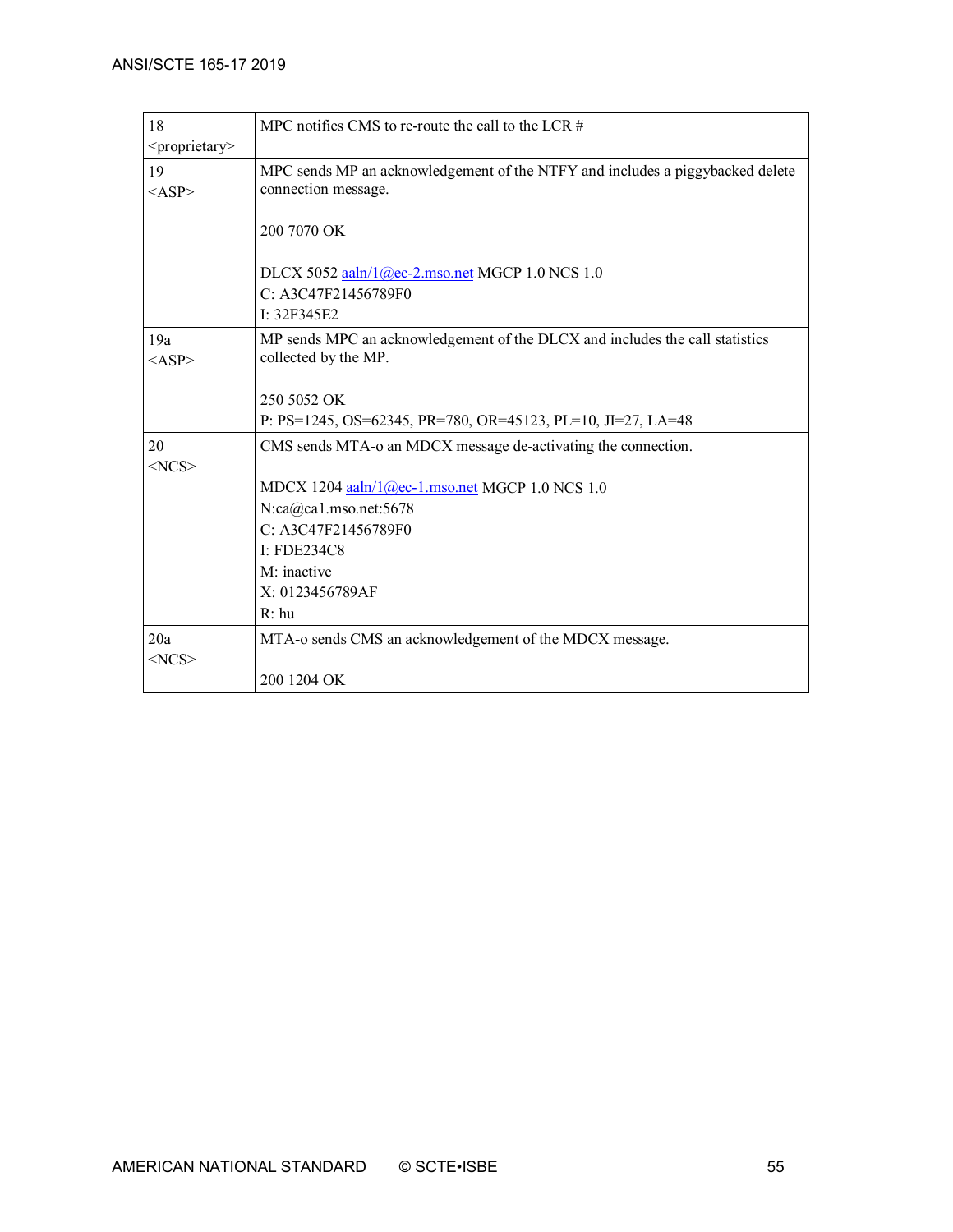| 18                          | MPC notifies CMS to re-route the call to the LCR #                            |  |  |
|-----------------------------|-------------------------------------------------------------------------------|--|--|
| <proprietary></proprietary> |                                                                               |  |  |
| 19                          | MPC sends MP an acknowledgement of the NTFY and includes a piggybacked delete |  |  |
| $<$ ASP>                    | connection message.                                                           |  |  |
|                             |                                                                               |  |  |
|                             | 200 7070 OK                                                                   |  |  |
|                             |                                                                               |  |  |
|                             | DLCX 5052 aaln/1@ec-2.mso.net MGCP 1.0 NCS 1.0                                |  |  |
|                             | C: A3C47F21456789F0                                                           |  |  |
|                             | I: 32F345E2                                                                   |  |  |
| 19a                         | MP sends MPC an acknowledgement of the DLCX and includes the call statistics  |  |  |
| $<$ ASP>                    | collected by the MP.                                                          |  |  |
|                             |                                                                               |  |  |
|                             | 250 5052 OK                                                                   |  |  |
|                             | P: PS=1245, OS=62345, PR=780, OR=45123, PL=10, JI=27, LA=48                   |  |  |
| 20                          | CMS sends MTA-o an MDCX message de-activating the connection.                 |  |  |
| $<$ NCS $>$                 |                                                                               |  |  |
|                             | MDCX 1204 aaln/1@ec-1.mso.net MGCP 1.0 NCS 1.0                                |  |  |
|                             | N:ca@ca1.mso.net:5678                                                         |  |  |
|                             | C: A3C47F21456789F0                                                           |  |  |
|                             | <b>I: FDE234C8</b>                                                            |  |  |
|                             | M: inactive                                                                   |  |  |
|                             | X: 0123456789AF                                                               |  |  |
|                             | R:hu                                                                          |  |  |
| 20a                         | MTA-o sends CMS an acknowledgement of the MDCX message.                       |  |  |
| $<$ NCS $>$                 |                                                                               |  |  |
|                             | 200 1204 OK                                                                   |  |  |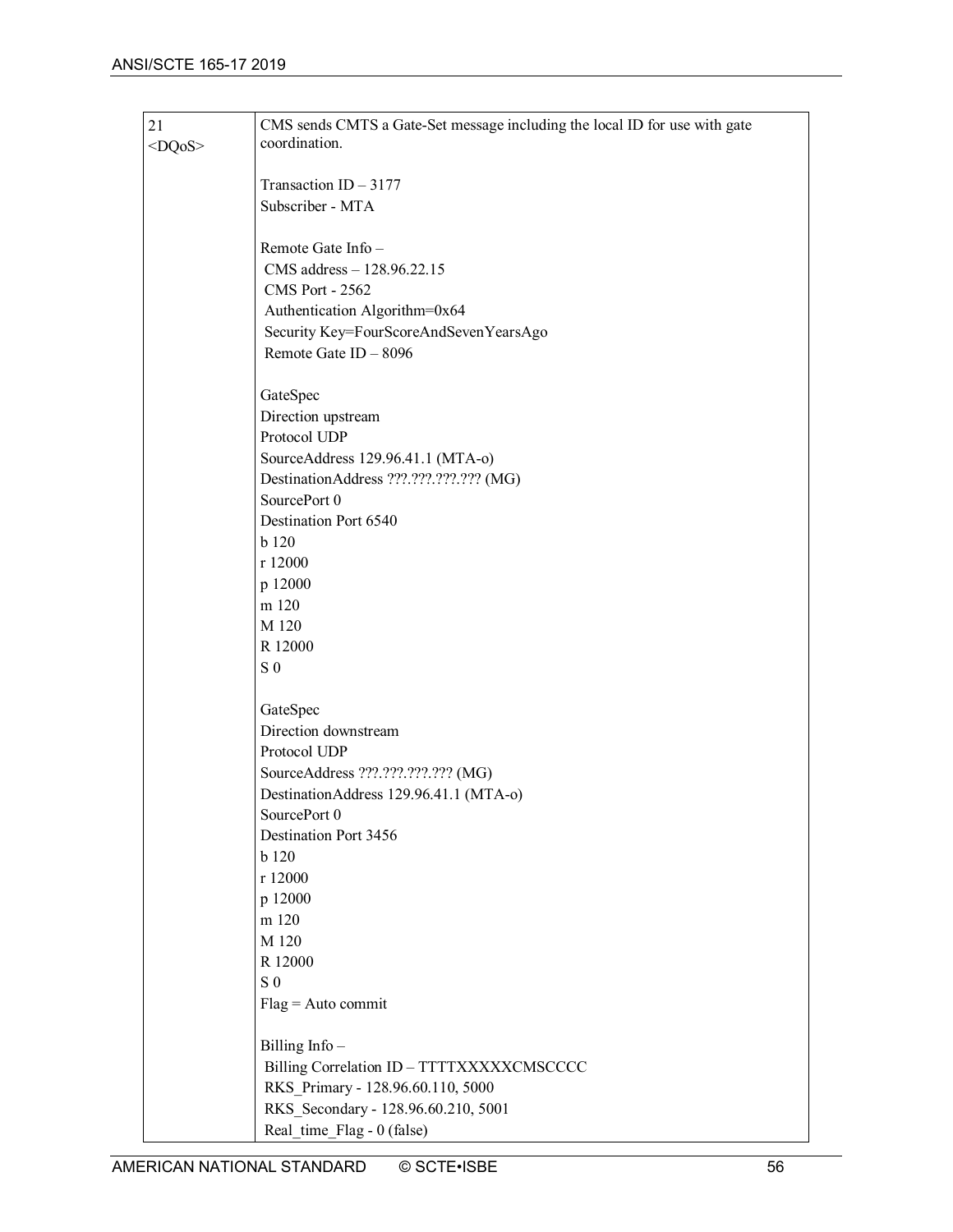| 21        | CMS sends CMTS a Gate-Set message including the local ID for use with gate |  |  |  |
|-----------|----------------------------------------------------------------------------|--|--|--|
| $<$ DQoS> | coordination.                                                              |  |  |  |
|           |                                                                            |  |  |  |
|           | Transaction $ID - 3177$                                                    |  |  |  |
|           | Subscriber - MTA                                                           |  |  |  |
|           |                                                                            |  |  |  |
|           | Remote Gate Info-                                                          |  |  |  |
|           | CMS address - 128.96.22.15                                                 |  |  |  |
|           | <b>CMS Port - 2562</b>                                                     |  |  |  |
|           | Authentication Algorithm=0x64                                              |  |  |  |
|           | Security Key=FourScoreAndSevenYearsAgo                                     |  |  |  |
|           | Remote Gate ID - 8096                                                      |  |  |  |
|           |                                                                            |  |  |  |
|           | GateSpec                                                                   |  |  |  |
|           | Direction upstream                                                         |  |  |  |
|           | Protocol UDP                                                               |  |  |  |
|           | SourceAddress 129.96.41.1 (MTA-o)                                          |  |  |  |
|           | DestinationAddress ???.???.???.??? (MG)                                    |  |  |  |
|           | SourcePort 0                                                               |  |  |  |
|           | Destination Port 6540                                                      |  |  |  |
|           | <b>b</b> 120                                                               |  |  |  |
|           | r 12000                                                                    |  |  |  |
|           | p 12000                                                                    |  |  |  |
|           | m 120                                                                      |  |  |  |
|           | M 120                                                                      |  |  |  |
|           | R 12000                                                                    |  |  |  |
|           | S <sub>0</sub>                                                             |  |  |  |
|           |                                                                            |  |  |  |
|           | GateSpec                                                                   |  |  |  |
|           | Direction downstream                                                       |  |  |  |
|           | Protocol UDP                                                               |  |  |  |
|           | SourceAddress ???.???.???.??? (MG)                                         |  |  |  |
|           | DestinationAddress 129.96.41.1 (MTA-o)                                     |  |  |  |
|           | SourcePort 0                                                               |  |  |  |
|           | Destination Port 3456                                                      |  |  |  |
|           | <b>b</b> 120                                                               |  |  |  |
|           | r 12000                                                                    |  |  |  |
|           | p 12000                                                                    |  |  |  |
|           | m 120                                                                      |  |  |  |
|           | M 120                                                                      |  |  |  |
|           | R 12000                                                                    |  |  |  |
|           | S <sub>0</sub>                                                             |  |  |  |
|           | $Flag = Auto commit$                                                       |  |  |  |
|           |                                                                            |  |  |  |
|           | Billing Info $-$                                                           |  |  |  |
|           | Billing Correlation ID - TTTTXXXXXCMSCCCC                                  |  |  |  |
|           | RKS Primary - 128.96.60.110, 5000                                          |  |  |  |
|           | RKS Secondary - 128.96.60.210, 5001                                        |  |  |  |
|           | Real time Flag - 0 (false)                                                 |  |  |  |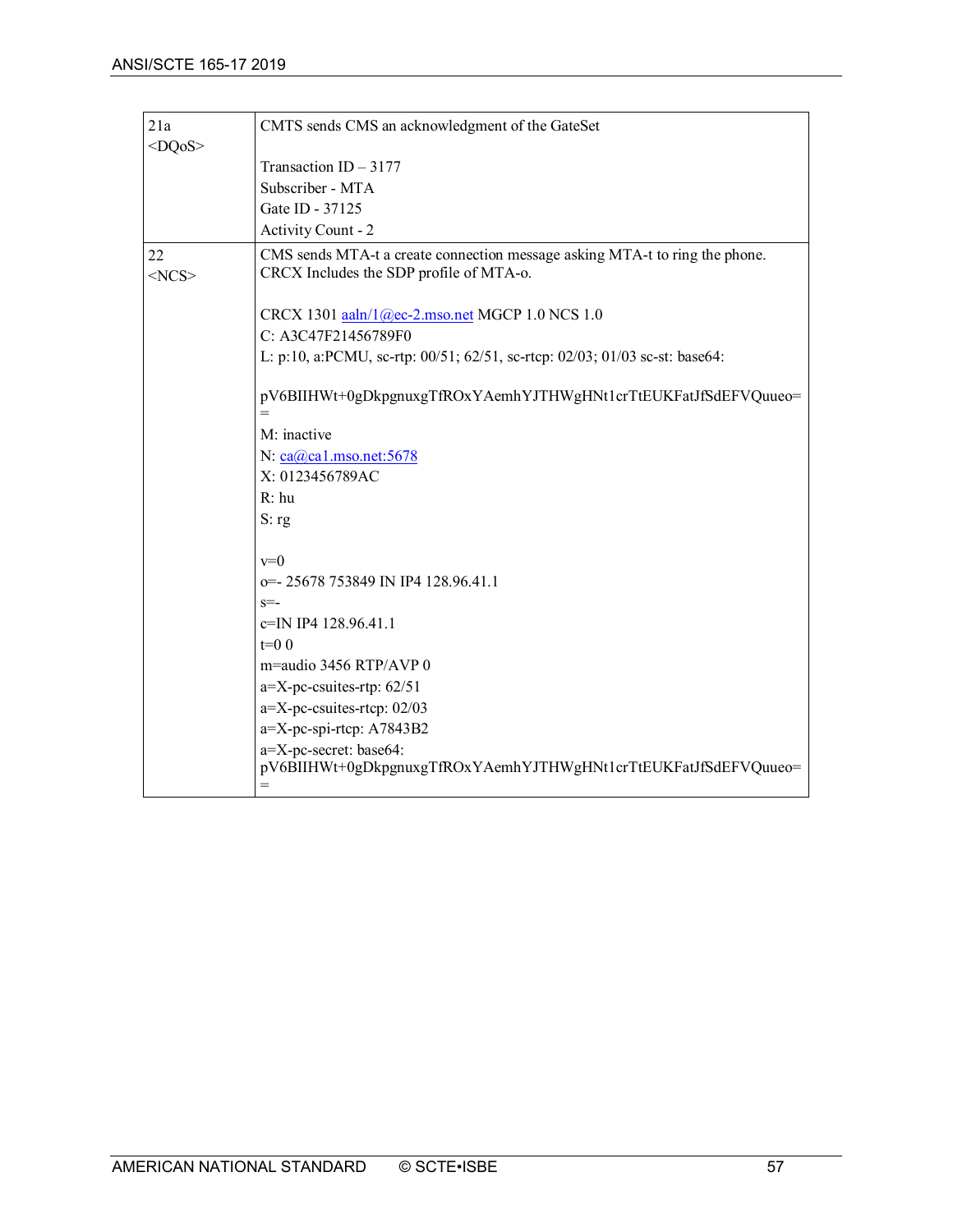| 21a            | CMTS sends CMS an acknowledgment of the GateSet                                                                        |  |  |  |
|----------------|------------------------------------------------------------------------------------------------------------------------|--|--|--|
| $<$ DQoS>      |                                                                                                                        |  |  |  |
|                | Transaction $ID - 3177$                                                                                                |  |  |  |
|                | Subscriber - MTA                                                                                                       |  |  |  |
|                | Gate ID - 37125                                                                                                        |  |  |  |
|                | Activity Count - 2                                                                                                     |  |  |  |
| 22<br>$<$ NCS> | CMS sends MTA-t a create connection message asking MTA-t to ring the phone.<br>CRCX Includes the SDP profile of MTA-o. |  |  |  |
|                | CRCX 1301 aaln/1@ec-2.mso.net MGCP 1.0 NCS 1.0<br>C: A3C47F21456789F0                                                  |  |  |  |
|                | L: p:10, a:PCMU, sc-rtp: 00/51; 62/51, sc-rtcp: 02/03; 01/03 sc-st: base64:                                            |  |  |  |
|                | pV6BIIHWt+0gDkpgnuxgTfROxYAemhYJTHWgHNt1crTtEUKFatJfSdEFVQuueo=                                                        |  |  |  |
|                | M: inactive                                                                                                            |  |  |  |
|                | N: $ca(\partial ca1.mso.net:5678)$                                                                                     |  |  |  |
|                | X: 0123456789AC                                                                                                        |  |  |  |
|                | R: hu                                                                                                                  |  |  |  |
|                | S:rg                                                                                                                   |  |  |  |
|                | $v=0$                                                                                                                  |  |  |  |
|                | o= 25678 753849 IN IP4 128.96.41.1                                                                                     |  |  |  |
|                | $s = -$                                                                                                                |  |  |  |
|                | c=IN IP4 128.96.41.1                                                                                                   |  |  |  |
|                | $t=0$ 0                                                                                                                |  |  |  |
|                | m=audio 3456 RTP/AVP 0                                                                                                 |  |  |  |
|                | a=X-pc-csuites-rtp: 62/51                                                                                              |  |  |  |
|                | a=X-pc-csuites-rtcp: 02/03                                                                                             |  |  |  |
|                | a=X-pc-spi-rtcp: A7843B2                                                                                               |  |  |  |
|                | a=X-pc-secret: base64:                                                                                                 |  |  |  |
|                | pV6BIIHWt+0gDkpgnuxgTfROxYAemhYJTHWgHNt1crTtEUKFatJfSdEFVQuueo=<br>$=$                                                 |  |  |  |
|                |                                                                                                                        |  |  |  |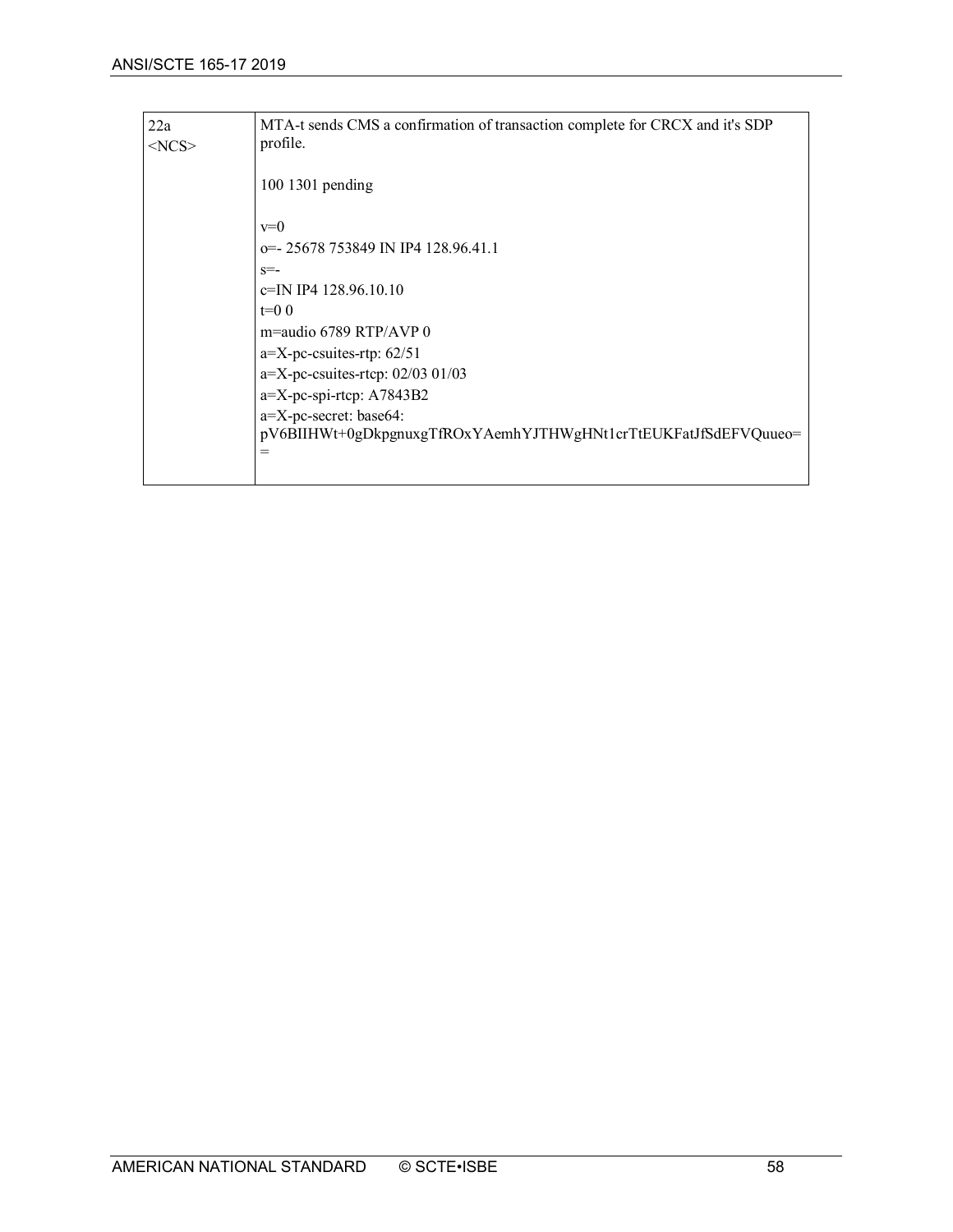| 22a<br>$<$ NCS $>$ | MTA-t sends CMS a confirmation of transaction complete for CRCX and it's SDP<br>profile. |  |  |
|--------------------|------------------------------------------------------------------------------------------|--|--|
|                    | 100 1301 pending                                                                         |  |  |
|                    | $v=0$                                                                                    |  |  |
|                    | o= 25678 753849 IN IP4 128.96.41.1                                                       |  |  |
|                    | $s = -$                                                                                  |  |  |
|                    | $c=IN$ IP4 128.96.10.10                                                                  |  |  |
|                    | $t=0$ 0                                                                                  |  |  |
|                    | m=audio $6789$ RTP/AVP 0                                                                 |  |  |
|                    | $a=X$ -pc-csuites-rtp: 62/51                                                             |  |  |
|                    | $a=X$ -pc-csuites-rtcp: 02/03 01/03                                                      |  |  |
|                    | a=X-pc-spi-rtcp: A7843B2                                                                 |  |  |
|                    | a=X-pc-secret: base64:                                                                   |  |  |
|                    | pV6BIIHWt+0gDkpgnuxgTfROxYAemhYJTHWgHNt1crTtEUKFatJfSdEFVQuueo=<br>$=$                   |  |  |
|                    |                                                                                          |  |  |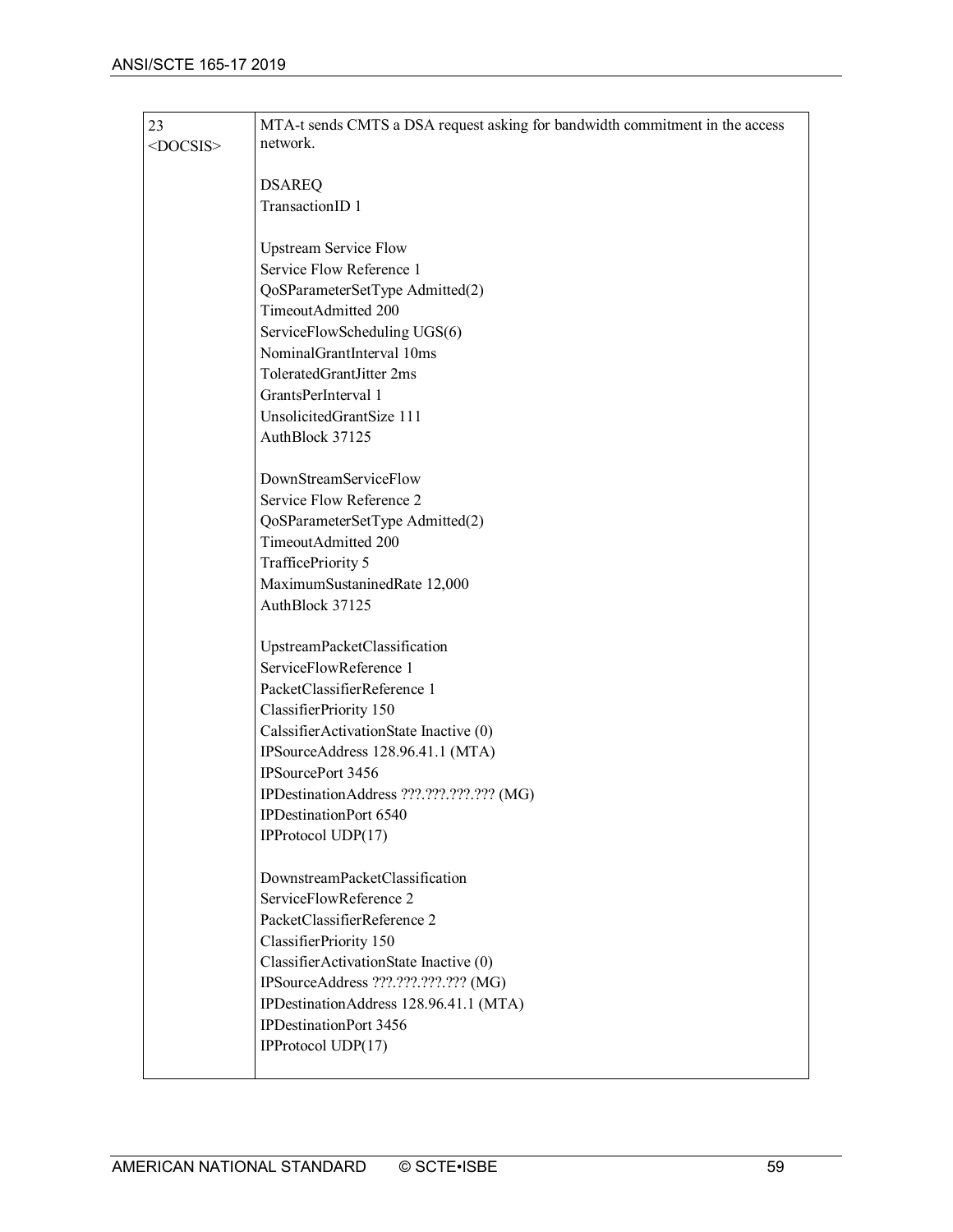| 23                | MTA-t sends CMTS a DSA request asking for bandwidth commitment in the access |  |  |
|-------------------|------------------------------------------------------------------------------|--|--|
| <docsis></docsis> | network.                                                                     |  |  |
|                   |                                                                              |  |  |
|                   | <b>DSAREQ</b>                                                                |  |  |
|                   | TransactionID 1                                                              |  |  |
|                   |                                                                              |  |  |
|                   | <b>Upstream Service Flow</b>                                                 |  |  |
|                   | Service Flow Reference 1                                                     |  |  |
|                   | QoSParameterSetType Admitted(2)                                              |  |  |
|                   | TimeoutAdmitted 200                                                          |  |  |
|                   | ServiceFlowScheduling UGS(6)                                                 |  |  |
|                   | NominalGrantInterval 10ms                                                    |  |  |
|                   | ToleratedGrantJitter 2ms                                                     |  |  |
|                   | GrantsPerInterval 1                                                          |  |  |
|                   | UnsolicitedGrantSize 111                                                     |  |  |
|                   | AuthBlock 37125                                                              |  |  |
|                   | DownStreamServiceFlow                                                        |  |  |
|                   | Service Flow Reference 2                                                     |  |  |
|                   | QoSParameterSetType Admitted(2)                                              |  |  |
|                   | TimeoutAdmitted 200                                                          |  |  |
|                   | TrafficePriority 5                                                           |  |  |
|                   | MaximumSustaninedRate 12,000                                                 |  |  |
|                   | AuthBlock 37125                                                              |  |  |
|                   |                                                                              |  |  |
|                   | UpstreamPacketClassification                                                 |  |  |
|                   | ServiceFlowReference 1                                                       |  |  |
|                   | PacketClassifierReference 1                                                  |  |  |
|                   | ClassifierPriority 150                                                       |  |  |
|                   | CalssifierActivationState Inactive (0)                                       |  |  |
|                   | IPSourceAddress 128.96.41.1 (MTA)                                            |  |  |
|                   | IPSourcePort 3456                                                            |  |  |
|                   | IPDestinationAddress ???.???.???.??? (MG)                                    |  |  |
|                   | <b>IPDestinationPort 6540</b>                                                |  |  |
|                   | IPProtocol UDP(17)                                                           |  |  |
|                   |                                                                              |  |  |
|                   | DownstreamPacketClassification                                               |  |  |
|                   | ServiceFlowReference 2                                                       |  |  |
|                   | PacketClassifierReference 2                                                  |  |  |
|                   | ClassifierPriority 150                                                       |  |  |
|                   | Classifier Activation State Inactive (0)                                     |  |  |
|                   | IPSourceAddress ???.???.???.??? (MG)                                         |  |  |
|                   | IPDestinationAddress 128.96.41.1 (MTA)<br><b>IPDestinationPort 3456</b>      |  |  |
|                   | IPProtocol UDP(17)                                                           |  |  |
|                   |                                                                              |  |  |
|                   |                                                                              |  |  |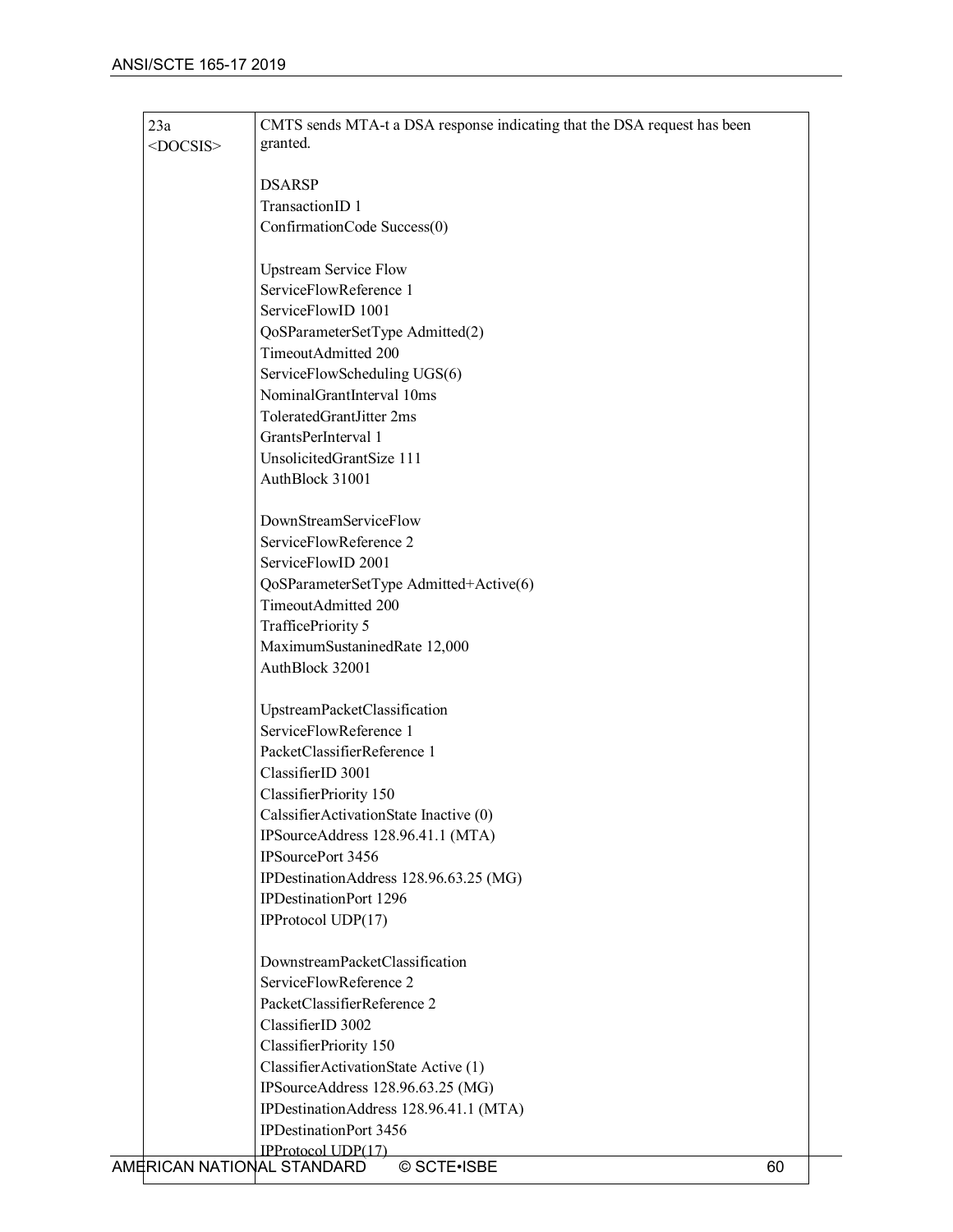| 23a            | CMTS sends MTA-t a DSA response indicating that the DSA request has been |    |
|----------------|--------------------------------------------------------------------------|----|
| $<$ DOCSIS $>$ | granted.                                                                 |    |
|                | <b>DSARSP</b>                                                            |    |
|                | TransactionID 1                                                          |    |
|                | ConfirmationCode Success(0)                                              |    |
|                | <b>Upstream Service Flow</b>                                             |    |
|                | ServiceFlowReference 1                                                   |    |
|                | ServiceFlowID 1001                                                       |    |
|                | QoSParameterSetType Admitted(2)                                          |    |
|                | TimeoutAdmitted 200                                                      |    |
|                | ServiceFlowScheduling UGS(6)                                             |    |
|                | NominalGrantInterval 10ms                                                |    |
|                | ToleratedGrantJitter 2ms                                                 |    |
|                | GrantsPerInterval 1                                                      |    |
|                | UnsolicitedGrantSize 111                                                 |    |
|                | AuthBlock 31001                                                          |    |
|                | DownStreamServiceFlow                                                    |    |
|                | ServiceFlowReference 2                                                   |    |
|                | ServiceFlowID 2001                                                       |    |
|                | QoSParameterSetType Admitted+Active(6)                                   |    |
|                | TimeoutAdmitted 200                                                      |    |
|                | TrafficePriority 5                                                       |    |
|                | MaximumSustaninedRate 12,000                                             |    |
|                | AuthBlock 32001                                                          |    |
|                | UpstreamPacketClassification                                             |    |
|                | ServiceFlowReference 1                                                   |    |
|                | PacketClassifierReference 1                                              |    |
|                | ClassifierID 3001                                                        |    |
|                | ClassifierPriority 150                                                   |    |
|                | CalssifierActivationState Inactive (0)                                   |    |
|                | IPSourceAddress 128.96.41.1 (MTA)                                        |    |
|                | IPSourcePort 3456                                                        |    |
|                | IPDestinationAddress 128.96.63.25 (MG)                                   |    |
|                | <b>IPDestinationPort 1296</b>                                            |    |
|                | IPProtocol UDP(17)                                                       |    |
|                | DownstreamPacketClassification                                           |    |
|                | ServiceFlowReference 2                                                   |    |
|                | PacketClassifierReference 2                                              |    |
|                | ClassifierID 3002                                                        |    |
|                | ClassifierPriority 150                                                   |    |
|                | ClassifierActivationState Active (1)                                     |    |
|                | IPSourceAddress 128.96.63.25 (MG)                                        |    |
|                | IPDestinationAddress 128.96.41.1 (MTA)                                   |    |
|                | <b>IPDestinationPort 3456</b>                                            |    |
|                | <b>IPProtocol UDP(17)</b><br>© SCTE•ISBE<br>AMERICAN NATIONAL STANDARD   | 60 |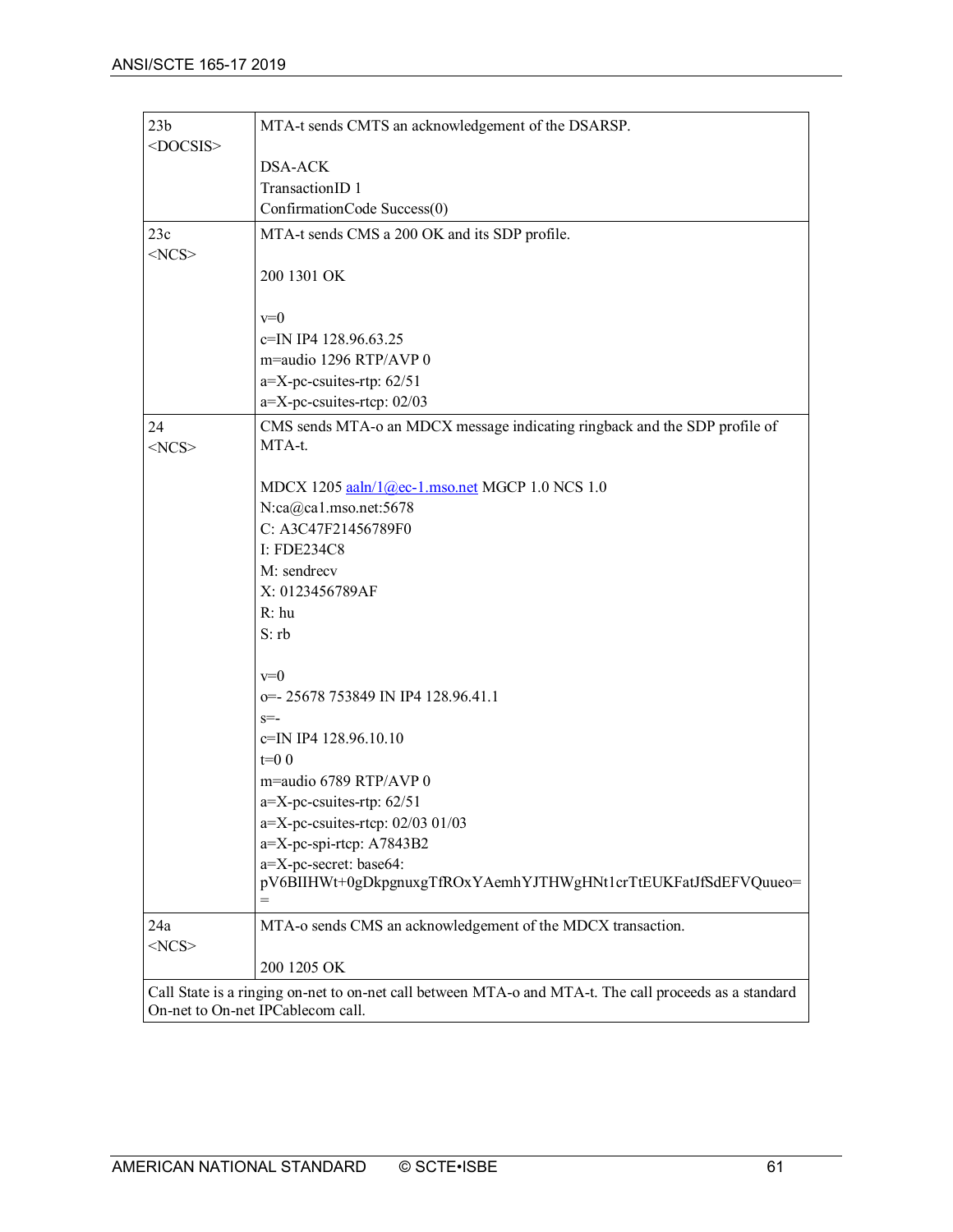| 23b               | MTA-t sends CMTS an acknowledgement of the DSARSP.                                                     |  |  |  |  |
|-------------------|--------------------------------------------------------------------------------------------------------|--|--|--|--|
| <docsis></docsis> |                                                                                                        |  |  |  |  |
|                   | <b>DSA-ACK</b>                                                                                         |  |  |  |  |
|                   | TransactionID 1                                                                                        |  |  |  |  |
|                   | ConfirmationCode Success(0)                                                                            |  |  |  |  |
| 23c               | MTA-t sends CMS a 200 OK and its SDP profile.                                                          |  |  |  |  |
| $<$ NCS $>$       |                                                                                                        |  |  |  |  |
|                   | 200 1301 OK                                                                                            |  |  |  |  |
|                   |                                                                                                        |  |  |  |  |
|                   | $v=0$                                                                                                  |  |  |  |  |
|                   | c=IN IP4 128.96.63.25                                                                                  |  |  |  |  |
|                   | m=audio 1296 RTP/AVP 0                                                                                 |  |  |  |  |
|                   | a=X-pc-csuites-rtp: 62/51                                                                              |  |  |  |  |
|                   | a=X-pc-csuites-rtcp: 02/03                                                                             |  |  |  |  |
| 24                | CMS sends MTA-o an MDCX message indicating ringback and the SDP profile of<br>MTA-t.                   |  |  |  |  |
| $<$ NCS $>$       |                                                                                                        |  |  |  |  |
|                   | MDCX 1205 aaln/1@ec-1.mso.net MGCP 1.0 NCS 1.0                                                         |  |  |  |  |
|                   | N:ca@ca1.mso.net:5678                                                                                  |  |  |  |  |
|                   | C: A3C47F21456789F0                                                                                    |  |  |  |  |
|                   | <b>I: FDE234C8</b>                                                                                     |  |  |  |  |
|                   | M: sendrecv                                                                                            |  |  |  |  |
|                   | X: 0123456789AF                                                                                        |  |  |  |  |
|                   | R: hu                                                                                                  |  |  |  |  |
|                   | S:rb                                                                                                   |  |  |  |  |
|                   |                                                                                                        |  |  |  |  |
|                   | $v=0$                                                                                                  |  |  |  |  |
|                   | o= 25678 753849 IN IP4 128.96.41.1                                                                     |  |  |  |  |
|                   | $s = -$                                                                                                |  |  |  |  |
|                   | c=IN IP4 128.96.10.10                                                                                  |  |  |  |  |
|                   | $t=0$ 0                                                                                                |  |  |  |  |
|                   | m=audio 6789 RTP/AVP 0                                                                                 |  |  |  |  |
|                   | $a=X$ -pc-csuites-rtp: 62/51                                                                           |  |  |  |  |
|                   | a=X-pc-csuites-rtcp: 02/03 01/03                                                                       |  |  |  |  |
|                   | a=X-pc-spi-rtcp: A7843B2                                                                               |  |  |  |  |
|                   | a=X-pc-secret: base64:                                                                                 |  |  |  |  |
|                   | pV6BIIHWt+0gDkpgnuxgTfROxYAemhYJTHWgHNt1crTtEUKFatJfSdEFVQuueo=<br>$=$                                 |  |  |  |  |
| 24a               | MTA-o sends CMS an acknowledgement of the MDCX transaction.                                            |  |  |  |  |
| $<$ NCS $>$       |                                                                                                        |  |  |  |  |
|                   | 200 1205 OK                                                                                            |  |  |  |  |
|                   | Call State is a ringing on-net to on-net call between MTA-o and MTA-t. The call proceeds as a standard |  |  |  |  |
|                   | On-net to On-net IPCablecom call.                                                                      |  |  |  |  |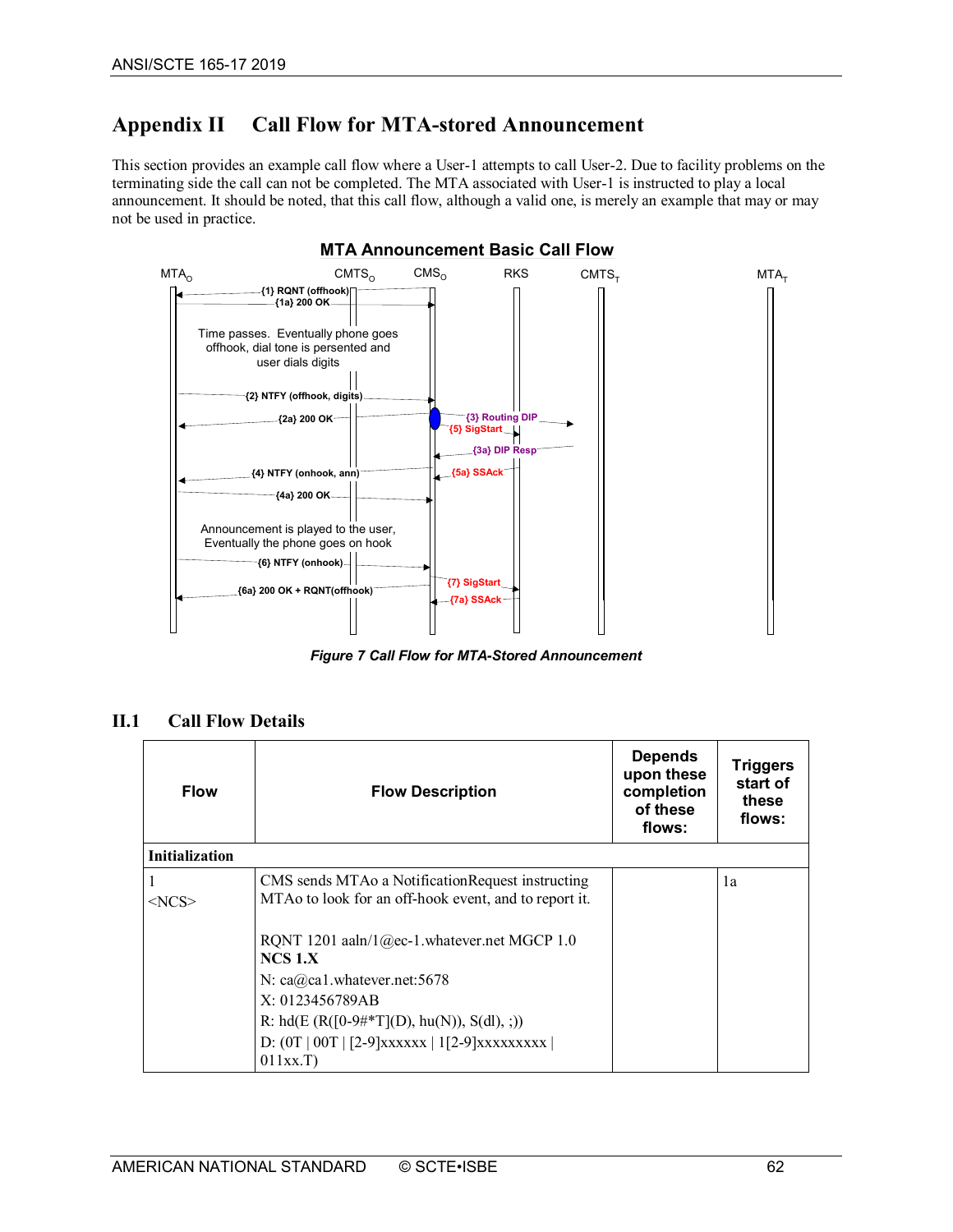## <span id="page-61-0"></span>**Appendix II Call Flow for MTA-stored Announcement**

This section provides an example call flow where a User-1 attempts to call User-2. Due to facility problems on the terminating side the call can not be completed. The MTA associated with User-1 is instructed to play a local announcement. It should be noted, that this call flow, although a valid one, is merely an example that may or may not be used in practice.



*Figure 7 Call Flow for MTA-Stored Announcement*

#### <span id="page-61-2"></span><span id="page-61-1"></span>**II.1 Call Flow Details**

| <b>Flow</b>           | <b>Flow Description</b>                                                                                   | <b>Depends</b><br>upon these<br>completion<br>of these<br>flows: | <b>Triggers</b><br>start of<br>these<br>flows: |
|-----------------------|-----------------------------------------------------------------------------------------------------------|------------------------------------------------------------------|------------------------------------------------|
| <b>Initialization</b> |                                                                                                           |                                                                  |                                                |
| $<$ NCS $>$           | CMS sends MTAo a NotificationRequest instructing<br>MTAo to look for an off-hook event, and to report it. |                                                                  | 1a                                             |
|                       | RQNT 1201 aaln/1@ec-1.whatever.net MGCP 1.0<br>$NCS$ 1.X                                                  |                                                                  |                                                |
|                       | N: $ca(\partial_{c}ca1$ .whatever.net:5678                                                                |                                                                  |                                                |
|                       | X: 0123456789AB                                                                                           |                                                                  |                                                |
|                       | R: hd(E (R([0-9#*T](D), hu(N)), S(dl), ;))                                                                |                                                                  |                                                |
|                       | D: (0T   00T   [2-9] xxxxxx   1[2-9] xxxxxxxxx  <br>011xx.T                                               |                                                                  |                                                |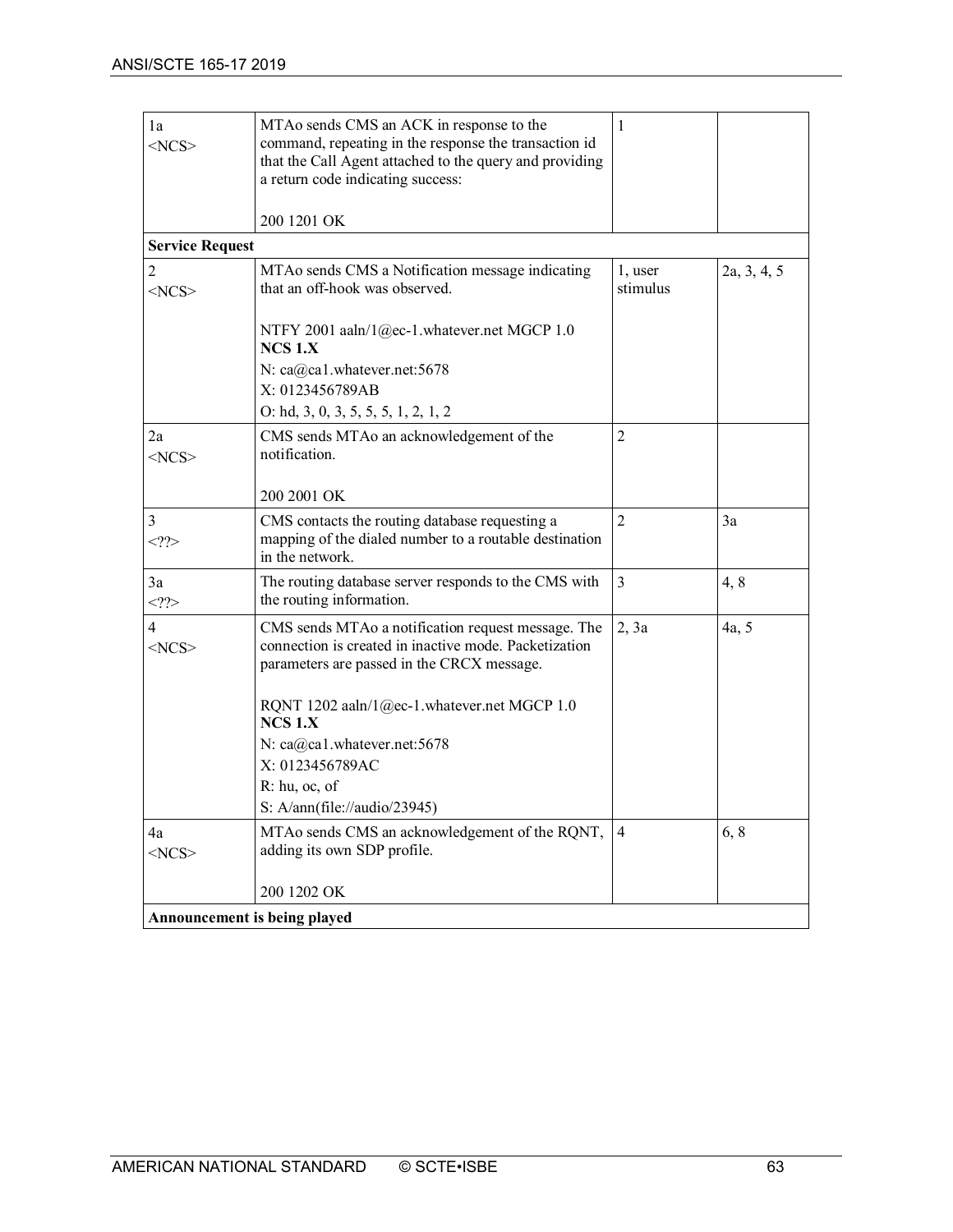| 1a<br>$<$ NCS $>$                   | MTA o sends CMS an ACK in response to the<br>command, repeating in the response the transaction id<br>that the Call Agent attached to the query and providing<br>a return code indicating success: | 1                   |             |  |  |
|-------------------------------------|----------------------------------------------------------------------------------------------------------------------------------------------------------------------------------------------------|---------------------|-------------|--|--|
|                                     | 200 1201 OK                                                                                                                                                                                        |                     |             |  |  |
| <b>Service Request</b>              |                                                                                                                                                                                                    |                     |             |  |  |
| $\overline{2}$<br>$<$ NCS $>$       | MTAo sends CMS a Notification message indicating<br>that an off-hook was observed.                                                                                                                 | 1, user<br>stimulus | 2a, 3, 4, 5 |  |  |
|                                     | NTFY 2001 aaln/1@ec-1.whatever.net MGCP 1.0<br>$NCS$ 1. $X$<br>N: ca@ca1.whatever.net:5678                                                                                                         |                     |             |  |  |
|                                     | X: 0123456789AB<br>O: hd, 3, 0, 3, 5, 5, 5, 1, 2, 1, 2                                                                                                                                             |                     |             |  |  |
| 2a<br>$<$ NCS $>$                   | CMS sends MTAo an acknowledgement of the<br>notification.                                                                                                                                          | 2                   |             |  |  |
|                                     | 200 2001 OK                                                                                                                                                                                        |                     |             |  |  |
| 3<br>$<$ ??>                        | CMS contacts the routing database requesting a<br>mapping of the dialed number to a routable destination<br>in the network.                                                                        | $\overline{2}$      | 3a          |  |  |
| 3a<br><22                           | The routing database server responds to the CMS with<br>the routing information.                                                                                                                   | 3                   | 4,8         |  |  |
| 4<br>$<$ NCS $>$                    | CMS sends MTAo a notification request message. The<br>connection is created in inactive mode. Packetization<br>parameters are passed in the CRCX message.                                          | 2, 3a               | 4a, 5       |  |  |
|                                     | RQNT 1202 aaln/1@ec-1.whatever.net MGCP 1.0<br>$NCS$ 1. $X$                                                                                                                                        |                     |             |  |  |
|                                     | N: ca@ca1.whatever.net:5678<br>X: 0123456789AC                                                                                                                                                     |                     |             |  |  |
|                                     | $R:$ hu, oc, of                                                                                                                                                                                    |                     |             |  |  |
|                                     | S: $A/ann(file://audio/23945)$                                                                                                                                                                     |                     |             |  |  |
| 4a<br>$<$ NCS $>$                   | MTAo sends CMS an acknowledgement of the RQNT,<br>adding its own SDP profile.                                                                                                                      | 4                   | 6, 8        |  |  |
|                                     | 200 1202 OK                                                                                                                                                                                        |                     |             |  |  |
| <b>Announcement is being played</b> |                                                                                                                                                                                                    |                     |             |  |  |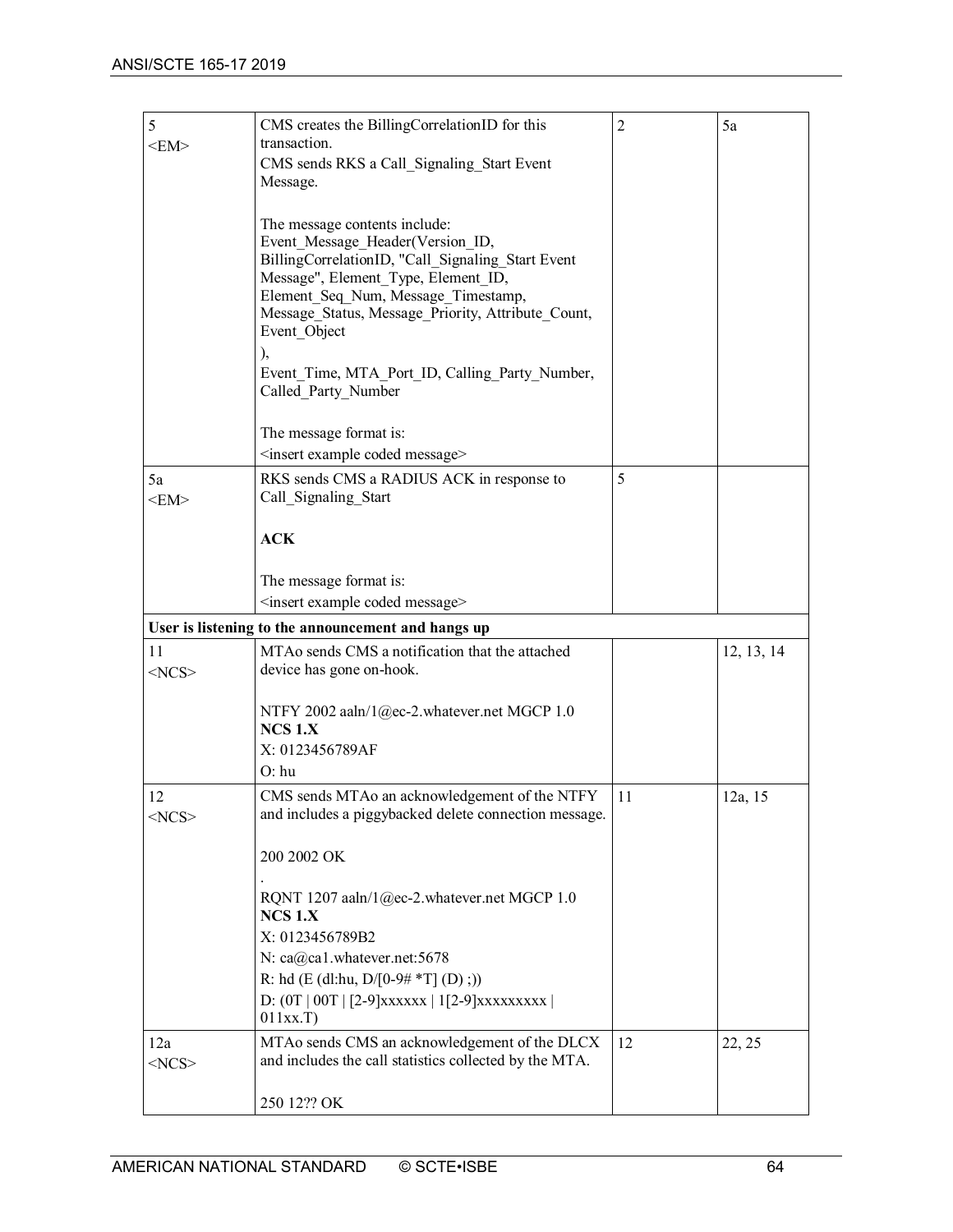| 5                                                  | CMS creates the BillingCorrelationID for this                               | $\overline{2}$ | 5a         |  |  |  |
|----------------------------------------------------|-----------------------------------------------------------------------------|----------------|------------|--|--|--|
| $<$ EM $>$                                         | transaction.                                                                |                |            |  |  |  |
|                                                    | CMS sends RKS a Call Signaling Start Event<br>Message.                      |                |            |  |  |  |
|                                                    |                                                                             |                |            |  |  |  |
|                                                    | The message contents include:                                               |                |            |  |  |  |
|                                                    | Event Message Header(Version ID,                                            |                |            |  |  |  |
|                                                    | BillingCorrelationID, "Call_Signaling_Start Event                           |                |            |  |  |  |
|                                                    | Message", Element_Type, Element_ID,                                         |                |            |  |  |  |
|                                                    | Element Seq Num, Message Timestamp,                                         |                |            |  |  |  |
|                                                    | Message_Status, Message_Priority, Attribute Count,<br>Event Object          |                |            |  |  |  |
|                                                    |                                                                             |                |            |  |  |  |
|                                                    | Event Time, MTA Port ID, Calling Party Number,                              |                |            |  |  |  |
|                                                    | Called Party Number                                                         |                |            |  |  |  |
|                                                    |                                                                             |                |            |  |  |  |
|                                                    | The message format is:                                                      |                |            |  |  |  |
|                                                    | <insert coded="" example="" message=""></insert>                            |                |            |  |  |  |
| 5a                                                 | RKS sends CMS a RADIUS ACK in response to                                   | 5              |            |  |  |  |
| $<$ EM $>$                                         | Call Signaling Start                                                        |                |            |  |  |  |
|                                                    | <b>ACK</b>                                                                  |                |            |  |  |  |
|                                                    |                                                                             |                |            |  |  |  |
|                                                    | The message format is:                                                      |                |            |  |  |  |
|                                                    | <insert coded="" example="" message=""></insert>                            |                |            |  |  |  |
| User is listening to the announcement and hangs up |                                                                             |                |            |  |  |  |
|                                                    |                                                                             |                |            |  |  |  |
| 11                                                 |                                                                             |                |            |  |  |  |
| $<$ NCS $>$                                        | MTAo sends CMS a notification that the attached<br>device has gone on-hook. |                | 12, 13, 14 |  |  |  |
|                                                    |                                                                             |                |            |  |  |  |
|                                                    | NTFY 2002 aaln/1@ec-2.whatever.net MGCP 1.0                                 |                |            |  |  |  |
|                                                    | $NCS$ 1. $X$                                                                |                |            |  |  |  |
|                                                    | X: 0123456789AF                                                             |                |            |  |  |  |
|                                                    | $O:$ hu                                                                     |                |            |  |  |  |
| 12                                                 | CMS sends MTAo an acknowledgement of the NTFY                               | 11             | 12a, 15    |  |  |  |
| $<$ NCS $>$                                        | and includes a piggybacked delete connection message.                       |                |            |  |  |  |
|                                                    |                                                                             |                |            |  |  |  |
|                                                    | 200 2002 OK                                                                 |                |            |  |  |  |
|                                                    |                                                                             |                |            |  |  |  |
|                                                    | RQNT 1207 aaln/1@ec-2.whatever.net MGCP 1.0<br>$NCS$ 1. $X$                 |                |            |  |  |  |
|                                                    | X: 0123456789B2                                                             |                |            |  |  |  |
|                                                    | N: ca@ca1.whatever.net:5678                                                 |                |            |  |  |  |
|                                                    | R: hd (E (dl:hu, $D/[0-9# *T]$ (D);))                                       |                |            |  |  |  |
|                                                    | D: (0T   00T   [2-9] xxxxxx   1[2-9] xxxxxxxxx                              |                |            |  |  |  |
|                                                    | 011xx.T                                                                     |                |            |  |  |  |
| 12a                                                | MTAo sends CMS an acknowledgement of the DLCX                               | 12             | 22, 25     |  |  |  |
| $<$ NCS $>$                                        | and includes the call statistics collected by the MTA.                      |                |            |  |  |  |
|                                                    | 250 12?? OK                                                                 |                |            |  |  |  |